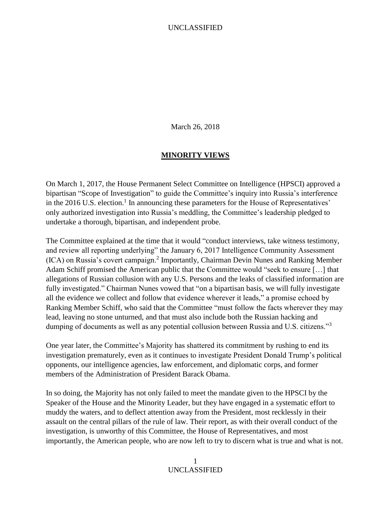March 26, 2018

#### **MINORITY VIEWS**

On March 1, 2017, the House Permanent Select Committee on Intelligence (HPSCI) approved a bipartisan "Scope of Investigation" to guide the Committee's inquiry into Russia's interference in the 2016 U.S. election.<sup>1</sup> In announcing these parameters for the House of Representatives' only authorized investigation into Russia's meddling, the Committee's leadership pledged to undertake a thorough, bipartisan, and independent probe.

The Committee explained at the time that it would "conduct interviews, take witness testimony, and review all reporting underlying" the January 6, 2017 Intelligence Community Assessment (ICA) on Russia's covert campaign.<sup>2</sup> Importantly, Chairman Devin Nunes and Ranking Member Adam Schiff promised the American public that the Committee would "seek to ensure […] that allegations of Russian collusion with any U.S. Persons and the leaks of classified information are fully investigated." Chairman Nunes vowed that "on a bipartisan basis, we will fully investigate all the evidence we collect and follow that evidence wherever it leads," a promise echoed by Ranking Member Schiff, who said that the Committee "must follow the facts wherever they may lead, leaving no stone unturned, and that must also include both the Russian hacking and dumping of documents as well as any potential collusion between Russia and U.S. citizens."<sup>3</sup>

One year later, the Committee's Majority has shattered its commitment by rushing to end its investigation prematurely, even as it continues to investigate President Donald Trump's political opponents, our intelligence agencies, law enforcement, and diplomatic corps, and former members of the Administration of President Barack Obama.

In so doing, the Majority has not only failed to meet the mandate given to the HPSCI by the Speaker of the House and the Minority Leader, but they have engaged in a systematic effort to muddy the waters, and to deflect attention away from the President, most recklessly in their assault on the central pillars of the rule of law. Their report, as with their overall conduct of the investigation, is unworthy of this Committee, the House of Representatives, and most importantly, the American people, who are now left to try to discern what is true and what is not.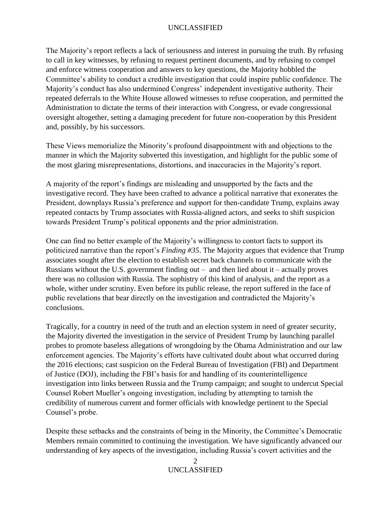The Majority's report reflects a lack of seriousness and interest in pursuing the truth. By refusing to call in key witnesses, by refusing to request pertinent documents, and by refusing to compel and enforce witness cooperation and answers to key questions, the Majority hobbled the Committee's ability to conduct a credible investigation that could inspire public confidence. The Majority's conduct has also undermined Congress' independent investigative authority. Their repeated deferrals to the White House allowed witnesses to refuse cooperation, and permitted the Administration to dictate the terms of their interaction with Congress, or evade congressional oversight altogether, setting a damaging precedent for future non-cooperation by this President and, possibly, by his successors.

These Views memorialize the Minority's profound disappointment with and objections to the manner in which the Majority subverted this investigation, and highlight for the public some of the most glaring misrepresentations, distortions, and inaccuracies in the Majority's report.

A majority of the report's findings are misleading and unsupported by the facts and the investigative record. They have been crafted to advance a political narrative that exonerates the President, downplays Russia's preference and support for then-candidate Trump, explains away repeated contacts by Trump associates with Russia-aligned actors, and seeks to shift suspicion towards President Trump's political opponents and the prior administration.

One can find no better example of the Majority's willingness to contort facts to support its politicized narrative than the report's *Finding #35*. The Majority argues that evidence that Trump associates sought after the election to establish secret back channels to communicate with the Russians without the U.S. government finding out – and then lied about it – actually proves there was no collusion with Russia. The sophistry of this kind of analysis, and the report as a whole, wither under scrutiny. Even before its public release, the report suffered in the face of public revelations that bear directly on the investigation and contradicted the Majority's conclusions.

Tragically, for a country in need of the truth and an election system in need of greater security, the Majority diverted the investigation in the service of President Trump by launching parallel probes to promote baseless allegations of wrongdoing by the Obama Administration and our law enforcement agencies. The Majority's efforts have cultivated doubt about what occurred during the 2016 elections; cast suspicion on the Federal Bureau of Investigation (FBI) and Department of Justice (DOJ), including the FBI's basis for and handling of its counterintelligence investigation into links between Russia and the Trump campaign; and sought to undercut Special Counsel Robert Mueller's ongoing investigation, including by attempting to tarnish the credibility of numerous current and former officials with knowledge pertinent to the Special Counsel's probe.

Despite these setbacks and the constraints of being in the Minority, the Committee's Democratic Members remain committed to continuing the investigation. We have significantly advanced our understanding of key aspects of the investigation, including Russia's covert activities and the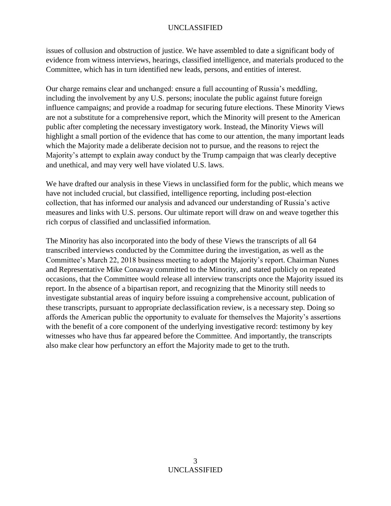issues of collusion and obstruction of justice. We have assembled to date a significant body of evidence from witness interviews, hearings, classified intelligence, and materials produced to the Committee, which has in turn identified new leads, persons, and entities of interest.

Our charge remains clear and unchanged: ensure a full accounting of Russia's meddling, including the involvement by any U.S. persons; inoculate the public against future foreign influence campaigns; and provide a roadmap for securing future elections. These Minority Views are not a substitute for a comprehensive report, which the Minority will present to the American public after completing the necessary investigatory work. Instead, the Minority Views will highlight a small portion of the evidence that has come to our attention, the many important leads which the Majority made a deliberate decision not to pursue, and the reasons to reject the Majority's attempt to explain away conduct by the Trump campaign that was clearly deceptive and unethical, and may very well have violated U.S. laws.

We have drafted our analysis in these Views in unclassified form for the public, which means we have not included crucial, but classified, intelligence reporting, including post-election collection, that has informed our analysis and advanced our understanding of Russia's active measures and links with U.S. persons. Our ultimate report will draw on and weave together this rich corpus of classified and unclassified information.

The Minority has also incorporated into the body of these Views the transcripts of all 64 transcribed interviews conducted by the Committee during the investigation, as well as the Committee's March 22, 2018 business meeting to adopt the Majority's report. Chairman Nunes and Representative Mike Conaway committed to the Minority, and stated publicly on repeated occasions, that the Committee would release all interview transcripts once the Majority issued its report. In the absence of a bipartisan report, and recognizing that the Minority still needs to investigate substantial areas of inquiry before issuing a comprehensive account, publication of these transcripts, pursuant to appropriate declassification review, is a necessary step. Doing so affords the American public the opportunity to evaluate for themselves the Majority's assertions with the benefit of a core component of the underlying investigative record: testimony by key witnesses who have thus far appeared before the Committee. And importantly, the transcripts also make clear how perfunctory an effort the Majority made to get to the truth.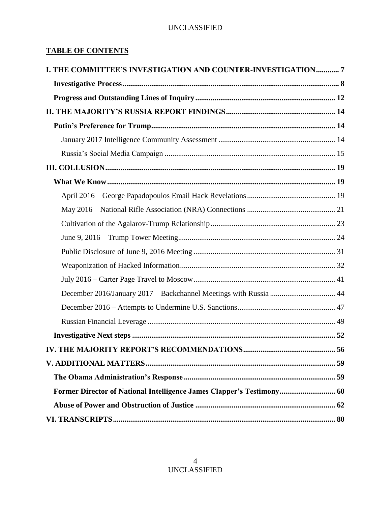## **TABLE OF CONTENTS**

| I. THE COMMITTEE'S INVESTIGATION AND COUNTER-INVESTIGATION7           |    |
|-----------------------------------------------------------------------|----|
|                                                                       |    |
|                                                                       |    |
|                                                                       |    |
|                                                                       |    |
|                                                                       |    |
|                                                                       |    |
|                                                                       |    |
|                                                                       |    |
|                                                                       |    |
|                                                                       |    |
|                                                                       |    |
|                                                                       |    |
|                                                                       |    |
|                                                                       |    |
|                                                                       |    |
| December 2016/January 2017 - Backchannel Meetings with Russia  44     |    |
|                                                                       |    |
|                                                                       |    |
|                                                                       |    |
|                                                                       | 56 |
|                                                                       |    |
|                                                                       |    |
| Former Director of National Intelligence James Clapper's Testimony 60 |    |
|                                                                       |    |
|                                                                       |    |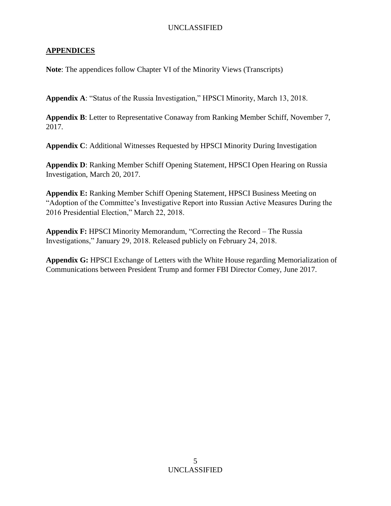## **APPENDICES**

**Note**: The appendices follow Chapter VI of the Minority Views (Transcripts)

**Appendix A**: "Status of the Russia Investigation," HPSCI Minority, March 13, 2018.

**Appendix B**: Letter to Representative Conaway from Ranking Member Schiff, November 7, 2017.

**Appendix C**: Additional Witnesses Requested by HPSCI Minority During Investigation

**Appendix D**: Ranking Member Schiff Opening Statement, HPSCI Open Hearing on Russia Investigation, March 20, 2017.

**Appendix E:** Ranking Member Schiff Opening Statement, HPSCI Business Meeting on "Adoption of the Committee's Investigative Report into Russian Active Measures During the 2016 Presidential Election," March 22, 2018.

**Appendix F:** HPSCI Minority Memorandum, "Correcting the Record – The Russia Investigations," January 29, 2018. Released publicly on February 24, 2018.

**Appendix G:** HPSCI Exchange of Letters with the White House regarding Memorialization of Communications between President Trump and former FBI Director Comey, June 2017.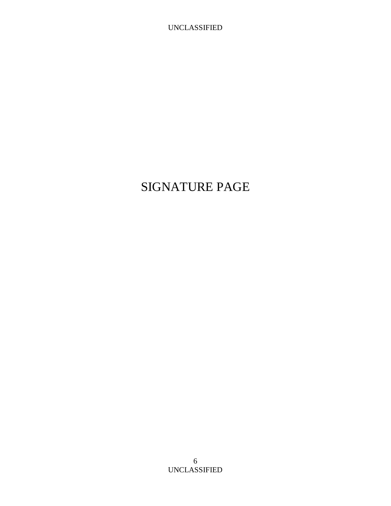# SIGNATURE PAGE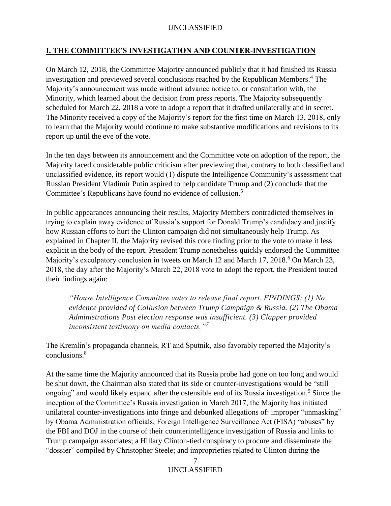## <span id="page-6-0"></span>**I. THE COMMITTEE'S INVESTIGATION AND COUNTER-INVESTIGATION**

On March 12, 2018, the Committee Majority announced publicly that it had finished its Russia investigation and previewed several conclusions reached by the Republican Members.<sup>4</sup> The Majority's announcement was made without advance notice to, or consultation with, the Minority, which learned about the decision from press reports. The Majority subsequently scheduled for March 22, 2018 a vote to adopt a report that it drafted unilaterally and in secret. The Minority received a copy of the Majority's report for the first time on March 13, 2018, only to learn that the Majority would continue to make substantive modifications and revisions to its report up until the eve of the vote.

In the ten days between its announcement and the Committee vote on adoption of the report, the Majority faced considerable public criticism after previewing that, contrary to both classified and unclassified evidence, its report would (1) dispute the Intelligence Community's assessment that Russian President Vladimir Putin aspired to help candidate Trump and (2) conclude that the Committee's Republicans have found no evidence of collusion.<sup>5</sup>

In public appearances announcing their results, Majority Members contradicted themselves in trying to explain away evidence of Russia's support for Donald Trump's candidacy and justify how Russian efforts to hurt the Clinton campaign did not simultaneously help Trump. As explained in Chapter II, the Majority revised this core finding prior to the vote to make it less explicit in the body of the report. President Trump nonetheless quickly endorsed the Committee Majority's exculpatory conclusion in tweets on March 12 and March 17, 2018.<sup>6</sup> On March 23, 2018, the day after the Majority's March 22, 2018 vote to adopt the report, the President touted their findings again:

*"House Intelligence Committee votes to release final report. FINDINGS: (1) No evidence provided of Collusion between Trump Campaign & Russia. (2) The Obama Administrations Post election response was insufficient. (3) Clapper provided inconsistent testimony on media contacts."<sup>7</sup>*

The Kremlin's propaganda channels, RT and Sputnik, also favorably reported the Majority's conclusions.<sup>8</sup>

At the same time the Majority announced that its Russia probe had gone on too long and would be shut down, the Chairman also stated that its side or counter-investigations would be "still ongoing" and would likely expand after the ostensible end of its Russia investigation.<sup>9</sup> Since the inception of the Committee's Russia investigation in March 2017, the Majority has initiated unilateral counter-investigations into fringe and debunked allegations of: improper "unmasking" by Obama Administration officials; Foreign Intelligence Surveillance Act (FISA) "abuses" by the FBI and DOJ in the course of their counterintelligence investigation of Russia and links to Trump campaign associates; a Hillary Clinton-tied conspiracy to procure and disseminate the "dossier" compiled by Christopher Steele; and improprieties related to Clinton during the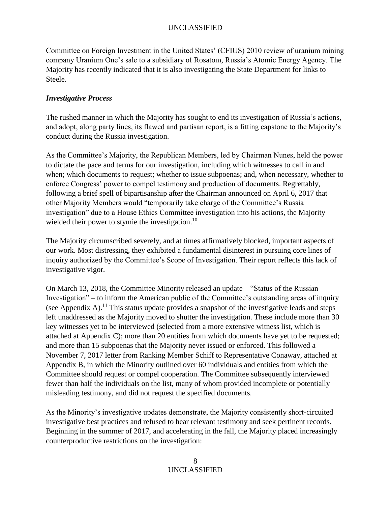Committee on Foreign Investment in the United States' (CFIUS) 2010 review of uranium mining company Uranium One's sale to a subsidiary of Rosatom, Russia's Atomic Energy Agency. The Majority has recently indicated that it is also investigating the State Department for links to Steele.

## <span id="page-7-0"></span>*Investigative Process*

The rushed manner in which the Majority has sought to end its investigation of Russia's actions, and adopt, along party lines, its flawed and partisan report, is a fitting capstone to the Majority's conduct during the Russia investigation.

As the Committee's Majority, the Republican Members, led by Chairman Nunes, held the power to dictate the pace and terms for our investigation, including which witnesses to call in and when; which documents to request; whether to issue subpoenas; and, when necessary, whether to enforce Congress' power to compel testimony and production of documents. Regrettably, following a brief spell of bipartisanship after the Chairman announced on April 6, 2017 that other Majority Members would "temporarily take charge of the Committee's Russia investigation" due to a House Ethics Committee investigation into his actions, the Majority wielded their power to stymie the investigation.<sup>10</sup>

The Majority circumscribed severely, and at times affirmatively blocked, important aspects of our work. Most distressing, they exhibited a fundamental disinterest in pursuing core lines of inquiry authorized by the Committee's Scope of Investigation. Their report reflects this lack of investigative vigor.

On March 13, 2018, the Committee Minority released an update – "Status of the Russian Investigation" – to inform the American public of the Committee's outstanding areas of inquiry (see Appendix A).<sup>11</sup> This status update provides a snapshot of the investigative leads and steps left unaddressed as the Majority moved to shutter the investigation. These include more than 30 key witnesses yet to be interviewed (selected from a more extensive witness list, which is attached at Appendix C); more than 20 entities from which documents have yet to be requested; and more than 15 subpoenas that the Majority never issued or enforced. This followed a November 7, 2017 letter from Ranking Member Schiff to Representative Conaway, attached at Appendix B, in which the Minority outlined over 60 individuals and entities from which the Committee should request or compel cooperation. The Committee subsequently interviewed fewer than half the individuals on the list, many of whom provided incomplete or potentially misleading testimony, and did not request the specified documents.

As the Minority's investigative updates demonstrate, the Majority consistently short-circuited investigative best practices and refused to hear relevant testimony and seek pertinent records. Beginning in the summer of 2017, and accelerating in the fall, the Majority placed increasingly counterproductive restrictions on the investigation: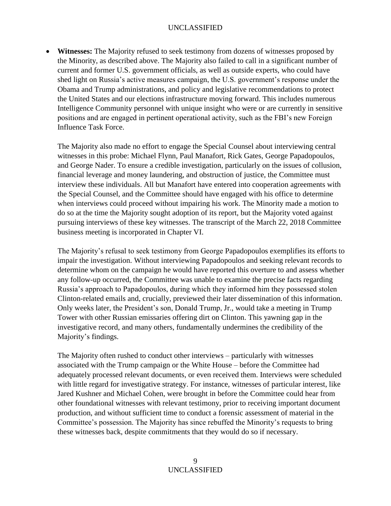• **Witnesses:** The Majority refused to seek testimony from dozens of witnesses proposed by the Minority, as described above. The Majority also failed to call in a significant number of current and former U.S. government officials, as well as outside experts, who could have shed light on Russia's active measures campaign, the U.S. government's response under the Obama and Trump administrations, and policy and legislative recommendations to protect the United States and our elections infrastructure moving forward. This includes numerous Intelligence Community personnel with unique insight who were or are currently in sensitive positions and are engaged in pertinent operational activity, such as the FBI's new Foreign Influence Task Force.

The Majority also made no effort to engage the Special Counsel about interviewing central witnesses in this probe: Michael Flynn, Paul Manafort, Rick Gates, George Papadopoulos, and George Nader. To ensure a credible investigation, particularly on the issues of collusion, financial leverage and money laundering, and obstruction of justice, the Committee must interview these individuals. All but Manafort have entered into cooperation agreements with the Special Counsel, and the Committee should have engaged with his office to determine when interviews could proceed without impairing his work. The Minority made a motion to do so at the time the Majority sought adoption of its report, but the Majority voted against pursuing interviews of these key witnesses. The transcript of the March 22, 2018 Committee business meeting is incorporated in Chapter VI.

The Majority's refusal to seek testimony from George Papadopoulos exemplifies its efforts to impair the investigation. Without interviewing Papadopoulos and seeking relevant records to determine whom on the campaign he would have reported this overture to and assess whether any follow-up occurred, the Committee was unable to examine the precise facts regarding Russia's approach to Papadopoulos, during which they informed him they possessed stolen Clinton-related emails and, crucially, previewed their later dissemination of this information. Only weeks later, the President's son, Donald Trump, Jr., would take a meeting in Trump Tower with other Russian emissaries offering dirt on Clinton. This yawning gap in the investigative record, and many others, fundamentally undermines the credibility of the Majority's findings.

The Majority often rushed to conduct other interviews – particularly with witnesses associated with the Trump campaign or the White House – before the Committee had adequately processed relevant documents, or even received them. Interviews were scheduled with little regard for investigative strategy. For instance, witnesses of particular interest, like Jared Kushner and Michael Cohen, were brought in before the Committee could hear from other foundational witnesses with relevant testimony, prior to receiving important document production, and without sufficient time to conduct a forensic assessment of material in the Committee's possession. The Majority has since rebuffed the Minority's requests to bring these witnesses back, despite commitments that they would do so if necessary.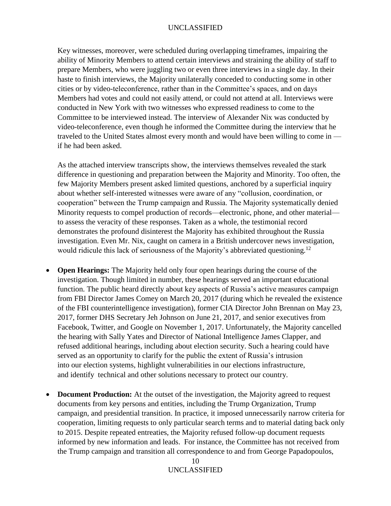Key witnesses, moreover, were scheduled during overlapping timeframes, impairing the ability of Minority Members to attend certain interviews and straining the ability of staff to prepare Members, who were juggling two or even three interviews in a single day. In their haste to finish interviews, the Majority unilaterally conceded to conducting some in other cities or by video-teleconference, rather than in the Committee's spaces, and on days Members had votes and could not easily attend, or could not attend at all. Interviews were conducted in New York with two witnesses who expressed readiness to come to the Committee to be interviewed instead. The interview of Alexander Nix was conducted by video-teleconference, even though he informed the Committee during the interview that he traveled to the United States almost every month and would have been willing to come in if he had been asked.

As the attached interview transcripts show, the interviews themselves revealed the stark difference in questioning and preparation between the Majority and Minority. Too often, the few Majority Members present asked limited questions, anchored by a superficial inquiry about whether self-interested witnesses were aware of any "collusion, coordination, or cooperation" between the Trump campaign and Russia. The Majority systematically denied Minority requests to compel production of records—electronic, phone, and other material to assess the veracity of these responses. Taken as a whole, the testimonial record demonstrates the profound disinterest the Majority has exhibited throughout the Russia investigation. Even Mr. Nix, caught on camera in a British undercover news investigation, would ridicule this lack of seriousness of the Majority's abbreviated questioning.<sup>12</sup>

- **Open Hearings:** The Majority held only four open hearings during the course of the investigation. Though limited in number, these hearings served an important educational function. The public heard directly about key aspects of Russia's active measures campaign from FBI Director James Comey on March 20, 2017 (during which he revealed the existence of the FBI counterintelligence investigation), former CIA Director John Brennan on May 23, 2017, former DHS Secretary Jeh Johnson on June 21, 2017, and senior executives from Facebook, Twitter, and Google on November 1, 2017. Unfortunately, the Majority cancelled the hearing with Sally Yates and Director of National Intelligence James Clapper, and refused additional hearings, including about election security. Such a hearing could have served as an opportunity to clarify for the public the extent of Russia's intrusion into our election systems, highlight vulnerabilities in our elections infrastructure, and identify technical and other solutions necessary to protect our country.
- **Document Production:** At the outset of the investigation, the Majority agreed to request documents from key persons and entities, including the Trump Organization, Trump campaign, and presidential transition. In practice, it imposed unnecessarily narrow criteria for cooperation, limiting requests to only particular search terms and to material dating back only to 2015. Despite repeated entreaties, the Majority refused follow-up document requests informed by new information and leads. For instance, the Committee has not received from the Trump campaign and transition all correspondence to and from George Papadopoulos,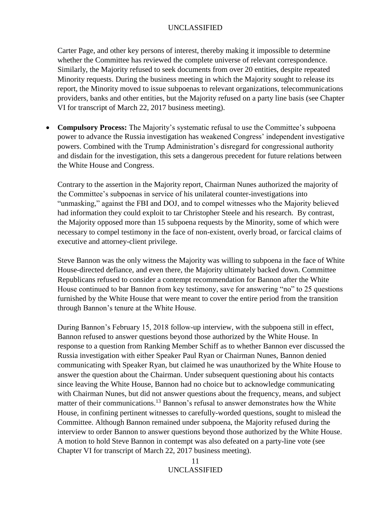Carter Page, and other key persons of interest, thereby making it impossible to determine whether the Committee has reviewed the complete universe of relevant correspondence. Similarly, the Majority refused to seek documents from over 20 entities, despite repeated Minority requests. During the business meeting in which the Majority sought to release its report, the Minority moved to issue subpoenas to relevant organizations, telecommunications providers, banks and other entities, but the Majority refused on a party line basis (see Chapter VI for transcript of March 22, 2017 business meeting).

• **Compulsory Process:** The Majority's systematic refusal to use the Committee's subpoena power to advance the Russia investigation has weakened Congress' independent investigative powers. Combined with the Trump Administration's disregard for congressional authority and disdain for the investigation, this sets a dangerous precedent for future relations between the White House and Congress.

Contrary to the assertion in the Majority report, Chairman Nunes authorized the majority of the Committee's subpoenas in service of his unilateral counter-investigations into "unmasking," against the FBI and DOJ, and to compel witnesses who the Majority believed had information they could exploit to tar Christopher Steele and his research. By contrast, the Majority opposed more than 15 subpoena requests by the Minority, some of which were necessary to compel testimony in the face of non-existent, overly broad, or farcical claims of executive and attorney-client privilege.

Steve Bannon was the only witness the Majority was willing to subpoena in the face of White House-directed defiance, and even there, the Majority ultimately backed down. Committee Republicans refused to consider a contempt recommendation for Bannon after the White House continued to bar Bannon from key testimony, save for answering "no" to 25 questions furnished by the White House that were meant to cover the entire period from the transition through Bannon's tenure at the White House.

During Bannon's February 15, 2018 follow-up interview, with the subpoena still in effect, Bannon refused to answer questions beyond those authorized by the White House. In response to a question from Ranking Member Schiff as to whether Bannon ever discussed the Russia investigation with either Speaker Paul Ryan or Chairman Nunes, Bannon denied communicating with Speaker Ryan, but claimed he was unauthorized by the White House to answer the question about the Chairman. Under subsequent questioning about his contacts since leaving the White House, Bannon had no choice but to acknowledge communicating with Chairman Nunes, but did not answer questions about the frequency, means, and subject matter of their communications.<sup>13</sup> Bannon's refusal to answer demonstrates how the White House, in confining pertinent witnesses to carefully-worded questions, sought to mislead the Committee. Although Bannon remained under subpoena, the Majority refused during the interview to order Bannon to answer questions beyond those authorized by the White House. A motion to hold Steve Bannon in contempt was also defeated on a party-line vote (see Chapter VI for transcript of March 22, 2017 business meeting).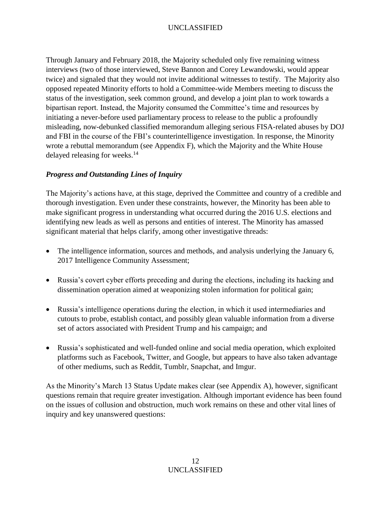Through January and February 2018, the Majority scheduled only five remaining witness interviews (two of those interviewed, Steve Bannon and Corey Lewandowski, would appear twice) and signaled that they would not invite additional witnesses to testify. The Majority also opposed repeated Minority efforts to hold a Committee-wide Members meeting to discuss the status of the investigation, seek common ground, and develop a joint plan to work towards a bipartisan report. Instead, the Majority consumed the Committee's time and resources by initiating a never-before used parliamentary process to release to the public a profoundly misleading, now-debunked classified memorandum alleging serious FISA-related abuses by DOJ and FBI in the course of the FBI's counterintelligence investigation. In response, the Minority wrote a rebuttal memorandum (see Appendix F), which the Majority and the White House delayed releasing for weeks.<sup>14</sup>

## <span id="page-11-0"></span>*Progress and Outstanding Lines of Inquiry*

The Majority's actions have, at this stage, deprived the Committee and country of a credible and thorough investigation. Even under these constraints, however, the Minority has been able to make significant progress in understanding what occurred during the 2016 U.S. elections and identifying new leads as well as persons and entities of interest. The Minority has amassed significant material that helps clarify, among other investigative threads:

- The intelligence information, sources and methods, and analysis underlying the January 6, 2017 Intelligence Community Assessment;
- Russia's covert cyber efforts preceding and during the elections, including its hacking and dissemination operation aimed at weaponizing stolen information for political gain;
- Russia's intelligence operations during the election, in which it used intermediaries and cutouts to probe, establish contact, and possibly glean valuable information from a diverse set of actors associated with President Trump and his campaign; and
- Russia's sophisticated and well-funded online and social media operation, which exploited platforms such as Facebook, Twitter, and Google, but appears to have also taken advantage of other mediums, such as Reddit, Tumblr, Snapchat, and Imgur.

As the Minority's March 13 Status Update makes clear (see Appendix A), however, significant questions remain that require greater investigation. Although important evidence has been found on the issues of collusion and obstruction, much work remains on these and other vital lines of inquiry and key unanswered questions: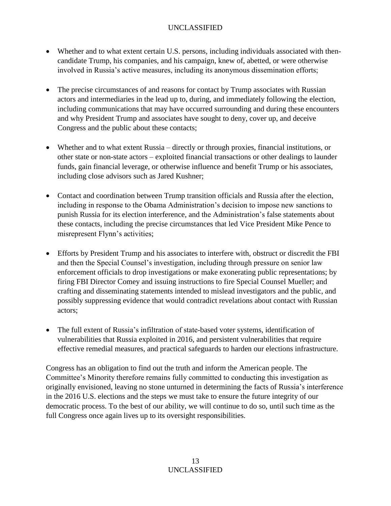- Whether and to what extent certain U.S. persons, including individuals associated with thencandidate Trump, his companies, and his campaign, knew of, abetted, or were otherwise involved in Russia's active measures, including its anonymous dissemination efforts;
- The precise circumstances of and reasons for contact by Trump associates with Russian actors and intermediaries in the lead up to, during, and immediately following the election, including communications that may have occurred surrounding and during these encounters and why President Trump and associates have sought to deny, cover up, and deceive Congress and the public about these contacts;
- Whether and to what extent Russia directly or through proxies, financial institutions, or other state or non-state actors – exploited financial transactions or other dealings to launder funds, gain financial leverage, or otherwise influence and benefit Trump or his associates, including close advisors such as Jared Kushner;
- Contact and coordination between Trump transition officials and Russia after the election, including in response to the Obama Administration's decision to impose new sanctions to punish Russia for its election interference, and the Administration's false statements about these contacts, including the precise circumstances that led Vice President Mike Pence to misrepresent Flynn's activities;
- Efforts by President Trump and his associates to interfere with, obstruct or discredit the FBI and then the Special Counsel's investigation, including through pressure on senior law enforcement officials to drop investigations or make exonerating public representations; by firing FBI Director Comey and issuing instructions to fire Special Counsel Mueller; and crafting and disseminating statements intended to mislead investigators and the public, and possibly suppressing evidence that would contradict revelations about contact with Russian actors;
- The full extent of Russia's infiltration of state-based voter systems, identification of vulnerabilities that Russia exploited in 2016, and persistent vulnerabilities that require effective remedial measures, and practical safeguards to harden our elections infrastructure.

Congress has an obligation to find out the truth and inform the American people. The Committee's Minority therefore remains fully committed to conducting this investigation as originally envisioned, leaving no stone unturned in determining the facts of Russia's interference in the 2016 U.S. elections and the steps we must take to ensure the future integrity of our democratic process. To the best of our ability, we will continue to do so, until such time as the full Congress once again lives up to its oversight responsibilities.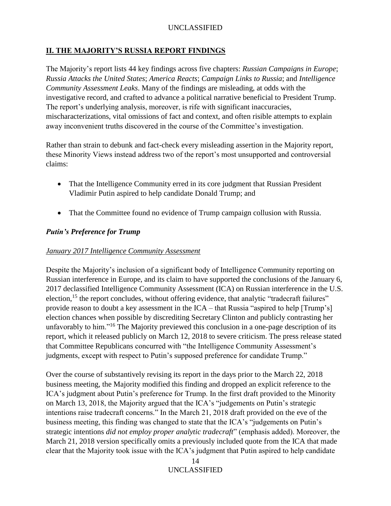## <span id="page-13-0"></span>**II. THE MAJORITY'S RUSSIA REPORT FINDINGS**

The Majority's report lists 44 key findings across five chapters: *Russian Campaigns in Europe*; *Russia Attacks the United States*; *America Reacts*; *Campaign Links to Russia*; and *Intelligence Community Assessment Leaks*. Many of the findings are misleading, at odds with the investigative record, and crafted to advance a political narrative beneficial to President Trump. The report's underlying analysis, moreover, is rife with significant inaccuracies, mischaracterizations, vital omissions of fact and context, and often risible attempts to explain away inconvenient truths discovered in the course of the Committee's investigation.

Rather than strain to debunk and fact-check every misleading assertion in the Majority report, these Minority Views instead address two of the report's most unsupported and controversial claims:

- That the Intelligence Community erred in its core judgment that Russian President Vladimir Putin aspired to help candidate Donald Trump; and
- That the Committee found no evidence of Trump campaign collusion with Russia.

## <span id="page-13-1"></span>*Putin's Preference for Trump*

#### <span id="page-13-2"></span>*January 2017 Intelligence Community Assessment*

Despite the Majority's inclusion of a significant body of Intelligence Community reporting on Russian interference in Europe, and its claim to have supported the conclusions of the January 6, 2017 declassified Intelligence Community Assessment (ICA) on Russian interference in the U.S. election,<sup>15</sup> the report concludes, without offering evidence, that analytic "tradecraft failures" provide reason to doubt a key assessment in the ICA – that Russia "aspired to help [Trump's] election chances when possible by discrediting Secretary Clinton and publicly contrasting her unfavorably to him."<sup>16</sup> The Majority previewed this conclusion in a one-page description of its report, which it released publicly on March 12, 2018 to severe criticism. The press release stated that Committee Republicans concurred with "the Intelligence Community Assessment's judgments, except with respect to Putin's supposed preference for candidate Trump."

Over the course of substantively revising its report in the days prior to the March 22, 2018 business meeting, the Majority modified this finding and dropped an explicit reference to the ICA's judgment about Putin's preference for Trump. In the first draft provided to the Minority on March 13, 2018, the Majority argued that the ICA's "judgements on Putin's strategic intentions raise tradecraft concerns." In the March 21, 2018 draft provided on the eve of the business meeting, this finding was changed to state that the ICA's "judgements on Putin's strategic intentions *did not employ proper analytic tradecraft*" (emphasis added). Moreover, the March 21, 2018 version specifically omits a previously included quote from the ICA that made clear that the Majority took issue with the ICA's judgment that Putin aspired to help candidate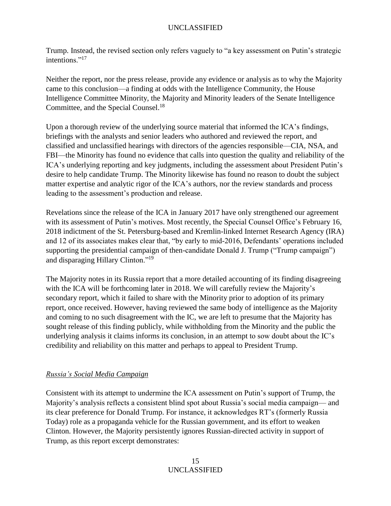Trump. Instead, the revised section only refers vaguely to "a key assessment on Putin's strategic intentions."<sup>17</sup>

Neither the report, nor the press release, provide any evidence or analysis as to why the Majority came to this conclusion—a finding at odds with the Intelligence Community, the House Intelligence Committee Minority, the Majority and Minority leaders of the Senate Intelligence Committee, and the Special Counsel.<sup>18</sup>

Upon a thorough review of the underlying source material that informed the ICA's findings, briefings with the analysts and senior leaders who authored and reviewed the report, and classified and unclassified hearings with directors of the agencies responsible—CIA, NSA, and FBI—the Minority has found no evidence that calls into question the quality and reliability of the ICA's underlying reporting and key judgments, including the assessment about President Putin's desire to help candidate Trump. The Minority likewise has found no reason to doubt the subject matter expertise and analytic rigor of the ICA's authors, nor the review standards and process leading to the assessment's production and release.

Revelations since the release of the ICA in January 2017 have only strengthened our agreement with its assessment of Putin's motives. Most recently, the Special Counsel Office's February 16, 2018 indictment of the St. Petersburg-based and Kremlin-linked Internet Research Agency (IRA) and 12 of its associates makes clear that, "by early to mid-2016, Defendants' operations included supporting the presidential campaign of then-candidate Donald J. Trump ("Trump campaign") and disparaging Hillary Clinton."<sup>19</sup>

The Majority notes in its Russia report that a more detailed accounting of its finding disagreeing with the ICA will be forthcoming later in 2018. We will carefully review the Majority's secondary report, which it failed to share with the Minority prior to adoption of its primary report, once received. However, having reviewed the same body of intelligence as the Majority and coming to no such disagreement with the IC, we are left to presume that the Majority has sought release of this finding publicly, while withholding from the Minority and the public the underlying analysis it claims informs its conclusion, in an attempt to sow doubt about the IC's credibility and reliability on this matter and perhaps to appeal to President Trump.

## <span id="page-14-0"></span>*Russia's Social Media Campaign*

Consistent with its attempt to undermine the ICA assessment on Putin's support of Trump, the Majority's analysis reflects a consistent blind spot about Russia's social media campaign— and its clear preference for Donald Trump. For instance, it acknowledges RT's (formerly Russia Today) role as a propaganda vehicle for the Russian government, and its effort to weaken Clinton. However, the Majority persistently ignores Russian-directed activity in support of Trump, as this report excerpt demonstrates: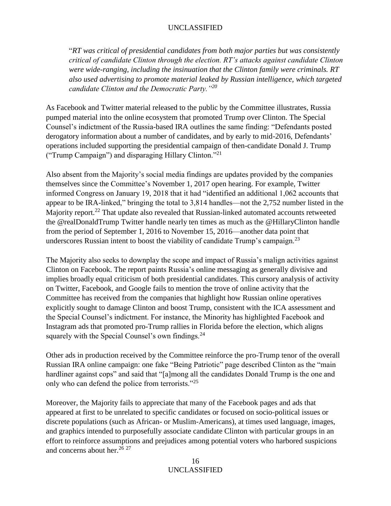"*RT was critical of presidential candidates from both major parties but was consistently critical of candidate Clinton through the election. RT's attacks against candidate Clinton were wide-ranging, including the insinuation that the Clinton family were criminals. RT also used advertising to promote material leaked by Russian intelligence, which targeted candidate Clinton and the Democratic Party."<sup>20</sup>*

As Facebook and Twitter material released to the public by the Committee illustrates, Russia pumped material into the online ecosystem that promoted Trump over Clinton. The Special Counsel's indictment of the Russia-based IRA outlines the same finding: "Defendants posted derogatory information about a number of candidates, and by early to mid-2016, Defendants' operations included supporting the presidential campaign of then-candidate Donald J. Trump ("Trump Campaign") and disparaging Hillary Clinton."<sup>21</sup>

Also absent from the Majority's social media findings are updates provided by the companies themselves since the Committee's November 1, 2017 open hearing. For example, Twitter informed Congress on January 19, 2018 that it had "identified an additional 1,062 accounts that appear to be IRA-linked," bringing the total to 3,814 handles—not the 2,752 number listed in the Majority report.<sup>22</sup> That update also revealed that Russian-linked automated accounts retweeted the @realDonaldTrump Twitter handle nearly ten times as much as the @HillaryClinton handle from the period of September 1, 2016 to November 15, 2016—another data point that underscores Russian intent to boost the viability of candidate Trump's campaign.<sup>23</sup>

The Majority also seeks to downplay the scope and impact of Russia's malign activities against Clinton on Facebook. The report paints Russia's online messaging as generally divisive and implies broadly equal criticism of both presidential candidates. This cursory analysis of activity on Twitter, Facebook, and Google fails to mention the trove of online activity that the Committee has received from the companies that highlight how Russian online operatives explicitly sought to damage Clinton and boost Trump, consistent with the ICA assessment and the Special Counsel's indictment. For instance, the Minority has highlighted Facebook and Instagram ads that promoted pro-Trump rallies in Florida before the election, which aligns squarely with the Special Counsel's own findings.<sup>24</sup>

Other ads in production received by the Committee reinforce the pro-Trump tenor of the overall Russian IRA online campaign: one fake "Being Patriotic" page described Clinton as the "main hardliner against cops" and said that "[a]mong all the candidates Donald Trump is the one and only who can defend the police from terrorists."<sup>25</sup>

Moreover, the Majority fails to appreciate that many of the Facebook pages and ads that appeared at first to be unrelated to specific candidates or focused on socio-political issues or discrete populations (such as African- or Muslim-Americans), at times used language, images, and graphics intended to purposefully associate candidate Clinton with particular groups in an effort to reinforce assumptions and prejudices among potential voters who harbored suspicions and concerns about her. 26 27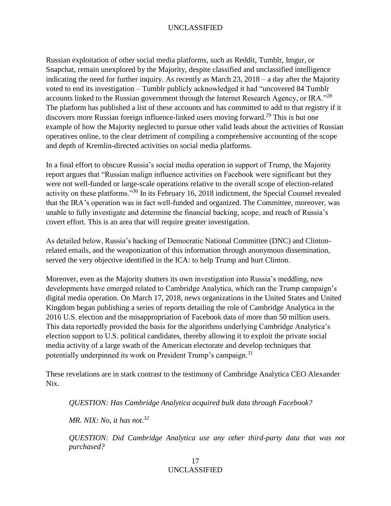Russian exploitation of other social media platforms, such as Reddit, Tumblr, Imgur, or Snapchat, remain unexplored by the Majority, despite classified and unclassified intelligence indicating the need for further inquiry. As recently as March 23, 2018 – a day after the Majority voted to end its investigation – Tumblr publicly acknowledged it had "uncovered 84 Tumblr accounts linked to the Russian government through the Internet Research Agency, or IRA."<sup>28</sup> The platform has published a list of these accounts and has committed to add to that registry if it discovers more Russian foreign influence-linked users moving forward.<sup>29</sup> This is but one example of how the Majority neglected to pursue other valid leads about the activities of Russian operatives online, to the clear detriment of compiling a comprehensive accounting of the scope and depth of Kremlin-directed activities on social media platforms.

In a final effort to obscure Russia's social media operation in support of Trump, the Majority report argues that "Russian malign influence activities on Facebook were significant but they were not well-funded or large-scale operations relative to the overall scope of election-related activity on these platforms."<sup>30</sup> In its February 16, 2018 indictment, the Special Counsel revealed that the IRA's operation was in fact well-funded and organized. The Committee, moreover, was unable to fully investigate and determine the financial backing, scope, and reach of Russia's covert effort. This is an area that will require greater investigation.

As detailed below, Russia's hacking of Democratic National Committee (DNC) and Clintonrelated emails, and the weaponization of this information through anonymous dissemination, served the very objective identified in the ICA: to help Trump and hurt Clinton.

Moreover, even as the Majority shutters its own investigation into Russia's meddling, new developments have emerged related to Cambridge Analytica, which ran the Trump campaign's digital media operation. On March 17, 2018, news organizations in the United States and United Kingdom began publishing a series of reports detailing the role of Cambridge Analytica in the 2016 U.S. election and the misappropriation of Facebook data of more than 50 million users. This data reportedly provided the basis for the algorithms underlying Cambridge Analytica's election support to U.S. political candidates, thereby allowing it to exploit the private social media activity of a large swath of the American electorate and develop techniques that potentially underpinned its work on President Trump's campaign.<sup>31</sup>

These revelations are in stark contrast to the testimony of Cambridge Analytica CEO Alexander Nix.

*QUESTION: Has Cambridge Analytica acquired bulk data through Facebook?*

*MR. NIX: No, it has not.<sup>32</sup>*

*QUESTION: Did Cambridge Analytica use any other third-party data that was not purchased?*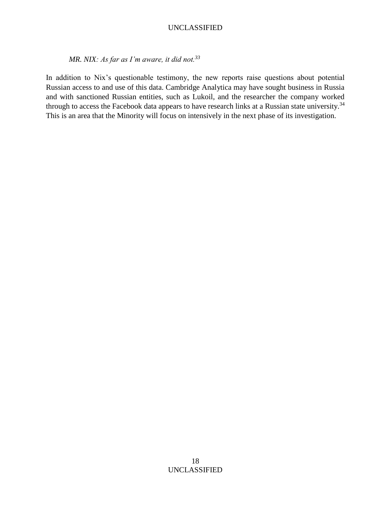*MR. NIX: As far as I'm aware, it did not.<sup>33</sup>*

In addition to Nix's questionable testimony, the new reports raise questions about potential Russian access to and use of this data. Cambridge Analytica may have sought business in Russia and with sanctioned Russian entities, such as Lukoil, and the researcher the company worked through to access the Facebook data appears to have research links at a Russian state university.<sup>34</sup> This is an area that the Minority will focus on intensively in the next phase of its investigation.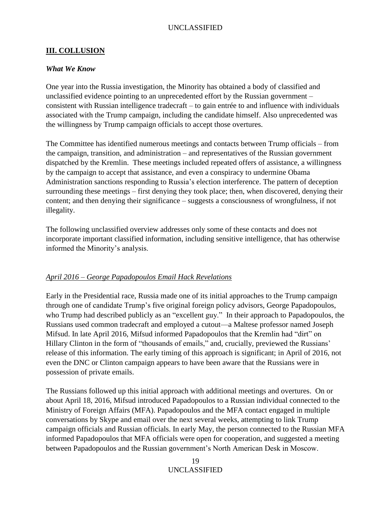#### <span id="page-18-0"></span>**III. COLLUSION**

#### <span id="page-18-1"></span>*What We Know*

One year into the Russia investigation, the Minority has obtained a body of classified and unclassified evidence pointing to an unprecedented effort by the Russian government – consistent with Russian intelligence tradecraft – to gain entrée to and influence with individuals associated with the Trump campaign, including the candidate himself. Also unprecedented was the willingness by Trump campaign officials to accept those overtures.

The Committee has identified numerous meetings and contacts between Trump officials – from the campaign, transition, and administration – and representatives of the Russian government dispatched by the Kremlin. These meetings included repeated offers of assistance, a willingness by the campaign to accept that assistance, and even a conspiracy to undermine Obama Administration sanctions responding to Russia's election interference. The pattern of deception surrounding these meetings – first denying they took place; then, when discovered, denying their content; and then denying their significance – suggests a consciousness of wrongfulness, if not illegality.

The following unclassified overview addresses only some of these contacts and does not incorporate important classified information, including sensitive intelligence, that has otherwise informed the Minority's analysis.

#### <span id="page-18-2"></span>*April 2016 – George Papadopoulos Email Hack Revelations*

Early in the Presidential race, Russia made one of its initial approaches to the Trump campaign through one of candidate Trump's five original foreign policy advisors, George Papadopoulos, who Trump had described publicly as an "excellent guy." In their approach to Papadopoulos, the Russians used common tradecraft and employed a cutout—a Maltese professor named Joseph Mifsud. In late April 2016, Mifsud informed Papadopoulos that the Kremlin had "dirt" on Hillary Clinton in the form of "thousands of emails," and, crucially, previewed the Russians' release of this information. The early timing of this approach is significant; in April of 2016, not even the DNC or Clinton campaign appears to have been aware that the Russians were in possession of private emails.

The Russians followed up this initial approach with additional meetings and overtures. On or about April 18, 2016, Mifsud introduced Papadopoulos to a Russian individual connected to the Ministry of Foreign Affairs (MFA). Papadopoulos and the MFA contact engaged in multiple conversations by Skype and email over the next several weeks, attempting to link Trump campaign officials and Russian officials. In early May, the person connected to the Russian MFA informed Papadopoulos that MFA officials were open for cooperation, and suggested a meeting between Papadopoulos and the Russian government's North American Desk in Moscow.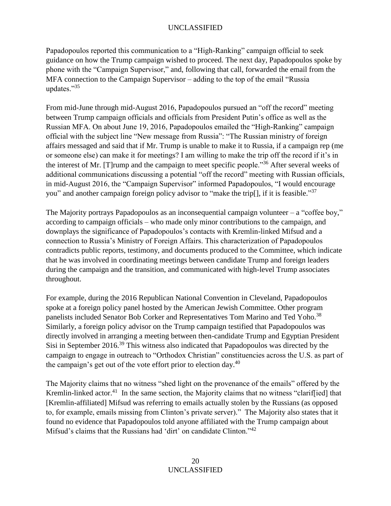Papadopoulos reported this communication to a "High-Ranking" campaign official to seek guidance on how the Trump campaign wished to proceed. The next day, Papadopoulos spoke by phone with the "Campaign Supervisor," and, following that call, forwarded the email from the MFA connection to the Campaign Supervisor – adding to the top of the email "Russia updates."<sup>35</sup>

From mid-June through mid-August 2016, Papadopoulos pursued an "off the record" meeting between Trump campaign officials and officials from President Putin's office as well as the Russian MFA. On about June 19, 2016, Papadopoulos emailed the "High-Ranking" campaign official with the subject line "New message from Russia": "The Russian ministry of foreign affairs messaged and said that if Mr. Trump is unable to make it to Russia, if a campaign rep (me or someone else) can make it for meetings? I am willing to make the trip off the record if it's in the interest of Mr. [T]rump and the campaign to meet specific people."<sup>36</sup> After several weeks of additional communications discussing a potential "off the record" meeting with Russian officials, in mid-August 2016, the "Campaign Supervisor" informed Papadopoulos, "I would encourage you" and another campaign foreign policy advisor to "make the trip[], if it is feasible."<sup>37</sup>

The Majority portrays Papadopoulos as an inconsequential campaign volunteer  $-$  a "coffee boy," according to campaign officials – who made only minor contributions to the campaign, and downplays the significance of Papadopoulos's contacts with Kremlin-linked Mifsud and a connection to Russia's Ministry of Foreign Affairs. This characterization of Papadopoulos contradicts public reports, testimony, and documents produced to the Committee, which indicate that he was involved in coordinating meetings between candidate Trump and foreign leaders during the campaign and the transition, and communicated with high-level Trump associates throughout.

For example, during the 2016 Republican National Convention in Cleveland, Papadopoulos spoke at a foreign policy panel hosted by the American Jewish Committee. Other program panelists included Senator Bob Corker and Representatives Tom Marino and Ted Yoho.<sup>38</sup> Similarly, a foreign policy advisor on the Trump campaign testified that Papadopoulos was directly involved in arranging a meeting between then-candidate Trump and Egyptian President Sisi in September 2016.<sup>39</sup> This witness also indicated that Papadopoulos was directed by the campaign to engage in outreach to "Orthodox Christian" constituencies across the U.S. as part of the campaign's get out of the vote effort prior to election day.<sup>40</sup>

The Majority claims that no witness "shed light on the provenance of the emails" offered by the Kremlin-linked actor.<sup>41</sup> In the same section, the Majority claims that no witness "clarif[ied] that [Kremlin-affiliated] Mifsud was referring to emails actually stolen by the Russians (as opposed to, for example, emails missing from Clinton's private server)." The Majority also states that it found no evidence that Papadopoulos told anyone affiliated with the Trump campaign about Mifsud's claims that the Russians had 'dirt' on candidate Clinton."<sup>42</sup>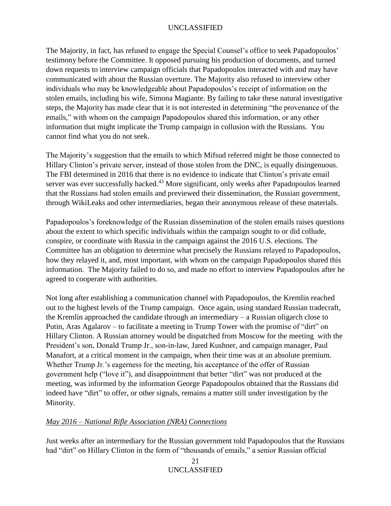The Majority, in fact, has refused to engage the Special Counsel's office to seek Papadopoulos' testimony before the Committee. It opposed pursuing his production of documents, and turned down requests to interview campaign officials that Papadopoulos interacted with and may have communicated with about the Russian overture. The Majority also refused to interview other individuals who may be knowledgeable about Papadopoulos's receipt of information on the stolen emails, including his wife, Simona Magiante. By failing to take these natural investigative steps, the Majority has made clear that it is not interested in determining "the provenance of the emails," with whom on the campaign Papadopoulos shared this information, or any other information that might implicate the Trump campaign in collusion with the Russians. You cannot find what you do not seek.

The Majority's suggestion that the emails to which Mifsud referred might be those connected to Hillary Clinton's private server, instead of those stolen from the DNC, is equally disingenuous. The FBI determined in 2016 that there is no evidence to indicate that Clinton's private email server was ever successfully hacked.<sup>43</sup> More significant, only weeks after Papadopoulos learned that the Russians had stolen emails and previewed their dissemination, the Russian government, through WikiLeaks and other intermediaries, began their anonymous release of these materials.

Papadopoulos's foreknowledge of the Russian dissemination of the stolen emails raises questions about the extent to which specific individuals within the campaign sought to or did collude, conspire, or coordinate with Russia in the campaign against the 2016 U.S. elections. The Committee has an obligation to determine what precisely the Russians relayed to Papadopoulos, how they relayed it, and, most important, with whom on the campaign Papadopoulos shared this information. The Majority failed to do so, and made no effort to interview Papadopoulos after he agreed to cooperate with authorities.

Not long after establishing a communication channel with Papadopoulos, the Kremlin reached out to the highest levels of the Trump campaign. Once again, using standard Russian tradecraft, the Kremlin approached the candidate through an intermediary – a Russian oligarch close to Putin, Aras Agalarov – to facilitate a meeting in Trump Tower with the promise of "dirt" on Hillary Clinton. A Russian attorney would be dispatched from Moscow for the meeting with the President's son, Donald Trump Jr., son-in-law, Jared Kushner, and campaign manager, Paul Manafort, at a critical moment in the campaign, when their time was at an absolute premium. Whether Trump Jr.'s eagerness for the meeting, his acceptance of the offer of Russian government help ("love it"), and disappointment that better "dirt" was not produced at the meeting, was informed by the information George Papadopoulos obtained that the Russians did indeed have "dirt" to offer, or other signals, remains a matter still under investigation by the Minority.

## <span id="page-20-0"></span>*May 2016 – National Rifle Association (NRA) Connections*

Just weeks after an intermediary for the Russian government told Papadopoulos that the Russians had "dirt" on Hillary Clinton in the form of "thousands of emails," a senior Russian official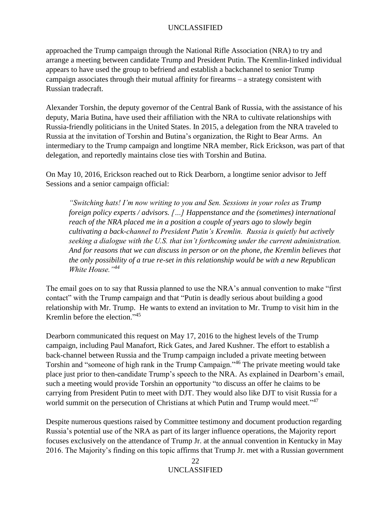approached the Trump campaign through the National Rifle Association (NRA) to try and arrange a meeting between candidate Trump and President Putin. The Kremlin-linked individual appears to have used the group to befriend and establish a backchannel to senior Trump campaign associates through their mutual affinity for firearms – a strategy consistent with Russian tradecraft.

Alexander Torshin, the deputy governor of the Central Bank of Russia, with the assistance of his deputy, Maria Butina, have used their affiliation with the NRA to cultivate relationships with Russia-friendly politicians in the United States. In 2015, a delegation from the NRA traveled to Russia at the invitation of Torshin and Butina's organization, the Right to Bear Arms. An intermediary to the Trump campaign and longtime NRA member, Rick Erickson, was part of that delegation, and reportedly maintains close ties with Torshin and Butina.

On May 10, 2016, Erickson reached out to Rick Dearborn, a longtime senior advisor to Jeff Sessions and a senior campaign official:

*"Switching hats! I'm now writing to you and Sen. Sessions in your roles as Trump foreign policy experts / advisors. […] Happenstance and the (sometimes) international reach of the NRA placed me in a position a couple of years ago to slowly begin cultivating a back-channel to President Putin's Kremlin. Russia is quietly but actively seeking a dialogue with the U.S. that isn't forthcoming under the current administration. And for reasons that we can discuss in person or on the phone, the Kremlin believes that the only possibility of a true re-set in this relationship would be with a new Republican White House."<sup>44</sup>* 

The email goes on to say that Russia planned to use the NRA's annual convention to make "first contact" with the Trump campaign and that "Putin is deadly serious about building a good relationship with Mr. Trump. He wants to extend an invitation to Mr. Trump to visit him in the Kremlin before the election."<sup>45</sup>

Dearborn communicated this request on May 17, 2016 to the highest levels of the Trump campaign, including Paul Manafort, Rick Gates, and Jared Kushner. The effort to establish a back-channel between Russia and the Trump campaign included a private meeting between Torshin and "someone of high rank in the Trump Campaign."<sup>46</sup> The private meeting would take place just prior to then-candidate Trump's speech to the NRA. As explained in Dearborn's email, such a meeting would provide Torshin an opportunity "to discuss an offer he claims to be carrying from President Putin to meet with DJT. They would also like DJT to visit Russia for a world summit on the persecution of Christians at which Putin and Trump would meet."<sup>47</sup>

Despite numerous questions raised by Committee testimony and document production regarding Russia's potential use of the NRA as part of its larger influence operations, the Majority report focuses exclusively on the attendance of Trump Jr. at the annual convention in Kentucky in May 2016. The Majority's finding on this topic affirms that Trump Jr. met with a Russian government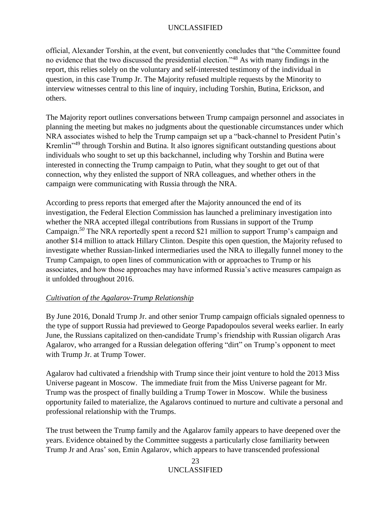official, Alexander Torshin, at the event, but conveniently concludes that "the Committee found no evidence that the two discussed the presidential election."<sup>48</sup> As with many findings in the report, this relies solely on the voluntary and self-interested testimony of the individual in question, in this case Trump Jr. The Majority refused multiple requests by the Minority to interview witnesses central to this line of inquiry, including Torshin, Butina, Erickson, and others.

The Majority report outlines conversations between Trump campaign personnel and associates in planning the meeting but makes no judgments about the questionable circumstances under which NRA associates wished to help the Trump campaign set up a "back-channel to President Putin's Kremlin"<sup>49</sup> through Torshin and Butina. It also ignores significant outstanding questions about individuals who sought to set up this backchannel, including why Torshin and Butina were interested in connecting the Trump campaign to Putin, what they sought to get out of that connection, why they enlisted the support of NRA colleagues, and whether others in the campaign were communicating with Russia through the NRA.

According to press reports that emerged after the Majority announced the end of its investigation, the Federal Election Commission has launched a preliminary investigation into whether the NRA accepted illegal contributions from Russians in support of the Trump Campaign.*<sup>50</sup>* The NRA reportedly spent a record \$21 million to support Trump's campaign and another \$14 million to attack Hillary Clinton. Despite this open question, the Majority refused to investigate whether Russian-linked intermediaries used the NRA to illegally funnel money to the Trump Campaign, to open lines of communication with or approaches to Trump or his associates, and how those approaches may have informed Russia's active measures campaign as it unfolded throughout 2016.

## <span id="page-22-0"></span>*Cultivation of the Agalarov-Trump Relationship*

By June 2016, Donald Trump Jr. and other senior Trump campaign officials signaled openness to the type of support Russia had previewed to George Papadopoulos several weeks earlier. In early June, the Russians capitalized on then-candidate Trump's friendship with Russian oligarch Aras Agalarov, who arranged for a Russian delegation offering "dirt" on Trump's opponent to meet with Trump Jr. at Trump Tower.

Agalarov had cultivated a friendship with Trump since their joint venture to hold the 2013 Miss Universe pageant in Moscow. The immediate fruit from the Miss Universe pageant for Mr. Trump was the prospect of finally building a Trump Tower in Moscow. While the business opportunity failed to materialize, the Agalarovs continued to nurture and cultivate a personal and professional relationship with the Trumps.

The trust between the Trump family and the Agalarov family appears to have deepened over the years. Evidence obtained by the Committee suggests a particularly close familiarity between Trump Jr and Aras' son, Emin Agalarov, which appears to have transcended professional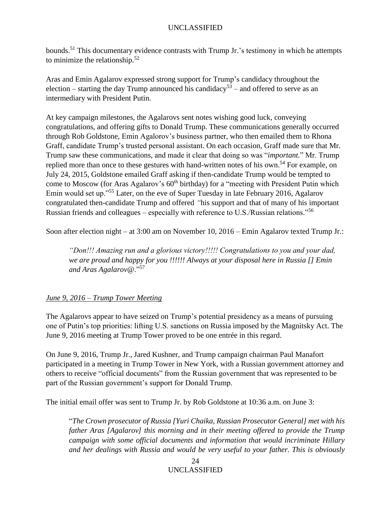bounds.<sup>51</sup> This documentary evidence contrasts with Trump Jr.'s testimony in which he attempts to minimize the relationship.<sup>52</sup>

Aras and Emin Agalarov expressed strong support for Trump's candidacy throughout the election – starting the day Trump announced his candidacy<sup>53</sup> – and offered to serve as an intermediary with President Putin.

At key campaign milestones, the Agalarovs sent notes wishing good luck, conveying congratulations, and offering gifts to Donald Trump. These communications generally occurred through Rob Goldstone, Emin Agalorov's business partner, who then emailed them to Rhona Graff, candidate Trump's trusted personal assistant. On each occasion, Graff made sure that Mr. Trump saw these communications, and made it clear that doing so was "*important.*" Mr. Trump replied more than once to these gestures with hand-written notes of his own.<sup>54</sup> For example, on July 24, 2015, Goldstone emailed Graff asking if then-candidate Trump would be tempted to come to Moscow (for Aras Agalarov's  $60<sup>th</sup>$  birthday) for a "meeting with President Putin which Emin would set up."<sup>55</sup> Later, on the eve of Super Tuesday in late February 2016, Agalarov congratulated then-candidate Trump and offered *"*his support and that of many of his important Russian friends and colleagues – especially with reference to U.S./Russian relations."<sup>56</sup>

Soon after election night – at 3:00 am on November 10, 2016 – Emin Agalarov texted Trump Jr.:

*"Don!!! Amazing run and a glorious victory!!!!! Congratulations to you and your dad, we are proud and happy for you !!!!!! Always at your disposal here in Russia [] Emin and Aras Agalarov@*."<sup>57</sup>

## <span id="page-23-0"></span>*June 9, 2016 – Trump Tower Meeting*

The Agalarovs appear to have seized on Trump's potential presidency as a means of pursuing one of Putin's top priorities: lifting U.S. sanctions on Russia imposed by the Magnitsky Act. The June 9, 2016 meeting at Trump Tower proved to be one entrée in this regard.

On June 9, 2016, Trump Jr., Jared Kushner, and Trump campaign chairman Paul Manafort participated in a meeting in Trump Tower in New York, with a Russian government attorney and others to receive "official documents" from the Russian government that was represented to be part of the Russian government's support for Donald Trump.

The initial email offer was sent to Trump Jr. by Rob Goldstone at 10:36 a.m. on June 3:

"*The Crown prosecutor of Russia [Yuri Chaika, Russian Prosecutor General] met with his father Aras [Agalarov] this morning and in their meeting offered to provide the Trump campaign with some official documents and information that would incriminate Hillary and her dealings with Russia and would be very useful to your father. This is obviously*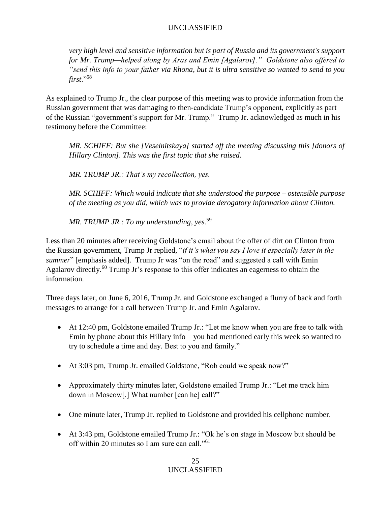*very high level and sensitive information but is part of Russia and its government's support for Mr. Trump—helped along by Aras and Emin [Agalarov]." Goldstone also offered to "send this info to your father via Rhona, but it is ultra sensitive so wanted to send to you first*."<sup>58</sup>

As explained to Trump Jr., the clear purpose of this meeting was to provide information from the Russian government that was damaging to then-candidate Trump's opponent, explicitly as part of the Russian "government's support for Mr. Trump." Trump Jr. acknowledged as much in his testimony before the Committee:

*MR. SCHIFF: But she [Veselnitskaya] started off the meeting discussing this [donors of Hillary Clinton]. This was the first topic that she raised.*

*MR. TRUMP JR.: That's my recollection, yes.*

*MR. SCHIFF: Which would indicate that she understood the purpose – ostensible purpose of the meeting as you did, which was to provide derogatory information about Clinton.*

*MR. TRUMP JR.: To my understanding, yes.*<sup>59</sup>

Less than 20 minutes after receiving Goldstone's email about the offer of dirt on Clinton from the Russian government, Trump Jr replied, "*if it's what you say I love it especially later in the summer*" [emphasis added]. Trump Jr was "on the road" and suggested a call with Emin Agalarov directly.<sup>60</sup> Trump Jr's response to this offer indicates an eagerness to obtain the information.

Three days later, on June 6, 2016, Trump Jr. and Goldstone exchanged a flurry of back and forth messages to arrange for a call between Trump Jr. and Emin Agalarov.

- At 12:40 pm, Goldstone emailed Trump Jr.: "Let me know when you are free to talk with Emin by phone about this Hillary info – you had mentioned early this week so wanted to try to schedule a time and day. Best to you and family."
- At 3:03 pm, Trump Jr. emailed Goldstone, "Rob could we speak now?"
- Approximately thirty minutes later, Goldstone emailed Trump Jr.: "Let me track him down in Moscow[.] What number [can he] call?"
- One minute later, Trump Jr. replied to Goldstone and provided his cellphone number.
- At 3:43 pm, Goldstone emailed Trump Jr.: "Ok he's on stage in Moscow but should be off within 20 minutes so I am sure can call."<sup>61</sup>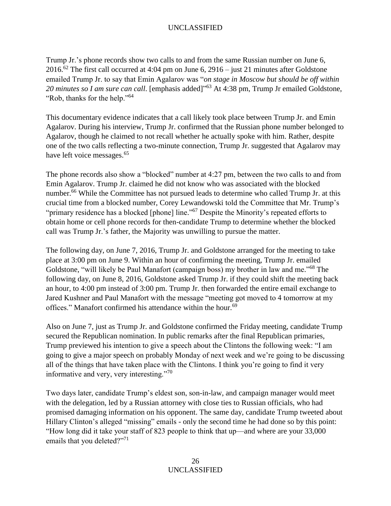Trump Jr.'s phone records show two calls to and from the same Russian number on June 6, 2016.<sup>62</sup> The first call occurred at 4:04 pm on June 6, 2916 – just 21 minutes after Goldstone emailed Trump Jr. to say that Emin Agalarov was "*on stage in Moscow but should be off within*  20 minutes so I am sure can call. [emphasis added]<sup>"63</sup> At 4:38 pm, Trump Jr emailed Goldstone, "Rob, thanks for the help."<sup>64</sup>

This documentary evidence indicates that a call likely took place between Trump Jr. and Emin Agalarov. During his interview, Trump Jr. confirmed that the Russian phone number belonged to Agalarov, though he claimed to not recall whether he actually spoke with him. Rather, despite one of the two calls reflecting a two-minute connection, Trump Jr. suggested that Agalarov may have left voice messages.<sup>65</sup>

The phone records also show a "blocked" number at 4:27 pm, between the two calls to and from Emin Agalarov. Trump Jr. claimed he did not know who was associated with the blocked number.<sup>66</sup> While the Committee has not pursued leads to determine who called Trump Jr. at this crucial time from a blocked number, Corey Lewandowski told the Committee that Mr. Trump's "primary residence has a blocked [phone] line."<sup>67</sup> Despite the Minority's repeated efforts to obtain home or cell phone records for then-candidate Trump to determine whether the blocked call was Trump Jr.'s father, the Majority was unwilling to pursue the matter.

The following day, on June 7, 2016, Trump Jr. and Goldstone arranged for the meeting to take place at 3:00 pm on June 9. Within an hour of confirming the meeting, Trump Jr. emailed Goldstone, "will likely be Paul Manafort (campaign boss) my brother in law and me."<sup>68</sup> The following day, on June 8, 2016, Goldstone asked Trump Jr. if they could shift the meeting back an hour, to 4:00 pm instead of 3:00 pm. Trump Jr. then forwarded the entire email exchange to Jared Kushner and Paul Manafort with the message "meeting got moved to 4 tomorrow at my offices." Manafort confirmed his attendance within the hour.<sup>69</sup>

Also on June 7, just as Trump Jr. and Goldstone confirmed the Friday meeting, candidate Trump secured the Republican nomination. In public remarks after the final Republican primaries, Trump previewed his intention to give a speech about the Clintons the following week: "I am going to give a major speech on probably Monday of next week and we're going to be discussing all of the things that have taken place with the Clintons. I think you're going to find it very informative and very, very interesting."<sup>70</sup>

Two days later, candidate Trump's eldest son, son-in-law, and campaign manager would meet with the delegation, led by a Russian attorney with close ties to Russian officials, who had promised damaging information on his opponent. The same day, candidate Trump tweeted about Hillary Clinton's alleged "missing" emails - only the second time he had done so by this point: "How long did it take your staff of 823 people to think that up—and where are your 33,000 emails that you deleted?"<sup>71</sup>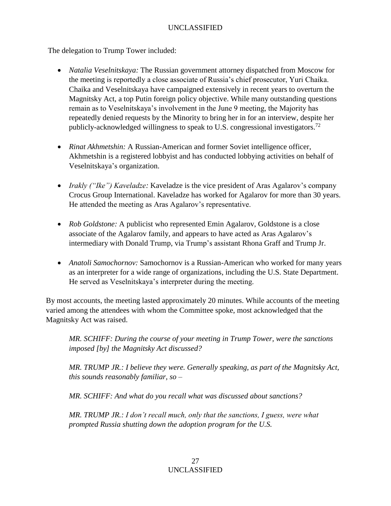The delegation to Trump Tower included:

- *Natalia Veselnitskaya:* The Russian government attorney dispatched from Moscow for the meeting is reportedly a close associate of Russia's chief prosecutor, Yuri Chaika. Chaika and Veselnitskaya have campaigned extensively in recent years to overturn the Magnitsky Act, a top Putin foreign policy objective. While many outstanding questions remain as to Veselnitskaya's involvement in the June 9 meeting, the Majority has repeatedly denied requests by the Minority to bring her in for an interview, despite her publicly-acknowledged willingness to speak to U.S. congressional investigators.<sup>72</sup>
- *Rinat Akhmetshin:* A Russian-American and former Soviet intelligence officer, Akhmetshin is a registered lobbyist and has conducted lobbying activities on behalf of Veselnitskaya's organization.
- *Irakly ("Ike") Kaveladze:* Kaveladze is the vice president of Aras Agalarov's company Crocus Group International. Kaveladze has worked for Agalarov for more than 30 years. He attended the meeting as Aras Agalarov's representative.
- *Rob Goldstone:* A publicist who represented Emin Agalarov, Goldstone is a close associate of the Agalarov family, and appears to have acted as Aras Agalarov's intermediary with Donald Trump, via Trump's assistant Rhona Graff and Trump Jr.
- *Anatoli Samochornov:* Samochornov is a Russian-American who worked for many years as an interpreter for a wide range of organizations, including the U.S. State Department. He served as Veselnitskaya's interpreter during the meeting.

By most accounts, the meeting lasted approximately 20 minutes. While accounts of the meeting varied among the attendees with whom the Committee spoke, most acknowledged that the Magnitsky Act was raised.

*MR. SCHIFF: During the course of your meeting in Trump Tower, were the sanctions imposed [by] the Magnitsky Act discussed?*

*MR. TRUMP JR.: I believe they were. Generally speaking, as part of the Magnitsky Act, this sounds reasonably familiar, so –*

*MR. SCHIFF: And what do you recall what was discussed about sanctions?*

*MR. TRUMP JR.: I don't recall much, only that the sanctions, I guess, were what prompted Russia shutting down the adoption program for the U.S.*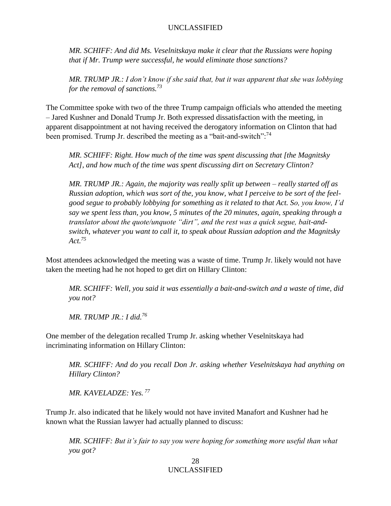*MR. SCHIFF: And did Ms. Veselnitskaya make it clear that the Russians were hoping that if Mr. Trump were successful, he would eliminate those sanctions?*

*MR. TRUMP JR.: I don't know if she said that, but it was apparent that she was lobbying for the removal of sanctions.<sup>73</sup>*

The Committee spoke with two of the three Trump campaign officials who attended the meeting – Jared Kushner and Donald Trump Jr. Both expressed dissatisfaction with the meeting, in apparent disappointment at not having received the derogatory information on Clinton that had been promised. Trump Jr. described the meeting as a "bait-and-switch":<sup>74</sup>

*MR. SCHIFF: Right. How much of the time was spent discussing that [the Magnitsky Act], and how much of the time was spent discussing dirt on Secretary Clinton?*

*MR. TRUMP JR.: Again, the majority was really split up between – really started off as Russian adoption, which was sort of the, you know, what I perceive to be sort of the feelgood segue to probably lobbying for something as it related to that Act. So, you know, I'd say we spent less than, you know, 5 minutes of the 20 minutes, again, speaking through a translator about the quote/unquote "dirt", and the rest was a quick segue, bait-andswitch, whatever you want to call it, to speak about Russian adoption and the Magnitsky Act.<sup>75</sup>*

Most attendees acknowledged the meeting was a waste of time. Trump Jr. likely would not have taken the meeting had he not hoped to get dirt on Hillary Clinton:

*MR. SCHIFF: Well, you said it was essentially a bait-and-switch and a waste of time, did you not?*

*MR. TRUMP JR.: I did.<sup>76</sup>*

One member of the delegation recalled Trump Jr. asking whether Veselnitskaya had incriminating information on Hillary Clinton:

*MR. SCHIFF: And do you recall Don Jr. asking whether Veselnitskaya had anything on Hillary Clinton?*

*MR. KAVELADZE: Yes. <sup>77</sup>*

Trump Jr. also indicated that he likely would not have invited Manafort and Kushner had he known what the Russian lawyer had actually planned to discuss:

*MR. SCHIFF: But it's fair to say you were hoping for something more useful than what you got?*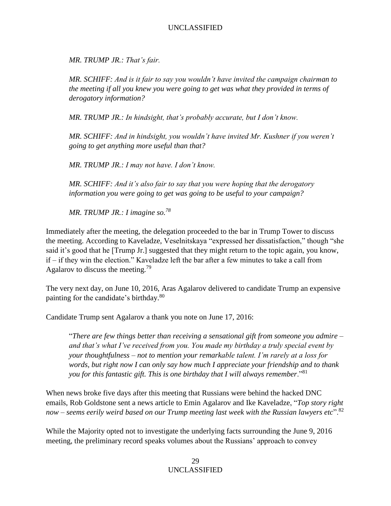*MR. TRUMP JR.: That's fair.*

*MR. SCHIFF: And is it fair to say you wouldn't have invited the campaign chairman to the meeting if all you knew you were going to get was what they provided in terms of derogatory information?*

*MR. TRUMP JR.: In hindsight, that's probably accurate, but I don't know.*

*MR. SCHIFF: And in hindsight, you wouldn't have invited Mr. Kushner if you weren't going to get anything more useful than that?*

*MR. TRUMP JR.: I may not have. I don't know.*

*MR. SCHIFF: And it's also fair to say that you were hoping that the derogatory information you were going to get was going to be useful to your campaign?*

*MR. TRUMP JR.: I imagine so.<sup>78</sup>*

Immediately after the meeting, the delegation proceeded to the bar in Trump Tower to discuss the meeting. According to Kaveladze, Veselnitskaya "expressed her dissatisfaction," though "she said it's good that he [Trump Jr.] suggested that they might return to the topic again, you know, if – if they win the election." Kaveladze left the bar after a few minutes to take a call from Agalarov to discuss the meeting.<sup>79</sup>

The very next day, on June 10, 2016, Aras Agalarov delivered to candidate Trump an expensive painting for the candidate's birthday.<sup>80</sup>

Candidate Trump sent Agalarov a thank you note on June 17, 2016:

"*There are few things better than receiving a sensational gift from someone you admire – and that's what I've received from you. You made my birthday a truly special event by your thoughtfulness – not to mention your remarkable talent. I'm rarely at a loss for words, but right now I can only say how much I appreciate your friendship and to thank you for this fantastic gift. This is one birthday that I will always remember*."<sup>81</sup>

When news broke five days after this meeting that Russians were behind the hacked DNC emails, Rob Goldstone sent a news article to Emin Agalarov and Ike Kaveladze, "*Top story right now – seems eerily weird based on our Trump meeting last week with the Russian lawyers etc*".<sup>82</sup>

While the Majority opted not to investigate the underlying facts surrounding the June 9, 2016 meeting, the preliminary record speaks volumes about the Russians' approach to convey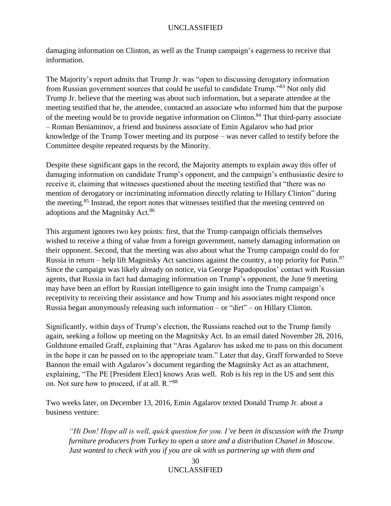damaging information on Clinton, as well as the Trump campaign's eagerness to receive that information.

The Majority's report admits that Trump Jr. was "open to discussing derogatory information from Russian government sources that could be useful to candidate Trump."<sup>83</sup> Not only did Trump Jr. believe that the meeting was about such information, but a separate attendee at the meeting testified that he, the attendee, contacted an associate who informed him that the purpose of the meeting would be to provide negative information on Clinton.<sup>84</sup> That third-party associate – Roman Beniaminov, a friend and business associate of Emin Agalarov who had prior knowledge of the Trump Tower meeting and its purpose – was never called to testify before the Committee despite repeated requests by the Minority.

Despite these significant gaps in the record, the Majority attempts to explain away this offer of damaging information on candidate Trump's opponent, and the campaign's enthusiastic desire to receive it, claiming that witnesses questioned about the meeting testified that "there was no mention of derogatory or incriminating information directly relating to Hillary Clinton" during the meeting.<sup>85</sup> Instead, the report notes that witnesses testified that the meeting centered on adoptions and the Magnitsky Act.<sup>86</sup>

This argument ignores two key points: first, that the Trump campaign officials themselves wished to receive a thing of value from a foreign government, namely damaging information on their opponent. Second, that the meeting was also about what the Trump campaign could do for Russia in return – help lift Magnitsky Act sanctions against the country, a top priority for Putin.<sup>87</sup> Since the campaign was likely already on notice, via George Papadopoulos' contact with Russian agents, that Russia in fact had damaging information on Trump's opponent, the June 9 meeting may have been an effort by Russian intelligence to gain insight into the Trump campaign's receptivity to receiving their assistance and how Trump and his associates might respond once Russia began anonymously releasing such information – or "dirt" – on Hillary Clinton.

Significantly, within days of Trump's election, the Russians reached out to the Trump family again, seeking a follow up meeting on the Magnitsky Act. In an email dated November 28, 2016, Goldstone emailed Graff, explaining that "Aras Agalarov has asked me to pass on this document in the hope it can be passed on to the appropriate team." Later that day, Graff forwarded to Steve Bannon the email with Agalarov's document regarding the Magnitsky Act as an attachment, explaining, "The PE [President Elect] knows Aras well. Rob is his rep in the US and sent this on. Not sure how to proceed, if at all. R."<sup>88</sup>

Two weeks later, on December 13, 2016, Emin Agalarov texted Donald Trump Jr. about a business venture:

*"Hi Don! Hope all is well, quick question for you. I've been in discussion with the Trump furniture producers from Turkey to open a store and a distribution Chanel in Moscow. Just wanted to check with you if you are ok with us partnering up with them and*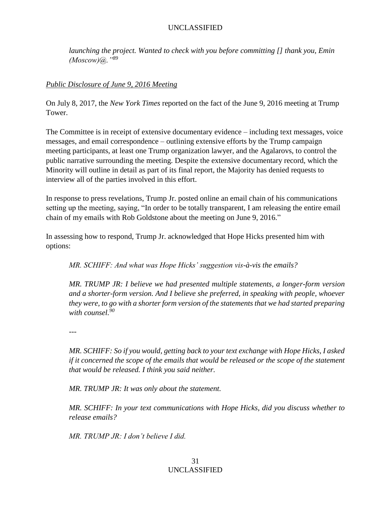*launching the project. Wanted to check with you before committing [] thank you, Emin (Moscow)@."<sup>89</sup>*

#### <span id="page-30-0"></span>*Public Disclosure of June 9, 2016 Meeting*

On July 8, 2017, the *New York Times* reported on the fact of the June 9, 2016 meeting at Trump Tower.

The Committee is in receipt of extensive documentary evidence – including text messages, voice messages, and email correspondence – outlining extensive efforts by the Trump campaign meeting participants, at least one Trump organization lawyer, and the Agalarovs, to control the public narrative surrounding the meeting. Despite the extensive documentary record, which the Minority will outline in detail as part of its final report, the Majority has denied requests to interview all of the parties involved in this effort.

In response to press revelations, Trump Jr. posted online an email chain of his communications setting up the meeting, saying, "In order to be totally transparent, I am releasing the entire email chain of my emails with Rob Goldstone about the meeting on June 9, 2016."

In assessing how to respond, Trump Jr. acknowledged that Hope Hicks presented him with options:

*MR. SCHIFF: And what was Hope Hicks' suggestion vis-à-vis the emails?*

*MR. TRUMP JR: I believe we had presented multiple statements, a longer-form version and a shorter-form version. And I believe she preferred, in speaking with people, whoever they were, to go with a shorter form version of the statements that we had started preparing with counsel.<sup>90</sup>*

---

*MR. SCHIFF: So if you would, getting back to your text exchange with Hope Hicks, I asked if it concerned the scope of the emails that would be released or the scope of the statement that would be released. I think you said neither.*

*MR. TRUMP JR: It was only about the statement.*

*MR. SCHIFF: In your text communications with Hope Hicks, did you discuss whether to release emails?*

*MR. TRUMP JR: I don't believe I did.*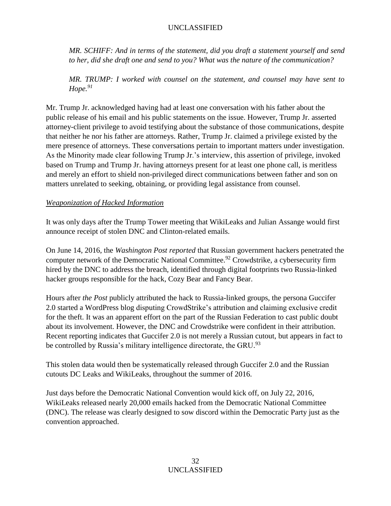*MR. SCHIFF: And in terms of the statement, did you draft a statement yourself and send to her, did she draft one and send to you? What was the nature of the communication?*

*MR. TRUMP: I worked with counsel on the statement, and counsel may have sent to Hope.<sup>91</sup>*

Mr. Trump Jr. acknowledged having had at least one conversation with his father about the public release of his email and his public statements on the issue. However, Trump Jr. asserted attorney-client privilege to avoid testifying about the substance of those communications, despite that neither he nor his father are attorneys. Rather, Trump Jr. claimed a privilege existed by the mere presence of attorneys. These conversations pertain to important matters under investigation. As the Minority made clear following Trump Jr.'s interview, this assertion of privilege, invoked based on Trump and Trump Jr. having attorneys present for at least one phone call, is meritless and merely an effort to shield non-privileged direct communications between father and son on matters unrelated to seeking, obtaining, or providing legal assistance from counsel.

## <span id="page-31-0"></span>*Weaponization of Hacked Information*

It was only days after the Trump Tower meeting that WikiLeaks and Julian Assange would first announce receipt of stolen DNC and Clinton-related emails.

On June 14, 2016, the *Washington Post reported* that Russian government hackers penetrated the computer network of the Democratic National Committee.<sup>92</sup> Crowdstrike, a cybersecurity firm hired by the DNC to address the breach, identified through digital footprints two Russia-linked hacker groups responsible for the hack, Cozy Bear and Fancy Bear.

Hours after *the Post* publicly attributed the hack to Russia-linked groups, the persona Guccifer 2.0 started a [WordPress blog](https://guccifer2.wordpress.com/2016/06/15/dnc/) disputing CrowdStrike's attribution and claiming exclusive credit for the theft. It was an apparent effort on the part of the Russian Federation to cast public doubt about its involvement. However, the DNC and Crowdstrike were confident in their attribution. Recent reporting indicates that Guccifer 2.0 is not merely a Russian cutout, but appears in fact to be controlled by Russia's military intelligence directorate, the GRU.<sup>93</sup>

This stolen data would then be systematically released through Guccifer 2.0 and the Russian cutouts DC Leaks and WikiLeaks, throughout the summer of 2016.

Just days before the Democratic National Convention would kick off, on July 22, 2016, WikiLeaks released nearly 20,000 emails hacked from the Democratic National Committee (DNC). The release was clearly designed to sow discord within the Democratic Party just as the convention approached.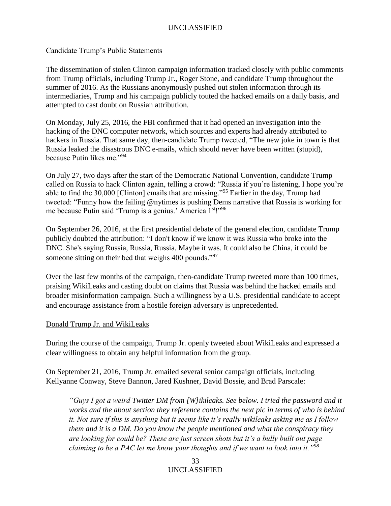#### Candidate Trump's Public Statements

The dissemination of stolen Clinton campaign information tracked closely with public comments from Trump officials, including Trump Jr., Roger Stone, and candidate Trump throughout the summer of 2016. As the Russians anonymously pushed out stolen information through its intermediaries, Trump and his campaign publicly touted the hacked emails on a daily basis, and attempted to cast doubt on Russian attribution.

On Monday, July 25, 2016, the FBI confirmed that it had opened an investigation into the hacking of the DNC computer network, which sources and experts had already attributed to hackers in Russia. That same day, then-candidate Trump tweeted, "The new joke in town is that Russia leaked the disastrous DNC e-mails, which should never have been written (stupid), because Putin likes me."<sup>94</sup>

On July 27, two days after the start of the Democratic National Convention, candidate Trump called on Russia to hack Clinton again, telling a crowd: "Russia if you're listening, I hope you're able to find the 30,000 [Clinton] emails that are missing."<sup>95</sup> Earlier in the day, Trump had tweeted: "Funny how the failing @nytimes is pushing Dems narrative that Russia is working for me because Putin said 'Trump is a genius.' America 1<sup>st</sup>!"<sup>96</sup>

On September 26, 2016, at the first presidential debate of the general election, candidate Trump publicly doubted the attribution: "I don't know if we know it was Russia who broke into the DNC. She's saying Russia, Russia, Russia. Maybe it was. It could also be China, it could be someone sitting on their bed that weighs 400 pounds."<sup>97</sup>

Over the last few months of the campaign, then-candidate Trump tweeted more than 100 times, praising WikiLeaks and casting doubt on claims that Russia was behind the hacked emails and broader misinformation campaign. Such a willingness by a U.S. presidential candidate to accept and encourage assistance from a hostile foreign adversary is unprecedented.

#### Donald Trump Jr. and WikiLeaks

During the course of the campaign, Trump Jr. openly tweeted about WikiLeaks and expressed a clear willingness to obtain any helpful information from the group.

On September 21, 2016, Trump Jr. emailed several senior campaign officials, including Kellyanne Conway, Steve Bannon, Jared Kushner, David Bossie, and Brad Parscale:

*"Guys I got a weird Twitter DM from [W]ikileaks. See below. I tried the password and it works and the about section they reference contains the next pic in terms of who is behind it. Not sure if this is anything but it seems like it's really wikileaks asking me as I follow them and it is a DM. Do you know the people mentioned and what the conspiracy they are looking for could be? These are just screen shots but it's a bully built out page claiming to be a PAC let me know your thoughts and if we want to look into it."<sup>98</sup>*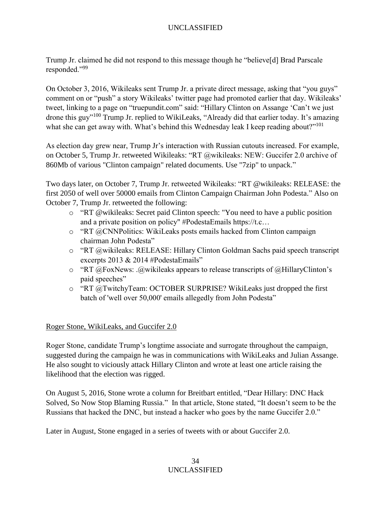Trump Jr. claimed he did not respond to this message though he "believe[d] Brad Parscale responded."<sup>99</sup>

On October 3, 2016, Wikileaks sent Trump Jr. a private direct message, asking that "you guys" comment on or "push" a story Wikileaks' twitter page had promoted earlier that day. Wikileaks' tweet, linking to a page on "truepundit.com" said: "Hillary Clinton on Assange 'Can't we just drone this guy"<sup>100</sup> Trump Jr. replied to WikiLeaks, "Already did that earlier today. It's amazing what she can get away with. What's behind this Wednesday leak I keep reading about?"<sup>101</sup>

As election day grew near, Trump Jr's interaction with Russian cutouts increased. For example, on October 5, Trump Jr. retweeted Wikileaks: "RT @wikileaks: NEW: Guccifer 2.0 archive of 860Mb of various "Clinton campaign" related documents. Use "7zip" to unpack."

Two days later, on October 7, Trump Jr. retweeted Wikileaks: "RT @wikileaks: RELEASE: the first 2050 of well over 50000 emails from Clinton Campaign Chairman John Podesta." Also on October 7, Trump Jr. retweeted the following:

- o "RT @wikileaks: Secret paid Clinton speech: "You need to have a public position and a private position on policy" #PodestaEmails https://t.c…
- o "RT @CNNPolitics: WikiLeaks posts emails hacked from Clinton campaign chairman John Podesta"
- o "RT @wikileaks: RELEASE: Hillary Clinton Goldman Sachs paid speech transcript excerpts 2013 & 2014 #PodestaEmails"
- $\circ$  "RT @FoxNews: .@wikileaks appears to release transcripts of @HillaryClinton's paid speeches"
- o "RT @TwitchyTeam: OCTOBER SURPRISE? WikiLeaks just dropped the first batch of 'well over 50,000' emails allegedly from John Podesta"

## Roger Stone, WikiLeaks, and Guccifer 2.0

Roger Stone, candidate Trump's longtime associate and surrogate throughout the campaign, suggested during the campaign he was in communications with WikiLeaks and Julian Assange. He also sought to viciously attack Hillary Clinton and wrote at least one article raising the likelihood that the election was rigged.

On August 5, 2016, Stone wrote a column for Breitbart entitled, "Dear Hillary: DNC Hack Solved, So Now Stop Blaming Russia." In that article, Stone stated, "It doesn't seem to be the Russians that hacked the DNC, but instead a hacker who goes by the name Guccifer 2.0."

Later in August, Stone engaged in a series of tweets with or about Guccifer 2.0.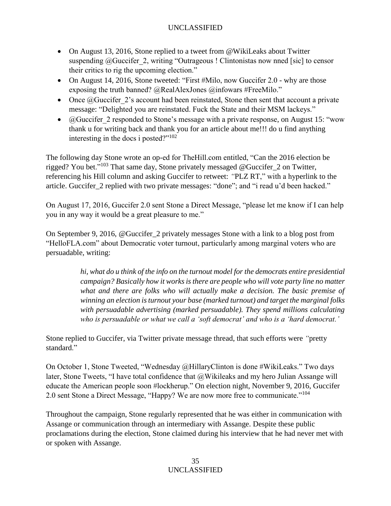- On August 13, 2016, Stone replied to a tweet from @WikiLeaks about Twitter suspending @Guccifer 2, writing "Outrageous ! Clintonistas now nned [sic] to censor their critics to rig the upcoming election."
- On August 14, 2016, Stone tweeted: "First #Milo, now Guccifer 2.0 why are those exposing the truth banned? @RealAlexJones @infowars #FreeMilo."
- Once  $@G$ uccifer 2's account had been reinstated, Stone then sent that account a private message: "Delighted you are reinstated. Fuck the State and their MSM lackeys."
- $@Guccifer\ 2$  responded to Stone's message with a private response, on August 15: "wow thank u for writing back and thank you for an article about me!!! do u find anything interesting in the docs i posted $2^{1/102}$

The following day Stone wrote an op-ed for TheHill.com entitled, "Can the 2016 election be rigged? You bet."<sup>103</sup> That same day, Stone privately messaged @Guccifer\_2 on Twitter, referencing his Hill column and asking Guccifer to retweet: *"*PLZ RT," with a hyperlink to the article. Guccifer\_2 replied with two private messages: "done"; and "i read u'd been hacked."

On August 17, 2016, Guccifer 2.0 sent Stone a Direct Message, "please let me know if I can help you in any way it would be a great pleasure to me."

On September 9, 2016, @Guccifer\_2 privately messages Stone with a link to a blog post from "HelloFLA.com" about Democratic voter turnout, particularly among marginal voters who are persuadable, writing:

> *hi, what do u think of the info on the turnout model for the democrats entire presidential campaign? Basically how it works is there are people who will vote party line no matter*  what and there are folks who will actually make a decision. The basic premise of *winning an election is turnout your base (marked turnout) and target the marginal folks with persuadable advertising (marked persuadable). They spend millions calculating who is persuadable or what we call a 'soft democrat' and who is a 'hard democrat.'*

Stone replied to Guccifer, via Twitter private message thread, that such efforts were *"*pretty standard<sup>"</sup>

On October 1, Stone Tweeted, "Wednesday @HillaryClinton is done #WikiLeaks." Two days later, Stone Tweets, "I have total confidence that  $(a)$ Wikileaks and my hero Julian Assange will educate the American people soon #lockherup." On election night, November 9, 2016, Guccifer 2.0 sent Stone a Direct Message, "Happy? We are now more free to communicate."<sup>104</sup>

Throughout the campaign, Stone regularly represented that he was either in communication with Assange or communication through an intermediary with Assange. Despite these public proclamations during the election, Stone claimed during his interview that he had never met with or spoken with Assange.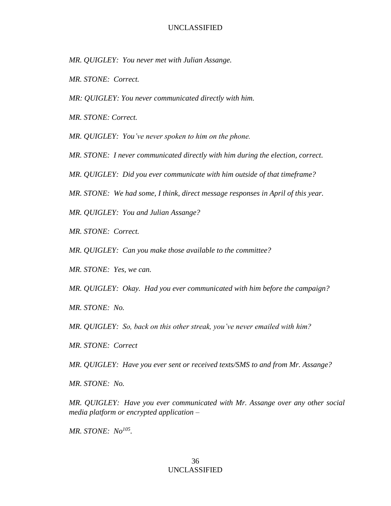- *MR. QUIGLEY: You never met with Julian Assange.*
- *MR. STONE: Correct.*
- *MR: QUIGLEY: You never communicated directly with him.*
- *MR. STONE: Correct.*

*MR. QUIGLEY: You've never spoken to him on the phone.*

- *MR. STONE: I never communicated directly with him during the election, correct.*
- *MR. QUIGLEY: Did you ever communicate with him outside of that timeframe?*
- *MR. STONE: We had some, I think, direct message responses in April of this year.*

*MR. QUIGLEY: You and Julian Assange?*

- *MR. STONE: Correct.*
- *MR. QUIGLEY: Can you make those available to the committee?*
- *MR. STONE: Yes, we can.*

*MR. QUIGLEY: Okay. Had you ever communicated with him before the campaign?*

*MR. STONE: No.*

*MR. QUIGLEY: So, back on this other streak, you've never emailed with him?*

*MR. STONE: Correct*

*MR. QUIGLEY: Have you ever sent or received texts/SMS to and from Mr. Assange?*

*MR. STONE: No.*

*MR. QUIGLEY: Have you ever communicated with Mr. Assange over any other social media platform or encrypted application –*

*MR. STONE: No<sup>105</sup> .*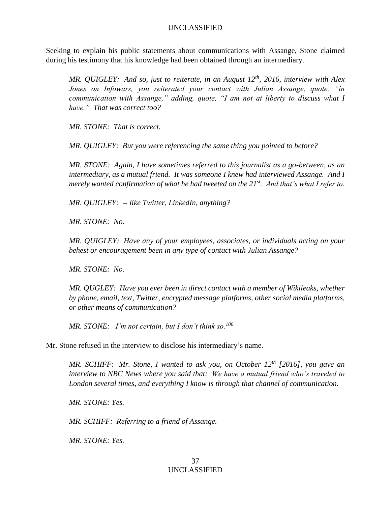Seeking to explain his public statements about communications with Assange, Stone claimed during his testimony that his knowledge had been obtained through an intermediary.

*MR. QUIGLEY: And so, just to reiterate, in an August 12th, 2016, interview with Alex Jones on Infowars, you reiterated your contact with Julian Assange, quote, "in communication with Assange," adding, quote, "I am not at liberty to discuss what I have." That was correct too?*

*MR. STONE: That is correct.*

*MR. QUIGLEY: But you were referencing the same thing you pointed to before?*

*MR. STONE: Again, I have sometimes referred to this journalist as a go-between, as an intermediary, as a mutual friend. It was someone I knew had interviewed Assange. And I merely wanted confirmation of what he had tweeted on the 21st . And that's what I refer to.*

*MR. QUIGLEY: -- like Twitter, LinkedIn, anything?*

*MR. STONE: No.*

*MR. QUIGLEY: Have any of your employees, associates, or individuals acting on your behest or encouragement been in any type of contact with Julian Assange?*

*MR. STONE: No.*

*MR. QUGLEY: Have you ever been in direct contact with a member of Wikileaks, whether by phone, email, text, Twitter, encrypted message platforms, other social media platforms, or other means of communication?*

*MR. STONE: I'm not certain, but I don't think so.<sup>106</sup>*

Mr. Stone refused in the interview to disclose his intermediary's name.

*MR. SCHIFF: Mr. Stone, I wanted to ask you, on October 12th [2016], you gave an interview to NBC News where you said that: We have a mutual friend who's traveled to London several times, and everything I know is through that channel of communication.*

*MR. STONE: Yes.*

*MR. SCHIFF: Referring to a friend of Assange.*

*MR. STONE: Yes.*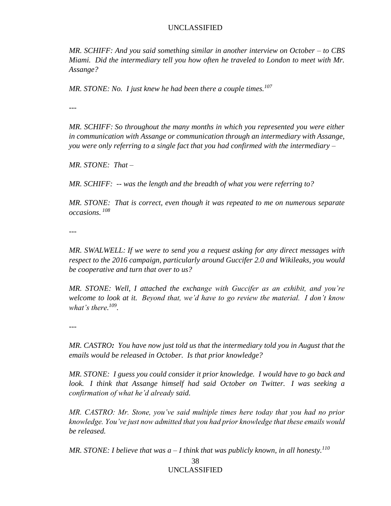*MR. SCHIFF: And you said something similar in another interview on October – to CBS Miami. Did the intermediary tell you how often he traveled to London to meet with Mr. Assange?*

*MR. STONE: No. I just knew he had been there a couple times.<sup>107</sup>*

---

*MR. SCHIFF: So throughout the many months in which you represented you were either in communication with Assange or communication through an intermediary with Assange, you were only referring to a single fact that you had confirmed with the intermediary –*

*MR. STONE: That –*

*MR. SCHIFF: -- was the length and the breadth of what you were referring to?*

*MR. STONE: That is correct, even though it was repeated to me on numerous separate occasions. 108*

*---*

*MR. SWALWELL: If we were to send you a request asking for any direct messages with respect to the 2016 campaign, particularly around Guccifer 2.0 and Wikileaks, you would be cooperative and turn that over to us?*

*MR. STONE: Well, I attached the exchange with Guccifer as an exhibit, and you're welcome to look at it. Beyond that, we'd have to go review the material. I don't know what's there. 109 .*

---

*MR. CASTRO: You have now just told us that the intermediary told you in August that the emails would be released in October. Is that prior knowledge?*

*MR. STONE: I guess you could consider it prior knowledge. I would have to go back and look. I think that Assange himself had said October on Twitter. I was seeking a confirmation of what he'd already said.*

*MR. CASTRO: Mr. Stone, you've said multiple times here today that you had no prior knowledge. You've just now admitted that you had prior knowledge that these emails would be released.*

*MR. STONE: I believe that was a – I think that was publicly known, in all honesty.<sup>110</sup>*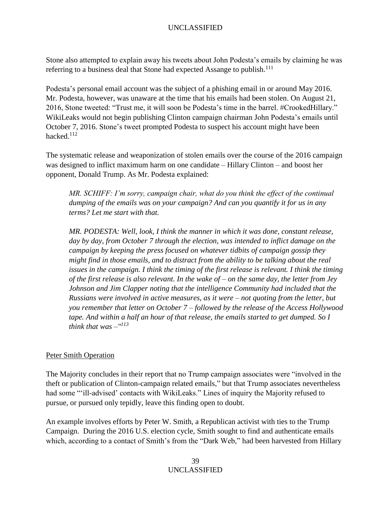Stone also attempted to explain away his tweets about John Podesta's emails by claiming he was referring to a business deal that Stone had expected Assange to publish.<sup>111</sup>

Podesta's personal email account was the subject of a phishing email in or around May 2016. Mr. Podesta, however, was unaware at the time that his emails had been stolen. On August 21, 2016, Stone tweeted: "Trust me, it will soon be Podesta's time in the barrel. #CrookedHillary." WikiLeaks would not begin publishing Clinton campaign chairman John Podesta's emails until October 7, 2016. Stone's tweet prompted Podesta to suspect his account might have been hacked.<sup>112</sup>

The systematic release and weaponization of stolen emails over the course of the 2016 campaign was designed to inflict maximum harm on one candidate – Hillary Clinton – and boost her opponent, Donald Trump. As Mr. Podesta explained:

*MR. SCHIFF: I'm sorry, campaign chair, what do you think the effect of the continual dumping of the emails was on your campaign? And can you quantify it for us in any terms? Let me start with that.*

*MR. PODESTA: Well, look, I think the manner in which it was done, constant release, day by day, from October 7 through the election, was intended to inflict damage on the campaign by keeping the press focused on whatever tidbits of campaign gossip they might find in those emails, and to distract from the ability to be talking about the real issues in the campaign. I think the timing of the first release is relevant. I think the timing of the first release is also relevant. In the wake of – on the same day, the letter from Jey Johnson and Jim Clapper noting that the intelligence Community had included that the Russians were involved in active measures, as it were – not quoting from the letter, but you remember that letter on October 7 – followed by the release of the Access Hollywood tape. And within a half an hour of that release, the emails started to get dumped. So I think that was –" 113*

## Peter Smith Operation

The Majority concludes in their report that no Trump campaign associates were "involved in the theft or publication of Clinton-campaign related emails," but that Trump associates nevertheless had some "'ill-advised' contacts with WikiLeaks." Lines of inquiry the Majority refused to pursue, or pursued only tepidly, leave this finding open to doubt.

An example involves efforts by Peter W. Smith, a Republican activist with ties to the Trump Campaign. During the 2016 U.S. election cycle, Smith sought to find and authenticate emails which, according to a contact of Smith's from the "Dark Web," had been harvested from Hillary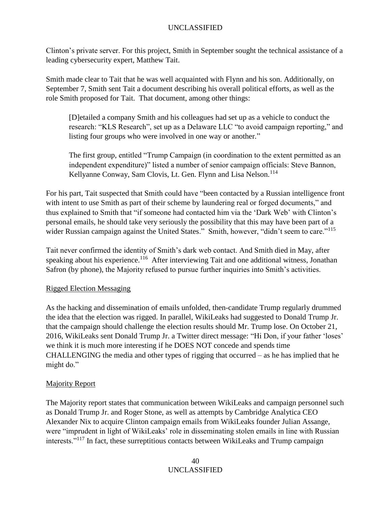Clinton's private server. For this project, Smith in September sought the technical assistance of a leading cybersecurity expert, Matthew Tait.

Smith made clear to Tait that he was well acquainted with Flynn and his son. Additionally, on September 7, Smith sent Tait a document describing his overall political efforts, as well as the role Smith proposed for Tait. That document, among other things:

[D]etailed a company Smith and his colleagues had set up as a vehicle to conduct the research: "KLS Research", set up as a Delaware LLC "to avoid campaign reporting," and listing four groups who were involved in one way or another."

The first group, entitled "Trump Campaign (in coordination to the extent permitted as an independent expenditure)" listed a number of senior campaign officials: Steve Bannon, Kellyanne Conway, Sam Clovis, Lt. Gen. Flynn and Lisa Nelson.<sup>114</sup>

For his part, Tait suspected that Smith could have "been contacted by a Russian intelligence front with intent to use Smith as part of their scheme by laundering real or forged documents," and thus explained to Smith that "if someone had contacted him via the 'Dark Web' with Clinton's personal emails, he should take very seriously the possibility that this may have been part of a wider Russian campaign against the United States." Smith, however, "didn't seem to care."<sup>115</sup>

Tait never confirmed the identity of Smith's dark web contact. And Smith died in May, after speaking about his experience.<sup>116</sup> After interviewing Tait and one additional witness, Jonathan Safron (by phone), the Majority refused to pursue further inquiries into Smith's activities.

## Rigged Election Messaging

As the hacking and dissemination of emails unfolded, then-candidate Trump regularly drummed the idea that the election was rigged. In parallel, WikiLeaks had suggested to Donald Trump Jr. that the campaign should challenge the election results should Mr. Trump lose. On October 21, 2016, WikiLeaks sent Donald Trump Jr. a Twitter direct message: "Hi Don, if your father 'loses' we think it is much more interesting if he DOES NOT concede and spends time CHALLENGING the media and other types of rigging that occurred – as he has implied that he might do."

## Majority Report

The Majority report states that communication between WikiLeaks and campaign personnel such as Donald Trump Jr. and Roger Stone, as well as attempts by Cambridge Analytica CEO Alexander Nix to acquire Clinton campaign emails from WikiLeaks founder Julian Assange, were "imprudent in light of WikiLeaks' role in disseminating stolen emails in line with Russian interests."<sup>117</sup> In fact, these surreptitious contacts between WikiLeaks and Trump campaign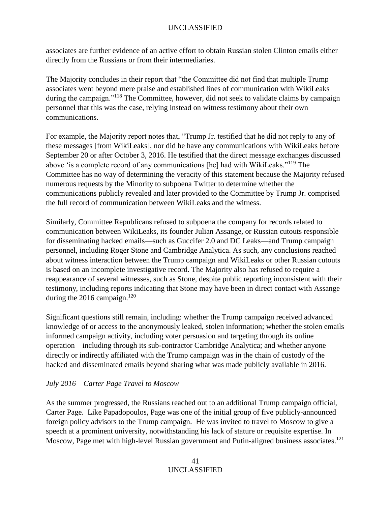associates are further evidence of an active effort to obtain Russian stolen Clinton emails either directly from the Russians or from their intermediaries.

The Majority concludes in their report that "the Committee did not find that multiple Trump associates went beyond mere praise and established lines of communication with WikiLeaks during the campaign."<sup>118</sup> The Committee, however, did not seek to validate claims by campaign personnel that this was the case, relying instead on witness testimony about their own communications.

For example, the Majority report notes that, "Trump Jr. testified that he did not reply to any of these messages [from WikiLeaks], nor did he have any communications with WikiLeaks before September 20 or after October 3, 2016. He testified that the direct message exchanges discussed above 'is a complete record of any communications [he] had with WikiLeaks."<sup>119</sup> The Committee has no way of determining the veracity of this statement because the Majority refused numerous requests by the Minority to subpoena Twitter to determine whether the communications publicly revealed and later provided to the Committee by Trump Jr. comprised the full record of communication between WikiLeaks and the witness.

Similarly, Committee Republicans refused to subpoena the company for records related to communication between WikiLeaks, its founder Julian Assange, or Russian cutouts responsible for disseminating hacked emails—such as Guccifer 2.0 and DC Leaks—and Trump campaign personnel, including Roger Stone and Cambridge Analytica. As such, any conclusions reached about witness interaction between the Trump campaign and WikiLeaks or other Russian cutouts is based on an incomplete investigative record. The Majority also has refused to require a reappearance of several witnesses, such as Stone, despite public reporting inconsistent with their testimony, including reports indicating that Stone may have been in direct contact with Assange during the 2016 campaign.<sup>120</sup>

Significant questions still remain, including: whether the Trump campaign received advanced knowledge of or access to the anonymously leaked, stolen information; whether the stolen emails informed campaign activity, including voter persuasion and targeting through its online operation—including through its sub-contractor Cambridge Analytica; and whether anyone directly or indirectly affiliated with the Trump campaign was in the chain of custody of the hacked and disseminated emails beyond sharing what was made publicly available in 2016.

# *July 2016 – Carter Page Travel to Moscow*

As the summer progressed, the Russians reached out to an additional Trump campaign official, Carter Page. Like Papadopoulos, Page was one of the initial group of five publicly-announced foreign policy advisors to the Trump campaign. He was invited to travel to Moscow to give a speech at a prominent university, notwithstanding his lack of stature or requisite expertise. In Moscow, Page met with high-level Russian government and Putin-aligned business associates.<sup>121</sup>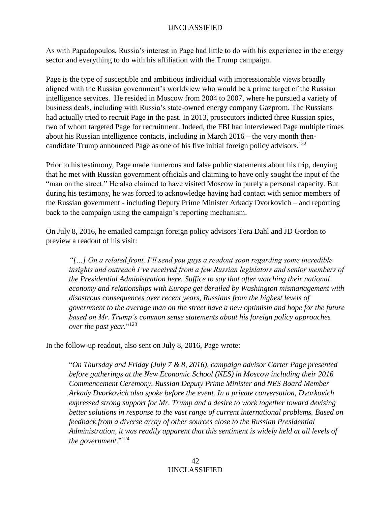As with Papadopoulos, Russia's interest in Page had little to do with his experience in the energy sector and everything to do with his affiliation with the Trump campaign.

Page is the type of susceptible and ambitious individual with impressionable views broadly aligned with the Russian government's worldview who would be a prime target of the Russian intelligence services. He resided in Moscow from 2004 to 2007, where he pursued a variety of business deals, including with Russia's state-owned energy company Gazprom. The Russians had actually tried to recruit Page in the past. In 2013, prosecutors indicted three Russian spies, two of whom targeted Page for recruitment. Indeed, the FBI had interviewed Page multiple times about his Russian intelligence contacts, including in March 2016 – the very month thencandidate Trump announced Page as one of his five initial foreign policy advisors.<sup>122</sup>

Prior to his testimony, Page made numerous and false public statements about his trip, denying that he met with Russian government officials and claiming to have only sought the input of the "man on the street." He also claimed to have visited Moscow in purely a personal capacity. But during his testimony, he was forced to acknowledge having had contact with senior members of the Russian government - including Deputy Prime Minister Arkady Dvorkovich – and reporting back to the campaign using the campaign's reporting mechanism.

On July 8, 2016, he emailed campaign foreign policy advisors Tera Dahl and JD Gordon to preview a readout of his visit:

*"[…] On a related front, I'll send you guys a readout soon regarding some incredible insights and outreach I've received from a few Russian legislators and senior members of the Presidential Administration here. Suffice to say that after watching their national economy and relationships with Europe get derailed by Washington mismanagement with disastrous consequences over recent years, Russians from the highest levels of government to the average man on the street have a new optimism and hope for the future based on Mr. Trump's common sense statements about his foreign policy approaches over the past year.*" 123

In the follow-up readout, also sent on July 8, 2016, Page wrote:

"*On Thursday and Friday (July 7 & 8, 2016), campaign advisor Carter Page presented before gatherings at the New Economic School (NES) in Moscow including their 2016 Commencement Ceremony. Russian Deputy Prime Minister and NES Board Member Arkady Dvorkovich also spoke before the event. In a private conversation, Dvorkovich expressed strong support for Mr. Trump and a desire to work together toward devising better solutions in response to the vast range of current international problems. Based on feedback from a diverse array of other sources close to the Russian Presidential Administration, it was readily apparent that this sentiment is widely held at all levels of the government*."<sup>124</sup>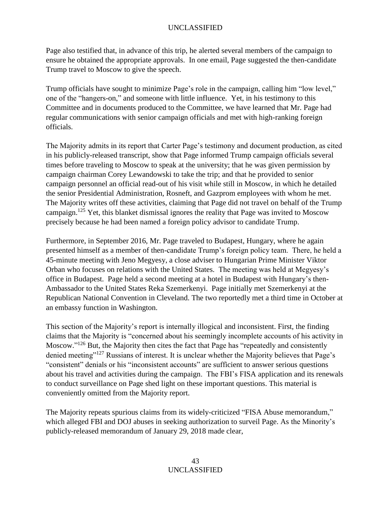Page also testified that, in advance of this trip, he alerted several members of the campaign to ensure he obtained the appropriate approvals. In one email, Page suggested the then-candidate Trump travel to Moscow to give the speech.

Trump officials have sought to minimize Page's role in the campaign, calling him "low level," one of the "hangers-on," and someone with little influence. Yet, in his testimony to this Committee and in documents produced to the Committee, we have learned that Mr. Page had regular communications with senior campaign officials and met with high-ranking foreign officials.

The Majority admits in its report that Carter Page's testimony and document production, as cited in his publicly-released transcript, show that Page informed Trump campaign officials several times before traveling to Moscow to speak at the university; that he was given permission by campaign chairman Corey Lewandowski to take the trip; and that he provided to senior campaign personnel an official read-out of his visit while still in Moscow, in which he detailed the senior Presidential Administration, Rosneft, and Gazprom employees with whom he met. The Majority writes off these activities, claiming that Page did not travel on behalf of the Trump campaign.<sup>125</sup> Yet, this blanket dismissal ignores the reality that Page was invited to Moscow precisely because he had been named a foreign policy advisor to candidate Trump.

Furthermore, in September 2016, Mr. Page traveled to Budapest, Hungary, where he again presented himself as a member of then-candidate Trump's foreign policy team. There, he held a 45-minute meeting with Jeno Megyesy, a close adviser to Hungarian Prime Minister Viktor Orban who focuses on relations with the United States. The meeting was held at Megyesy's office in Budapest. Page held a second meeting at a hotel in Budapest with Hungary's then-Ambassador to the United States Reka Szemerkenyi. Page initially met Szemerkenyi at the [Republican National Convention](http://abcnews.go.com/topics/news/elections/republican-convention.htm) in Cleveland. The two reportedly met a third time in October at an embassy function in Washington.

This section of the Majority's report is internally illogical and inconsistent. First, the finding claims that the Majority is "concerned about his seemingly incomplete accounts of his activity in Moscow."<sup>126</sup> But, the Majority then cites the fact that Page has "repeatedly and consistently denied meeting"<sup>127</sup> Russians of interest. It is unclear whether the Majority believes that Page's "consistent" denials or his "inconsistent accounts" are sufficient to answer serious questions about his travel and activities during the campaign. The FBI's FISA application and its renewals to conduct surveillance on Page shed light on these important questions. This material is conveniently omitted from the Majority report.

The Majority repeats spurious claims from its widely-criticized "FISA Abuse memorandum," which alleged FBI and DOJ abuses in seeking authorization to surveil Page. As the Minority's publicly-released memorandum of January 29, 2018 made clear,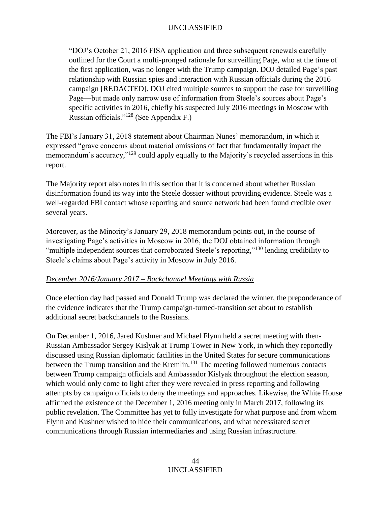"DOJ's October 21, 2016 FISA application and three subsequent renewals carefully outlined for the Court a multi-pronged rationale for surveilling Page, who at the time of the first application, was no longer with the Trump campaign. DOJ detailed Page's past relationship with Russian spies and interaction with Russian officials during the 2016 campaign [REDACTED]. DOJ cited multiple sources to support the case for surveilling Page—but made only narrow use of information from Steele's sources about Page's specific activities in 2016, chiefly his suspected July 2016 meetings in Moscow with Russian officials."<sup>128</sup> (See Appendix F.)

The FBI's January 31, 2018 statement about Chairman Nunes' memorandum, in which it expressed "grave concerns about material omissions of fact that fundamentally impact the memorandum's accuracy,"<sup>129</sup> could apply equally to the Majority's recycled assertions in this report.

The Majority report also notes in this section that it is concerned about whether Russian disinformation found its way into the Steele dossier without providing evidence. Steele was a well-regarded FBI contact whose reporting and source network had been found credible over several years.

Moreover, as the Minority's January 29, 2018 memorandum points out, in the course of investigating Page's activities in Moscow in 2016, the DOJ obtained information through "multiple independent sources that corroborated Steele's reporting,"<sup>130</sup> lending credibility to Steele's claims about Page's activity in Moscow in July 2016.

## *December 2016/January 2017 – Backchannel Meetings with Russia*

Once election day had passed and Donald Trump was declared the winner, the preponderance of the evidence indicates that the Trump campaign-turned-transition set about to establish additional secret backchannels to the Russians.

On December 1, 2016, Jared Kushner and Michael Flynn held a secret meeting with then-Russian Ambassador Sergey Kislyak at Trump Tower in New York, in which they reportedly discussed using Russian diplomatic facilities in the United States for secure communications between the Trump transition and the Kremlin.<sup>131</sup> The meeting followed numerous contacts between Trump campaign officials and Ambassador Kislyak throughout the election season, which would only come to light after they were revealed in press reporting and following attempts by campaign officials to deny the meetings and approaches. Likewise, the White House affirmed the existence of the December 1, 2016 meeting only in March 2017, following its public revelation. The Committee has yet to fully investigate for what purpose and from whom Flynn and Kushner wished to hide their communications, and what necessitated secret communications through Russian intermediaries and using Russian infrastructure.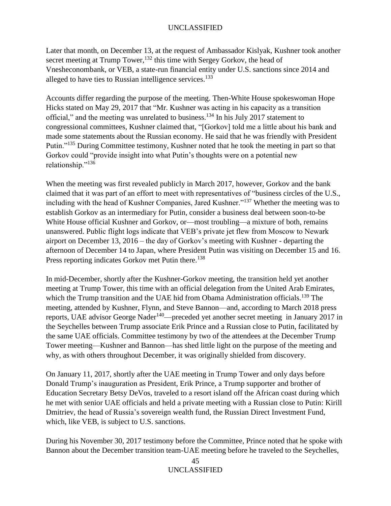Later that month, on December 13, at the request of Ambassador Kislyak, Kushner took another secret meeting at Trump Tower,<sup>132</sup> this time with Sergey Gorkov, the head of Vnesheconombank, or VEB, a state-run financial entity under U.S. sanctions since 2014 and alleged to have ties to Russian intelligence services.<sup>133</sup>

Accounts differ regarding the purpose of the meeting. Then-White House spokeswoman Hope Hicks stated on May 29, 2017 that "Mr. Kushner was acting in his capacity as a transition official," and the meeting was unrelated to business.<sup>134</sup> In his July 2017 statement to congressional committees, Kushner claimed that, "[Gorkov] told me a little about his bank and made some statements about the Russian economy. He said that he was friendly with President Putin."<sup>135</sup> During Committee testimony, Kushner noted that he took the meeting in part so that Gorkov could "provide insight into what Putin's thoughts were on a potential new relationship."<sup>136</sup>

When the meeting was first revealed publicly in March 2017, however, Gorkov and the bank claimed that it was part of an effort to meet with representatives of "business circles of the U.S., including with the head of Kushner Companies, Jared Kushner."<sup>137</sup> Whether the meeting was to establish Gorkov as an intermediary for Putin, consider a business deal between soon-to-be White House official Kushner and Gorkov, or—most troubling—a mixture of both, remains unanswered. Public flight logs indicate that VEB's private jet flew from Moscow to Newark airport on December 13, 2016 – the day of Gorkov's meeting with Kushner - departing the afternoon of December 14 to Japan, where President Putin was visiting on December 15 and 16. Press reporting indicates Gorkov met Putin there.<sup>138</sup>

In mid-December, shortly after the Kushner-Gorkov meeting, the transition held yet another meeting at Trump Tower, this time with an official delegation from the United Arab Emirates, which the Trump transition and the UAE hid from Obama Administration officials.<sup>139</sup> The meeting, attended by Kushner, Flynn, and Steve Bannon—and, according to March 2018 press reports, UAE advisor George Nader<sup>140</sup>—preceded yet another secret meeting in January 2017 in the Seychelles between Trump associate Erik Prince and a Russian close to Putin, facilitated by the same UAE officials. Committee testimony by two of the attendees at the December Trump Tower meeting—Kushner and Bannon—has shed little light on the purpose of the meeting and why, as with others throughout December, it was originally shielded from discovery.

On January 11, 2017, shortly after the UAE meeting in Trump Tower and only days before Donald Trump's inauguration as President, Erik Prince, a Trump supporter and brother of Education Secretary Betsy DeVos, traveled to a resort island off the African coast during which he met with senior UAE officials and held a private meeting with a Russian close to Putin: Kirill Dmitriev, the head of Russia's sovereign wealth fund, the Russian Direct Investment Fund, which, like VEB, is subject to U.S. sanctions.

During his November 30, 2017 testimony before the Committee, Prince noted that he spoke with Bannon about the December transition team-UAE meeting before he traveled to the Seychelles,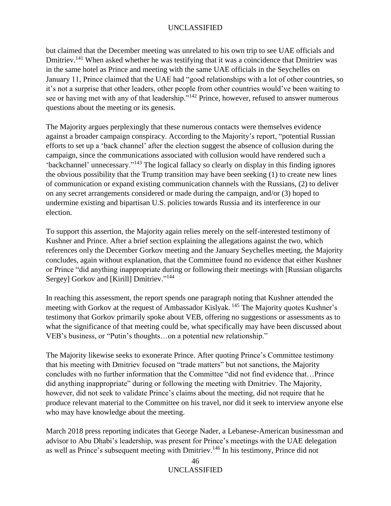but claimed that the December meeting was unrelated to his own trip to see UAE officials and Dmitriev.<sup>141</sup> When asked whether he was testifying that it was a coincidence that Dmitriev was in the same hotel as Prince and meeting with the same UAE officials in the Seychelles on January 11, Prince claimed that the UAE had "good relationships with a lot of other countries, so it's not a surprise that other leaders, other people from other countries would've been waiting to see or having met with any of that leadership."<sup>142</sup> Prince, however, refused to answer numerous questions about the meeting or its genesis.

The Majority argues perplexingly that these numerous contacts were themselves evidence against a broader campaign conspiracy. According to the Majority's report, "potential Russian efforts to set up a 'back channel' after the election suggest the absence of collusion during the campaign, since the communications associated with collusion would have rendered such a 'backchannel' unnecessary."<sup>143</sup> The logical fallacy so clearly on display in this finding ignores the obvious possibility that the Trump transition may have been seeking (1) to create new lines of communication or expand existing communication channels with the Russians, (2) to deliver on any secret arrangements considered or made during the campaign, and/or (3) hoped to undermine existing and bipartisan U.S. policies towards Russia and its interference in our election.

To support this assertion, the Majority again relies merely on the self-interested testimony of Kushner and Prince. After a brief section explaining the allegations against the two, which references only the December Gorkov meeting and the January Seychelles meeting, the Majority concludes, again without explanation, that the Committee found no evidence that either Kushner or Prince "did anything inappropriate during or following their meetings with [Russian oligarchs Sergey] Gorkov and [Kirill] Dmitriev."<sup>144</sup>

In reaching this assessment, the report spends one paragraph noting that Kushner attended the meeting with Gorkov at the request of Ambassador Kislyak.<sup>145</sup> The Majority quotes Kushner's testimony that Gorkov primarily spoke about VEB, offering no suggestions or assessments as to what the significance of that meeting could be, what specifically may have been discussed about VEB's business, or "Putin's thoughts…on a potential new relationship."

The Majority likewise seeks to exonerate Prince. After quoting Prince's Committee testimony that his meeting with Dmitriev focused on "trade matters" but not sanctions, the Majority concludes with no further information that the Committee "did not find evidence that…Prince did anything inappropriate" during or following the meeting with Dmitriev. The Majority, however, did not seek to validate Prince's claims about the meeting, did not require that he produce relevant material to the Committee on his travel, nor did it seek to interview anyone else who may have knowledge about the meeting.

March 2018 press reporting indicates that George Nader, a Lebanese-American businessman and advisor to Abu Dhabi's leadership, was present for Prince's meetings with the UAE delegation as well as Prince's subsequent meeting with Dmitriev.<sup>146</sup> In his testimony, Prince did not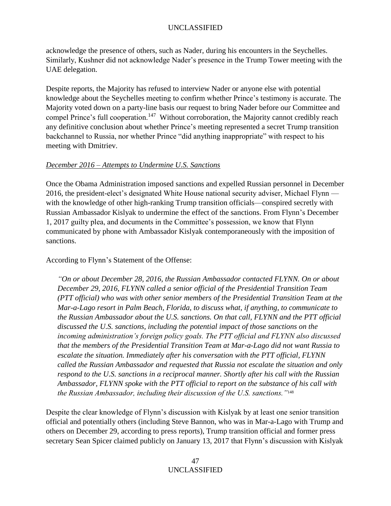acknowledge the presence of others, such as Nader, during his encounters in the Seychelles. Similarly, Kushner did not acknowledge Nader's presence in the Trump Tower meeting with the UAE delegation.

Despite reports, the Majority has refused to interview Nader or anyone else with potential knowledge about the Seychelles meeting to confirm whether Prince's testimony is accurate. The Majority voted down on a party-line basis our request to bring Nader before our Committee and compel Prince's full cooperation.<sup>147</sup> Without corroboration, the Majority cannot credibly reach any definitive conclusion about whether Prince's meeting represented a secret Trump transition backchannel to Russia, nor whether Prince "did anything inappropriate" with respect to his meeting with Dmitriev.

## *December 2016 – Attempts to Undermine U.S. Sanctions*

Once the Obama Administration imposed sanctions and expelled Russian personnel in December 2016, the president-elect's designated White House national security adviser, Michael Flynn with the knowledge of other high-ranking Trump transition officials—conspired secretly with Russian Ambassador Kislyak to undermine the effect of the sanctions. From Flynn's December 1, 2017 guilty plea, and documents in the Committee's possession, we know that Flynn communicated by phone with Ambassador Kislyak contemporaneously with the imposition of sanctions.

According to Flynn's Statement of the Offense:

*"On or about December 28, 2016, the Russian Ambassador contacted FLYNN. On or about December 29, 2016, FLYNN called a senior official of the Presidential Transition Team (PTT official) who was with other senior members of the Presidential Transition Team at the Mar-a-Lago resort in Palm Beach, Florida, to discuss what, if anything, to communicate to the Russian Ambassador about the U.S. sanctions. On that call, FLYNN and the PTT official discussed the U.S. sanctions, including the potential impact of those sanctions on the incoming administration's foreign policy goals. The PTT official and FLYNN also discussed that the members of the Presidential Transition Team at Mar-a-Lago did not want Russia to escalate the situation. Immediately after his conversation with the PTT official, FLYNN called the Russian Ambassador and requested that Russia not escalate the situation and only respond to the U.S. sanctions in a reciprocal manner. Shortly after his call with the Russian Ambassador, FLYNN spoke with the PTT official to report on the substance of his call with the Russian Ambassador, including their discussion of the U.S. sanctions."*<sup>148</sup>

Despite the clear knowledge of Flynn's discussion with Kislyak by at least one senior transition official and potentially others (including Steve Bannon, who was in Mar-a-Lago with Trump and others on December 29, according to press reports), Trump transition official and former press secretary Sean Spicer claimed publicly on January 13, 2017 that Flynn's discussion with Kislyak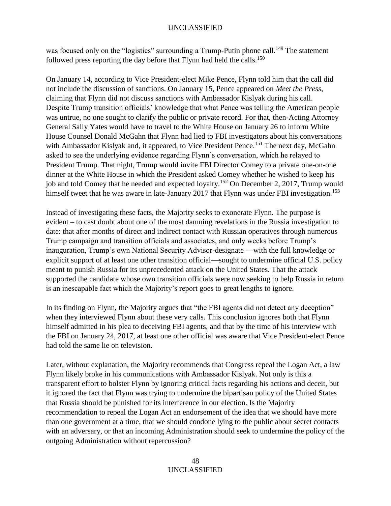was focused only on the "logistics" surrounding a Trump-Putin phone call.<sup>149</sup> The statement followed press reporting the day before that Flynn had held the calls.<sup>150</sup>

On January 14, according to Vice President-elect Mike Pence, Flynn told him that the call did not include the discussion of sanctions. On January 15, Pence appeared on *Meet the Press*, claiming that Flynn did not discuss sanctions with Ambassador Kislyak during his call. Despite Trump transition officials' knowledge that what Pence was telling the American people was untrue, no one sought to clarify the public or private record. For that, then-Acting Attorney General Sally Yates would have to travel to the White House on January 26 to inform White House Counsel Donald McGahn that Flynn had lied to FBI investigators about his conversations with Ambassador Kislyak and, it appeared, to Vice President Pence.<sup>151</sup> The next day, McGahn asked to see the underlying evidence regarding Flynn's conversation, which he relayed to President Trump. That night, Trump would invite FBI Director Comey to a private one-on-one dinner at the White House in which the President asked Comey whether he wished to keep his job and told Comey that he needed and expected loyalty.<sup>152</sup> On December 2, 2017, Trump would himself tweet that he was aware in late-January 2017 that Flynn was under FBI investigation.<sup>153</sup>

Instead of investigating these facts, the Majority seeks to exonerate Flynn. The purpose is evident – to cast doubt about one of the most damning revelations in the Russia investigation to date: that after months of direct and indirect contact with Russian operatives through numerous Trump campaign and transition officials and associates, and only weeks before Trump's inauguration, Trump's own National Security Advisor-designate —with the full knowledge or explicit support of at least one other transition official—sought to undermine official U.S. policy meant to punish Russia for its unprecedented attack on the United States. That the attack supported the candidate whose own transition officials were now seeking to help Russia in return is an inescapable fact which the Majority's report goes to great lengths to ignore.

In its finding on Flynn, the Majority argues that "the FBI agents did not detect any deception" when they interviewed Flynn about these very calls. This conclusion ignores both that Flynn himself admitted in his plea to deceiving FBI agents, and that by the time of his interview with the FBI on January 24, 2017, at least one other official was aware that Vice President-elect Pence had told the same lie on television.

Later, without explanation, the Majority recommends that Congress repeal the Logan Act, a law Flynn likely broke in his communications with Ambassador Kislyak. Not only is this a transparent effort to bolster Flynn by ignoring critical facts regarding his actions and deceit, but it ignored the fact that Flynn was trying to undermine the bipartisan policy of the United States that Russia should be punished for its interference in our election. Is the Majority recommendation to repeal the Logan Act an endorsement of the idea that we should have more than one government at a time, that we should condone lying to the public about secret contacts with an adversary, or that an incoming Administration should seek to undermine the policy of the outgoing Administration without repercussion?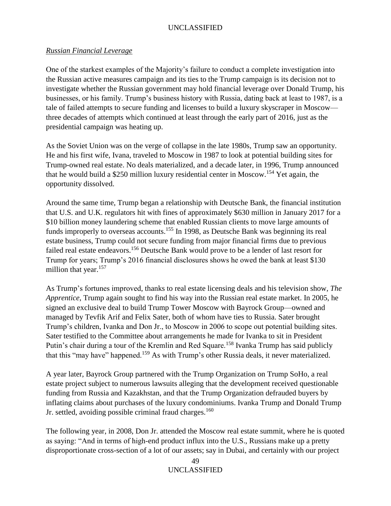## *Russian Financial Leverage*

One of the starkest examples of the Majority's failure to conduct a complete investigation into the Russian active measures campaign and its ties to the Trump campaign is its decision not to investigate whether the Russian government may hold financial leverage over Donald Trump, his businesses, or his family. Trump's business history with Russia, dating back at least to 1987, is a tale of failed attempts to secure funding and licenses to build a luxury skyscraper in Moscow three decades of attempts which continued at least through the early part of 2016, just as the presidential campaign was heating up.

As the Soviet Union was on the verge of collapse in the late 1980s, Trump saw an opportunity. He and his first wife, Ivana, traveled to Moscow in 1987 to look at potential building sites for Trump-owned real estate. No deals materialized, and a decade later, in 1996, Trump announced that he would build a \$250 million luxury residential center in Moscow.<sup>154</sup> Yet again, the opportunity dissolved.

Around the same time, Trump began a relationship with Deutsche Bank, the financial institution that U.S. and U.K. regulators hit with fines of approximately \$630 million in January 2017 for a \$10 billion money laundering scheme that enabled Russian clients to move large amounts of funds improperly to overseas accounts.<sup>155</sup> In 1998, as Deutsche Bank was beginning its real estate business, Trump could not secure funding from major financial firms due to previous failed real estate endeavors.<sup>156</sup> Deutsche Bank would prove to be a lender of last resort for Trump for years; Trump's 2016 financial disclosures shows he owed the bank at least \$130 million that year.<sup>157</sup>

As Trump's fortunes improved, thanks to real estate licensing deals and his television show, *The Apprentice*, Trump again sought to find his way into the Russian real estate market. In 2005, he signed an exclusive deal to build Trump Tower Moscow with Bayrock Group—owned and managed by Tevfik Arif and Felix Sater, both of whom have ties to Russia. Sater brought Trump's children, Ivanka and Don Jr., to Moscow in 2006 to scope out potential building sites. Sater testified to the Committee about arrangements he made for Ivanka to sit in President Putin's chair during a tour of the Kremlin and Red Square.<sup>158</sup> Ivanka Trump has said publicly that this "may have" happened.<sup>159</sup> As with Trump's other Russia deals, it never materialized.

A year later, Bayrock Group partnered with the Trump Organization on Trump SoHo, a real estate project subject to numerous lawsuits alleging that the development received questionable funding from Russia and Kazakhstan, and that the Trump Organization defrauded buyers by inflating claims about purchases of the luxury condominiums. Ivanka Trump and Donald Trump Jr. settled, avoiding possible criminal fraud charges.<sup>160</sup>

The following year, in 2008, Don Jr. attended the Moscow real estate summit, where he is quoted as saying: "And in terms of high-end product influx into the U.S., Russians make up a pretty disproportionate cross-section of a lot of our assets; say in Dubai, and certainly with our project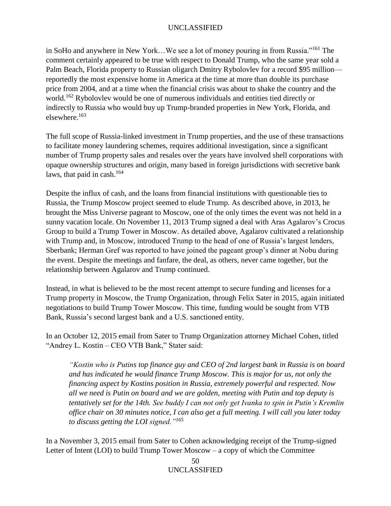in SoHo and anywhere in New York…We see a lot of money pouring in from Russia."<sup>161</sup> The comment certainly appeared to be true with respect to Donald Trump, who the same year sold a Palm Beach, Florida property to Russian oligarch Dmitry Rybolovlev for a record \$95 million reportedly the most expensive home in America at the time at more than double its purchase price from 2004, and at a time when the financial crisis was about to shake the country and the world.<sup>162</sup> Rybolovlev would be one of numerous individuals and entities tied directly or indirectly to Russia who would buy up Trump-branded properties in New York, Florida, and elsewhere.<sup>163</sup>

The full scope of Russia-linked investment in Trump properties, and the use of these transactions to facilitate money laundering schemes, requires additional investigation, since a significant number of Trump property sales and resales over the years have involved shell corporations with opaque ownership structures and origin, many based in foreign jurisdictions with secretive bank laws, that paid in cash.<sup>164</sup>

Despite the influx of cash, and the loans from financial institutions with questionable ties to Russia, the Trump Moscow project seemed to elude Trump. As described above, in 2013, he brought the Miss Universe pageant to Moscow, one of the only times the event was not held in a sunny vacation locale. On November 11, 2013 Trump signed a deal with Aras Agalarov's Crocus Group to build a Trump Tower in Moscow. As detailed above, Agalarov cultivated a relationship with Trump and, in Moscow, introduced Trump to the head of one of Russia's largest lenders, Sberbank; Herman Gref was reported to have joined the pageant group's dinner at Nobu during the event. Despite the meetings and fanfare, the deal, as others, never came together, but the relationship between Agalarov and Trump continued.

Instead, in what is believed to be the most recent attempt to secure funding and licenses for a Trump property in Moscow, the Trump Organization, through Felix Sater in 2015, again initiated negotiations to build Trump Tower Moscow. This time, funding would be sought from VTB Bank, Russia's second largest bank and a U.S. sanctioned entity.

In an October 12, 2015 email from Sater to Trump Organization attorney Michael Cohen, titled "Andrey L. Kostin – CEO VTB Bank," Stater said:

*"Kostin who is Putins top finance guy and CEO of 2nd largest bank in Russia is on board and has indicated he would finance Trump Moscow. This is major for us, not only the financing aspect by Kostins position in Russia, extremely powerful and respected. Now all we need is Putin on board and we are golden, meeting with Putin and top deputy is tentatively set for the 14th. See buddy I can not only get Ivanka to spin in Putin's Kremlin office chair on 30 minutes notice, I can also get a full meeting. I will call you later today to discuss getting the LOI signed."<sup>165</sup>*

In a November 3, 2015 email from Sater to Cohen acknowledging receipt of the Trump-signed Letter of Intent (LOI) to build Trump Tower Moscow – a copy of which the Committee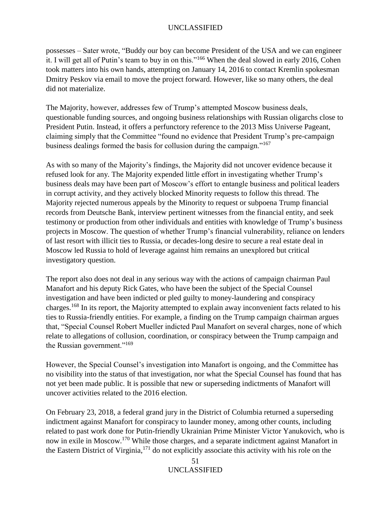possesses – Sater wrote, "Buddy our boy can become President of the USA and we can engineer it. I will get all of Putin's team to buy in on this."<sup>166</sup> When the deal slowed in early 2016, Cohen took matters into his own hands, attempting on January 14, 2016 to contact Kremlin spokesman Dmitry Peskov via email to move the project forward. However, like so many others, the deal did not materialize.

The Majority, however, addresses few of Trump's attempted Moscow business deals, questionable funding sources, and ongoing business relationships with Russian oligarchs close to President Putin. Instead, it offers a perfunctory reference to the 2013 Miss Universe Pageant, claiming simply that the Committee "found no evidence that President Trump's pre-campaign business dealings formed the basis for collusion during the campaign."<sup>167</sup>

As with so many of the Majority's findings, the Majority did not uncover evidence because it refused look for any*.* The Majority expended little effort in investigating whether Trump's business deals may have been part of Moscow's effort to entangle business and political leaders in corrupt activity, and they actively blocked Minority requests to follow this thread. The Majority rejected numerous appeals by the Minority to request or subpoena Trump financial records from Deutsche Bank, interview pertinent witnesses from the financial entity, and seek testimony or production from other individuals and entities with knowledge of Trump's business projects in Moscow. The question of whether Trump's financial vulnerability, reliance on lenders of last resort with illicit ties to Russia, or decades-long desire to secure a real estate deal in Moscow led Russia to hold of leverage against him remains an unexplored but critical investigatory question.

The report also does not deal in any serious way with the actions of campaign chairman Paul Manafort and his deputy Rick Gates, who have been the subject of the Special Counsel investigation and have been indicted or pled guilty to money-laundering and conspiracy charges.<sup>168</sup> In its report, the Majority attempted to explain away inconvenient facts related to his ties to Russia-friendly entities. For example, a finding on the Trump campaign chairman argues that, "Special Counsel Robert Mueller indicted Paul Manafort on several charges, none of which relate to allegations of collusion, coordination, or conspiracy between the Trump campaign and the Russian government."<sup>169</sup>

However, the Special Counsel's investigation into Manafort is ongoing, and the Committee has no visibility into the status of that investigation, nor what the Special Counsel has found that has not yet been made public. It is possible that new or superseding indictments of Manafort will uncover activities related to the 2016 election.

On February 23, 2018, a federal grand jury in the District of Columbia returned a superseding indictment against Manafort for conspiracy to launder money, among other counts, including related to past work done for Putin-friendly Ukrainian Prime Minister Victor Yanukovich, who is now in exile in Moscow.<sup>170</sup> While those charges, and a separate indictment against Manafort in the Eastern District of Virginia, <sup>171</sup> do not explicitly associate this activity with his role on the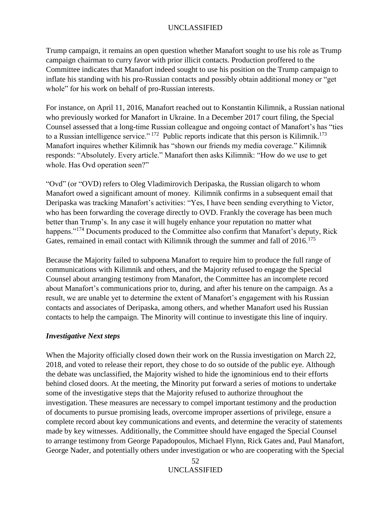Trump campaign, it remains an open question whether Manafort sought to use his role as Trump campaign chairman to curry favor with prior illicit contacts. Production proffered to the Committee indicates that Manafort indeed sought to use his position on the Trump campaign to inflate his standing with his pro-Russian contacts and possibly obtain additional money or "get whole" for his work on behalf of pro-Russian interests.

For instance, on April 11, 2016, Manafort reached out to Konstantin Kilimnik, a Russian national who previously worked for Manafort in Ukraine. In a December 2017 court filing, the Special Counsel assessed that a long-time Russian colleague and ongoing contact of Manafort's has "ties to a Russian intelligence service."<sup>172</sup> Public reports indicate that this person is Kilimnik.<sup>173</sup> Manafort inquires whether Kilimnik has "shown our friends my media coverage." Kilimnik responds: "Absolutely. Every article." Manafort then asks Kilimnik: "How do we use to get whole. Has Ovd operation seen?"

"Ovd" (or "OVD) refers to Oleg Vladimirovich Deripaska, the Russian oligarch to whom Manafort owed a significant amount of money. Kilimnik confirms in a subsequent email that Deripaska was tracking Manafort's activities: "Yes, I have been sending everything to Victor, who has been forwarding the coverage directly to OVD. Frankly the coverage has been much better than Trump's. In any case it will hugely enhance your reputation no matter what happens."<sup>174</sup> Documents produced to the Committee also confirm that Manafort's deputy, Rick Gates, remained in email contact with Kilimnik through the summer and fall of 2016.<sup>175</sup>

Because the Majority failed to subpoena Manafort to require him to produce the full range of communications with Kilimnik and others, and the Majority refused to engage the Special Counsel about arranging testimony from Manafort, the Committee has an incomplete record about Manafort's communications prior to, during, and after his tenure on the campaign. As a result, we are unable yet to determine the extent of Manafort's engagement with his Russian contacts and associates of Deripaska, among others, and whether Manafort used his Russian contacts to help the campaign. The Minority will continue to investigate this line of inquiry.

## *Investigative Next steps*

When the Majority officially closed down their work on the Russia investigation on March 22, 2018, and voted to release their report, they chose to do so outside of the public eye. Although the debate was unclassified, the Majority wished to hide the ignominious end to their efforts behind closed doors. At the meeting, the Minority put forward a series of motions to undertake some of the investigative steps that the Majority refused to authorize throughout the investigation. These measures are necessary to compel important testimony and the production of documents to pursue promising leads, overcome improper assertions of privilege, ensure a complete record about key communications and events, and determine the veracity of statements made by key witnesses. Additionally, the Committee should have engaged the Special Counsel to arrange testimony from George Papadopoulos, Michael Flynn, Rick Gates and, Paul Manafort, George Nader, and potentially others under investigation or who are cooperating with the Special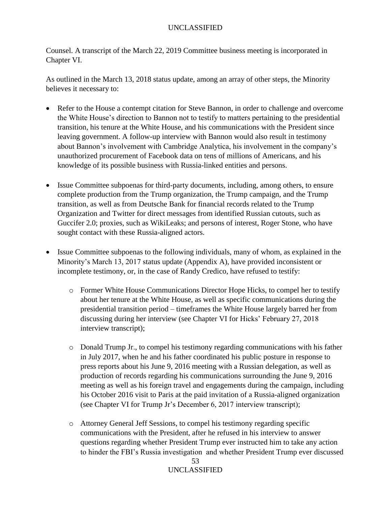Counsel. A transcript of the March 22, 2019 Committee business meeting is incorporated in Chapter VI.

As outlined in the March 13, 2018 status update, among an array of other steps, the Minority believes it necessary to:

- Refer to the House a contempt citation for Steve Bannon, in order to challenge and overcome the White House's direction to Bannon not to testify to matters pertaining to the presidential transition, his tenure at the White House, and his communications with the President since leaving government. A follow-up interview with Bannon would also result in testimony about Bannon's involvement with Cambridge Analytica, his involvement in the company's unauthorized procurement of Facebook data on tens of millions of Americans, and his knowledge of its possible business with Russia-linked entities and persons.
- Issue Committee subpoenas for third-party documents, including, among others, to ensure complete production from the Trump organization, the Trump campaign, and the Trump transition, as well as from Deutsche Bank for financial records related to the Trump Organization and Twitter for direct messages from identified Russian cutouts, such as Guccifer 2.0; proxies, such as WikiLeaks; and persons of interest, Roger Stone, who have sought contact with these Russia-aligned actors.
- Issue Committee subpoenas to the following individuals, many of whom, as explained in the Minority's March 13, 2017 status update (Appendix A), have provided inconsistent or incomplete testimony, or, in the case of Randy Credico, have refused to testify:
	- o Former White House Communications Director Hope Hicks, to compel her to testify about her tenure at the White House, as well as specific communications during the presidential transition period – timeframes the White House largely barred her from discussing during her interview (see Chapter VI for Hicks' February 27, 2018 interview transcript);
	- o Donald Trump Jr., to compel his testimony regarding communications with his father in July 2017, when he and his father coordinated his public posture in response to press reports about his June 9, 2016 meeting with a Russian delegation, as well as production of records regarding his communications surrounding the June 9, 2016 meeting as well as his foreign travel and engagements during the campaign, including his October 2016 visit to Paris at the paid invitation of a Russia-aligned organization (see Chapter VI for Trump Jr's December 6, 2017 interview transcript);
	- o Attorney General Jeff Sessions, to compel his testimony regarding specific communications with the President, after he refused in his interview to answer questions regarding whether President Trump ever instructed him to take any action to hinder the FBI's Russia investigation and whether President Trump ever discussed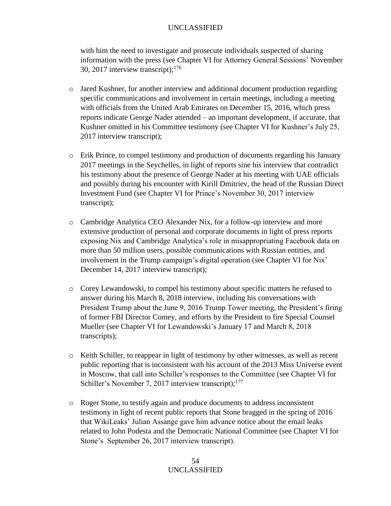with him the need to investigate and prosecute individuals suspected of sharing information with the press (see Chapter VI for Attorney General Sessions' November 30, 2017 interview transcript); $^{176}$ 

- $\circ$  Jared Kushner, for another interview and additional document production regarding specific communications and involvement in certain meetings, including a meeting with officials from the United Arab Emirates on December 15, 2016, which press reports indicate George Nader attended – an important development, if accurate, that Kushner omitted in his Committee testimony (see Chapter VI for Kushner's July 25, 2017 interview transcript);
- o Erik Prince, to compel testimony and production of documents regarding his January 2017 meetings in the Seychelles, in light of reports sine his interview that contradict his testimony about the presence of George Nader at his meeting with UAE officials and possibly during his encounter with Kirill Dmitriev, the head of the Russian Direct Investment Fund (see Chapter VI for Prince's November 30, 2017 interview transcript);
- o Cambridge Analytica CEO Alexander Nix, for a follow-up interview and more extensive production of personal and corporate documents in light of press reports exposing Nix and Cambridge Analytica's role in misappropriating Facebook data on more than 50 million users, possible communications with Russian entities, and involvement in the Trump campaign's digital operation (see Chapter VI for Nix' December 14, 2017 interview transcript);
- o Corey Lewandowski, to compel his testimony about specific matters he refused to answer during his March 8, 2018 interview, including his conversations with President Trump about the June 9, 2016 Trump Tower meeting, the President's firing of former FBI Director Comey, and efforts by the President to fire Special Counsel Mueller (see Chapter VI for Lewandowski's January 17 and March 8, 2018 transcripts);
- o Keith Schiller, to reappear in light of testimony by other witnesses, as well as recent public reporting that is inconsistent with his account of the 2013 Miss Universe event in Moscow, that call into Schiller's responses to the Committee (see Chapter VI for Schiller's November 7, 2017 interview transcript);<sup>177</sup>
- o Roger Stone, to testify again and produce documents to address inconsistent testimony in light of recent public reports that Stone bragged in the spring of 2016 that WikiLeaks' Julian Assange gave him advance notice about the email leaks related to John Podesta and the Democratic National Committee (see Chapter VI for Stone's September 26, 2017 interview transcript).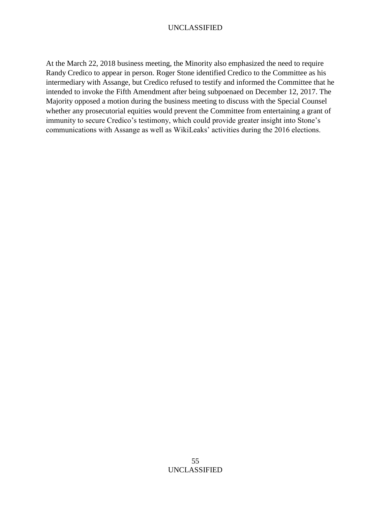At the March 22, 2018 business meeting, the Minority also emphasized the need to require Randy Credico to appear in person. Roger Stone identified Credico to the Committee as his intermediary with Assange, but Credico refused to testify and informed the Committee that he intended to invoke the Fifth Amendment after being subpoenaed on December 12, 2017. The Majority opposed a motion during the business meeting to discuss with the Special Counsel whether any prosecutorial equities would prevent the Committee from entertaining a grant of immunity to secure Credico's testimony, which could provide greater insight into Stone's communications with Assange as well as WikiLeaks' activities during the 2016 elections.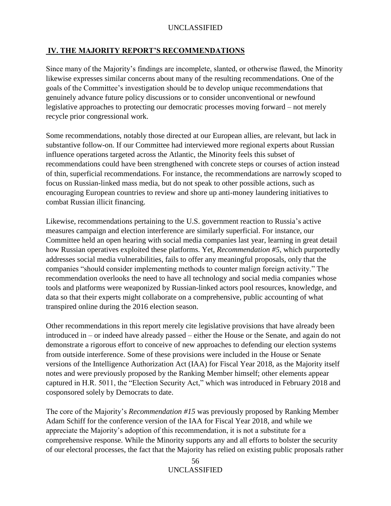# **IV. THE MAJORITY REPORT'S RECOMMENDATIONS**

Since many of the Majority's findings are incomplete, slanted, or otherwise flawed, the Minority likewise expresses similar concerns about many of the resulting recommendations. One of the goals of the Committee's investigation should be to develop unique recommendations that genuinely advance future policy discussions or to consider unconventional or newfound legislative approaches to protecting our democratic processes moving forward – not merely recycle prior congressional work.

Some recommendations, notably those directed at our European allies, are relevant, but lack in substantive follow-on. If our Committee had interviewed more regional experts about Russian influence operations targeted across the Atlantic, the Minority feels this subset of recommendations could have been strengthened with concrete steps or courses of action instead of thin, superficial recommendations. For instance, the recommendations are narrowly scoped to focus on Russian-linked mass media, but do not speak to other possible actions, such as encouraging European countries to review and shore up anti-money laundering initiatives to combat Russian illicit financing.

Likewise, recommendations pertaining to the U.S. government reaction to Russia's active measures campaign and election interference are similarly superficial. For instance, our Committee held an open hearing with social media companies last year, learning in great detail how Russian operatives exploited these platforms. Yet, *Recommendation #5*, which purportedly addresses social media vulnerabilities, fails to offer any meaningful proposals, only that the companies "should consider implementing methods to counter malign foreign activity." The recommendation overlooks the need to have all technology and social media companies whose tools and platforms were weaponized by Russian-linked actors pool resources, knowledge, and data so that their experts might collaborate on a comprehensive, public accounting of what transpired online during the 2016 election season.

Other recommendations in this report merely cite legislative provisions that have already been introduced in – or indeed have already passed – either the House or the Senate, and again do not demonstrate a rigorous effort to conceive of new approaches to defending our election systems from outside interference. Some of these provisions were included in the House or Senate versions of the Intelligence Authorization Act (IAA) for Fiscal Year 2018, as the Majority itself notes and were previously proposed by the Ranking Member himself; other elements appear captured in H.R. 5011, the "Election Security Act," which was introduced in February 2018 and cosponsored solely by Democrats to date.

The core of the Majority's *Recommendation #15* was previously proposed by Ranking Member Adam Schiff for the conference version of the IAA for Fiscal Year 2018, and while we appreciate the Majority's adoption of this recommendation, it is not a substitute for a comprehensive response. While the Minority supports any and all efforts to bolster the security of our electoral processes, the fact that the Majority has relied on existing public proposals rather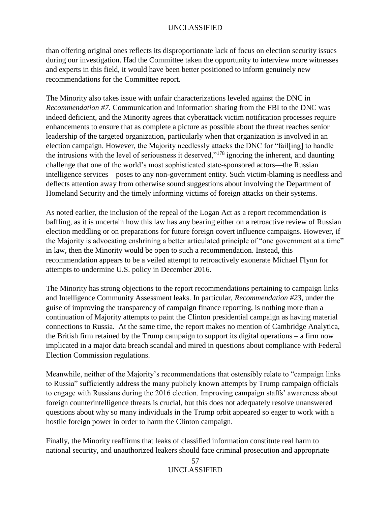than offering original ones reflects its disproportionate lack of focus on election security issues during our investigation. Had the Committee taken the opportunity to interview more witnesses and experts in this field, it would have been better positioned to inform genuinely new recommendations for the Committee report.

The Minority also takes issue with unfair characterizations leveled against the DNC in *Recommendation #7*. Communication and information sharing from the FBI to the DNC was indeed deficient, and the Minority agrees that cyberattack victim notification processes require enhancements to ensure that as complete a picture as possible about the threat reaches senior leadership of the targeted organization, particularly when that organization is involved in an election campaign. However, the Majority needlessly attacks the DNC for "fail[ing] to handle the intrusions with the level of seriousness it deserved,"<sup>178</sup> ignoring the inherent, and daunting challenge that one of the world's most sophisticated state-sponsored actors—the Russian intelligence services—poses to any non-government entity. Such victim-blaming is needless and deflects attention away from otherwise sound suggestions about involving the Department of Homeland Security and the timely informing victims of foreign attacks on their systems.

As noted earlier, the inclusion of the repeal of the Logan Act as a report recommendation is baffling, as it is uncertain how this law has any bearing either on a retroactive review of Russian election meddling or on preparations for future foreign covert influence campaigns. However, if the Majority is advocating enshrining a better articulated principle of "one government at a time" in law, then the Minority would be open to such a recommendation. Instead, this recommendation appears to be a veiled attempt to retroactively exonerate Michael Flynn for attempts to undermine U.S. policy in December 2016.

The Minority has strong objections to the report recommendations pertaining to campaign links and Intelligence Community Assessment leaks. In particular, *Recommendation #23*, under the guise of improving the transparency of campaign finance reporting, is nothing more than a continuation of Majority attempts to paint the Clinton presidential campaign as having material connections to Russia. At the same time, the report makes no mention of Cambridge Analytica, the British firm retained by the Trump campaign to support its digital operations – a firm now implicated in a major data breach scandal and mired in questions about compliance with Federal Election Commission regulations.

Meanwhile, neither of the Majority's recommendations that ostensibly relate to "campaign links to Russia" sufficiently address the many publicly known attempts by Trump campaign officials to engage with Russians during the 2016 election. Improving campaign staffs' awareness about foreign counterintelligence threats is crucial, but this does not adequately resolve unanswered questions about why so many individuals in the Trump orbit appeared so eager to work with a hostile foreign power in order to harm the Clinton campaign.

Finally, the Minority reaffirms that leaks of classified information constitute real harm to national security, and unauthorized leakers should face criminal prosecution and appropriate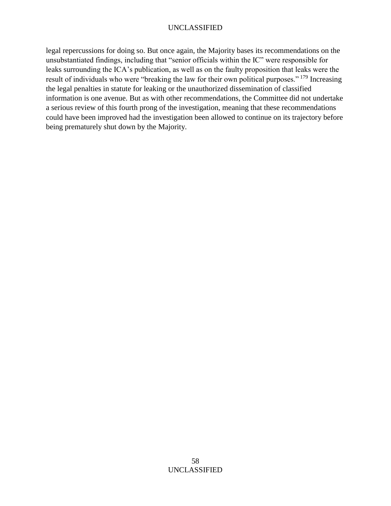legal repercussions for doing so. But once again, the Majority bases its recommendations on the unsubstantiated findings, including that "senior officials within the IC" were responsible for leaks surrounding the ICA's publication, as well as on the faulty proposition that leaks were the result of individuals who were "breaking the law for their own political purposes." <sup>179</sup> Increasing the legal penalties in statute for leaking or the unauthorized dissemination of classified information is one avenue. But as with other recommendations, the Committee did not undertake a serious review of this fourth prong of the investigation, meaning that these recommendations could have been improved had the investigation been allowed to continue on its trajectory before being prematurely shut down by the Majority.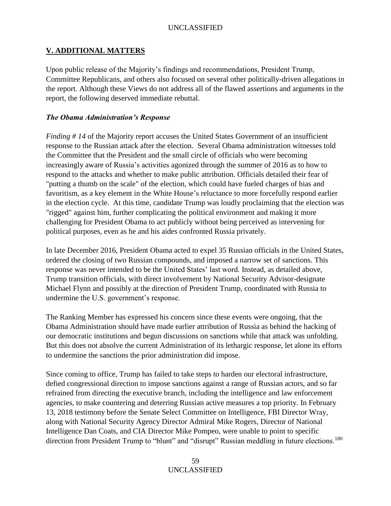# **V. ADDITIONAL MATTERS**

Upon public release of the Majority's findings and recommendations, President Trump, Committee Republicans, and others also focused on several other politically-driven allegations in the report. Although these Views do not address all of the flawed assertions and arguments in the report, the following deserved immediate rebuttal.

## *The Obama Administration's Response*

*Finding # 14* of the Majority report accuses the United States Government of an insufficient response to the Russian attack after the election. Several Obama administration witnesses told the Committee that the President and the small circle of officials who were becoming increasingly aware of Russia's activities agonized through the summer of 2016 as to how to respond to the attacks and whether to make public attribution. Officials detailed their fear of "putting a thumb on the scale" of the election, which could have fueled charges of bias and favoritism, as a key element in the White House's reluctance to more forcefully respond earlier in the election cycle. At this time, candidate Trump was loudly proclaiming that the election was "rigged" against him, further complicating the political environment and making it more challenging for President Obama to act publicly without being perceived as intervening for political purposes, even as he and his aides confronted Russia privately.

In late December 2016, President Obama acted to expel 35 Russian officials in the United States, ordered the closing of two Russian compounds, and imposed a narrow set of sanctions. This response was never intended to be the United States' last word. Instead, as detailed above, Trump transition officials, with direct involvement by National Security Advisor-designate Michael Flynn and possibly at the direction of President Trump, coordinated with Russia to undermine the U.S. government's response.

The Ranking Member has expressed his concern since these events were ongoing, that the Obama Administration should have made earlier attribution of Russia as behind the hacking of our democratic institutions and begun discussions on sanctions while that attack was unfolding. But this does not absolve the current Administration of its lethargic response, let alone its efforts to undermine the sanctions the prior administration did impose.

Since coming to office, Trump has failed to take steps to harden our electoral infrastructure, defied congressional direction to impose sanctions against a range of Russian actors, and so far refrained from directing the executive branch, including the intelligence and law enforcement agencies, to make countering and deterring Russian active measures a top priority. In February 13, 2018 testimony before the Senate Select Committee on Intelligence, FBI Director Wray, along with National Security Agency Director Admiral Mike Rogers, Director of National Intelligence Dan Coats, and CIA Director Mike Pompeo, were unable to point to specific direction from President Trump to "blunt" and "disrupt" Russian meddling in future elections.<sup>180</sup>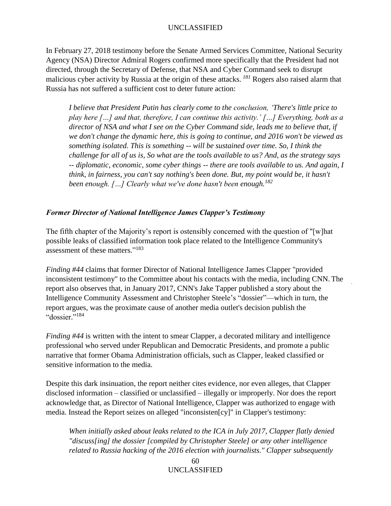In February 27, 2018 testimony before the Senate Armed Services Committee, National Security Agency (NSA) Director Admiral Rogers confirmed more specifically that the President had not directed, through the Secretary of Defense, that NSA and Cyber Command seek to disrupt malicious cyber activity by Russia at the origin of these attacks. *<sup>181</sup>* Rogers also raised alarm that Russia has not suffered a sufficient cost to deter future action:

*I believe that President Putin has clearly come to the conclusion, 'There's little price to play here […] and that, therefore, I can continue this activity.' […] Everything, both as a director of NSA and what I see on the Cyber Command side, leads me to believe that, if we don't change the dynamic here, this is going to continue, and 2016 won't be viewed as something isolated. This is something -- will be sustained over time. So, I think the challenge for all of us is, So what are the tools available to us? And, as the strategy says -- diplomatic, economic, some cyber things -- there are tools available to us. And again, I think, in fairness, you can't say nothing's been done. But, my point would be, it hasn't been enough. […] Clearly what we've done hasn't been enough.<sup>182</sup>*

### *Former Director of National Intelligence James Clapper's Testimony*

The fifth chapter of the Majority's report is ostensibly concerned with the question of "[w]hat possible leaks of classified information took place related to the Intelligence Community's assessment of these matters." 183

*Finding #44* claims that former Director of National Intelligence James Clapper "provided inconsistent testimony" to the Committee about his contacts with the media, including CNN. The report also observes that, in January 2017, CNN's Jake Tapper published a story about the Intelligence Community Assessment and Christopher Steele's "dossier"—which in turn, the report argues, was the proximate cause of another media outlet's decision publish the "dossier." 184

*Finding #44* is written with the intent to smear Clapper, a decorated military and intelligence professional who served under Republican and Democratic Presidents, and promote a public narrative that former Obama Administration officials, such as Clapper, leaked classified or sensitive information to the media.

Despite this dark insinuation, the report neither cites evidence, nor even alleges, that Clapper disclosed information – classified or unclassified – illegally or improperly. Nor does the report acknowledge that, as Director of National Intelligence, Clapper was authorized to engage with media. Instead the Report seizes on alleged "inconsisten[cy]" in Clapper's testimony:

*When initially asked about leaks related to the ICA in July 2017, Clapper flatly denied "discuss[ing] the dossier [compiled by Christopher Steele] or any other intelligence related to Russia hacking of the 2016 election with journalists." Clapper subsequently*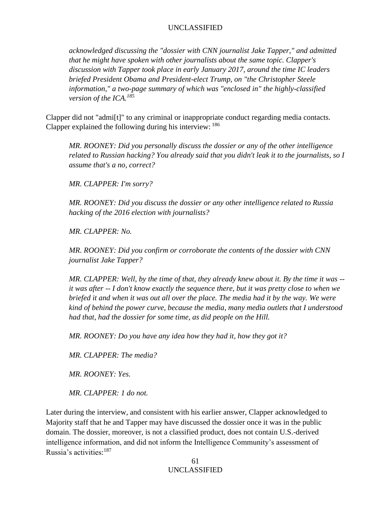*acknowledged discussing the "dossier with CNN journalist Jake Tapper," and admitted that he might have spoken with other journalists about the same topic. Clapper's discussion with Tapper took place in early January 2017, around the time IC leaders briefed President Obama and President-elect Trump, on "the Christopher Steele information," a two-page summary of which was "enclosed in" the highly-classified version of the ICA.<sup>185</sup>*

Clapper did not "admi[t]" to any criminal or inappropriate conduct regarding media contacts. Clapper explained the following during his interview: <sup>186</sup>

*MR. ROONEY: Did you personally discuss the dossier or any of the other intelligence related to Russian hacking? You already said that you didn't leak it to the journalists, so I assume that's a no, correct?*

*MR. CLAPPER: I'm sorry?*

*MR. ROONEY: Did you discuss the dossier or any other intelligence related to Russia hacking of the 2016 election with journalists?*

*MR. CLAPPER: No.*

*MR. ROONEY: Did you confirm or corroborate the contents of the dossier with CNN journalist Jake Tapper?*

*MR. CLAPPER: Well, by the time of that, they already knew about it. By the time it was - it was after -- I don't know exactly the sequence there, but it was pretty close to when we briefed it and when it was out all over the place. The media had it by the way. We were kind of behind the power curve, because the media, many media outlets that I understood had that, had the dossier for some time, as did people on the Hill.* 

*MR. ROONEY: Do you have any idea how they had it, how they got it?*

*MR. CLAPPER: The media?*

*MR. ROONEY: Yes.*

*MR. CLAPPER: 1 do not.*

Later during the interview, and consistent with his earlier answer, Clapper acknowledged to Majority staff that he and Tapper may have discussed the dossier once it was in the public domain. The dossier, moreover, is not a classified product, does not contain U.S.-derived intelligence information, and did not inform the Intelligence Community's assessment of Russia's activities:<sup>187</sup>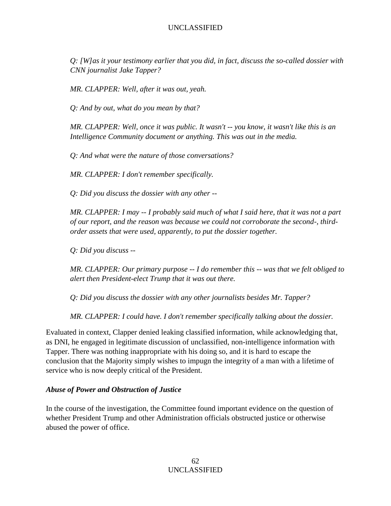*Q: [W]as it your testimony earlier that you did, in fact, discuss the so-called dossier with CNN journalist Jake Tapper?*

*MR. CLAPPER: Well, after it was out, yeah.*

*Q: And by out, what do you mean by that?*

*MR. CLAPPER: Well, once it was public. It wasn't -- you know, it wasn't like this is an Intelligence Community document or anything. This was out in the media.*

*Q: And what were the nature of those conversations?*

*MR. CLAPPER: I don't remember specifically.*

*Q: Did you discuss the dossier with any other --*

*MR. CLAPPER: I may -- I probably said much of what I said here, that it was not a part of our report, and the reason was because we could not corroborate the second-, thirdorder assets that were used, apparently, to put the dossier together.*

*Q: Did you discuss --*

*MR. CLAPPER: Our primary purpose -- I do remember this -- was that we felt obliged to alert then President-elect Trump that it was out there.*

*Q: Did you discuss the dossier with any other journalists besides Mr. Tapper?*

*MR. CLAPPER: I could have. I don't remember specifically talking about the dossier.*

Evaluated in context, Clapper denied leaking classified information, while acknowledging that, as DNI, he engaged in legitimate discussion of unclassified, non-intelligence information with Tapper. There was nothing inappropriate with his doing so, and it is hard to escape the conclusion that the Majority simply wishes to impugn the integrity of a man with a lifetime of service who is now deeply critical of the President.

#### *Abuse of Power and Obstruction of Justice*

In the course of the investigation, the Committee found important evidence on the question of whether President Trump and other Administration officials obstructed justice or otherwise abused the power of office.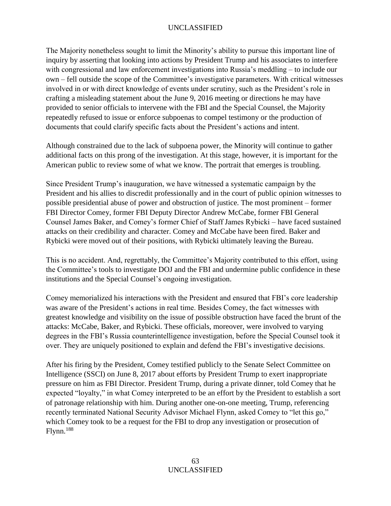The Majority nonetheless sought to limit the Minority's ability to pursue this important line of inquiry by asserting that looking into actions by President Trump and his associates to interfere with congressional and law enforcement investigations into Russia's meddling – to include our own – fell outside the scope of the Committee's investigative parameters. With critical witnesses involved in or with direct knowledge of events under scrutiny, such as the President's role in crafting a misleading statement about the June 9, 2016 meeting or directions he may have provided to senior officials to intervene with the FBI and the Special Counsel, the Majority repeatedly refused to issue or enforce subpoenas to compel testimony or the production of documents that could clarify specific facts about the President's actions and intent.

Although constrained due to the lack of subpoena power, the Minority will continue to gather additional facts on this prong of the investigation. At this stage, however, it is important for the American public to review some of what we know. The portrait that emerges is troubling.

Since President Trump's inauguration, we have witnessed a systematic campaign by the President and his allies to discredit professionally and in the court of public opinion witnesses to possible presidential abuse of power and obstruction of justice. The most prominent – former FBI Director Comey, former FBI Deputy Director Andrew McCabe, former FBI General Counsel James Baker, and Comey's former Chief of Staff James Rybicki – have faced sustained attacks on their credibility and character. Comey and McCabe have been fired. Baker and Rybicki were moved out of their positions, with Rybicki ultimately leaving the Bureau.

This is no accident. And, regrettably, the Committee's Majority contributed to this effort, using the Committee's tools to investigate DOJ and the FBI and undermine public confidence in these institutions and the Special Counsel's ongoing investigation.

Comey memorialized his interactions with the President and ensured that FBI's core leadership was aware of the President's actions in real time. Besides Comey, the fact witnesses with greatest knowledge and visibility on the issue of possible obstruction have faced the brunt of the attacks: McCabe, Baker, and Rybicki. These officials, moreover, were involved to varying degrees in the FBI's Russia counterintelligence investigation, before the Special Counsel took it over. They are uniquely positioned to explain and defend the FBI's investigative decisions.

After his firing by the President, Comey testified publicly to the Senate Select Committee on Intelligence (SSCI) on June 8, 2017 about efforts by President Trump to exert inappropriate pressure on him as FBI Director. President Trump, during a private dinner, told Comey that he expected "loyalty," in what Comey interpreted to be an effort by the President to establish a sort of patronage relationship with him. During another one-on-one meeting, Trump, referencing recently terminated National Security Advisor Michael Flynn, asked Comey to "let this go," which Comey took to be a request for the FBI to drop any investigation or prosecution of Flynn.<sup>188</sup>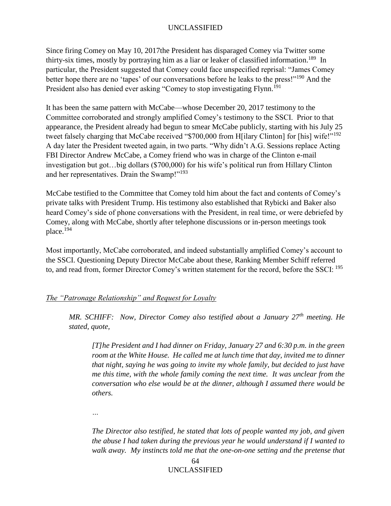Since firing Comey on May 10, 2017the President has disparaged Comey via Twitter some thirty-six times, mostly by portraying him as a liar or leaker of classified information.<sup>189</sup> In particular, the President suggested that Comey could face unspecified reprisal: "James Comey better hope there are no 'tapes' of our conversations before he leaks to the press!"<sup>190</sup> And the President also has denied ever asking "Comey to stop investigating Flynn.<sup>191</sup>

It has been the same pattern with McCabe—whose December 20, 2017 testimony to the Committee corroborated and strongly amplified Comey's testimony to the SSCI. Prior to that appearance, the President already had begun to smear McCabe publicly, starting with his July 25 tweet falsely charging that McCabe received "\$700,000 from H[ilary Clinton] for [his] wife!"<sup>192</sup> A day later the President tweeted again, in two parts. "Why didn't A.G. Sessions replace Acting FBI Director Andrew McCabe, a Comey friend who was in charge of the Clinton e-mail investigation but got…big dollars (\$700,000) for his wife's political run from Hillary Clinton and her representatives. Drain the Swamp!"<sup>193</sup>

McCabe testified to the Committee that Comey told him about the fact and contents of Comey's private talks with President Trump. His testimony also established that Rybicki and Baker also heard Comey's side of phone conversations with the President, in real time, or were debriefed by Comey, along with McCabe, shortly after telephone discussions or in-person meetings took place.<sup>194</sup>

Most importantly, McCabe corroborated, and indeed substantially amplified Comey's account to the SSCI. Questioning Deputy Director McCabe about these, Ranking Member Schiff referred to, and read from, former Director Comey's written statement for the record, before the SSCI: <sup>195</sup>

#### *The "Patronage Relationship" and Request for Loyalty*

*MR. SCHIFF: Now, Director Comey also testified about a January 27th meeting. He stated, quote,* 

*[T]he President and I had dinner on Friday, January 27 and 6:30 p.m. in the green room at the White House. He called me at lunch time that day, invited me to dinner that night, saying he was going to invite my whole family, but decided to just have me this time, with the whole family coming the next time. It was unclear from the conversation who else would be at the dinner, although I assumed there would be others.* 

*…*

*The Director also testified, he stated that lots of people wanted my job, and given the abuse I had taken during the previous year he would understand if I wanted to walk away. My instincts told me that the one-on-one setting and the pretense that*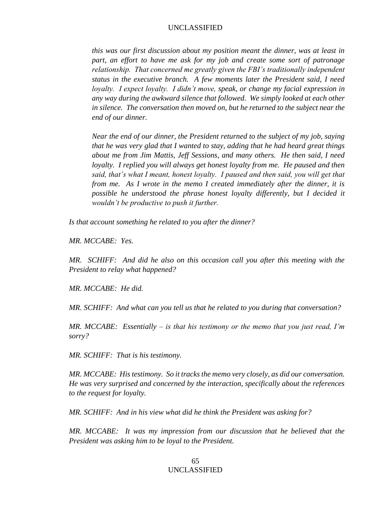*this was our first discussion about my position meant the dinner, was at least in part, an effort to have me ask for my job and create some sort of patronage relationship. That concerned me greatly given the FBI's traditionally independent status in the executive branch. A few moments later the President said, I need loyalty. I expect loyalty. I didn't move, speak, or change my facial expression in any way during the awkward silence that followed. We simply looked at each other in silence. The conversation then moved on, but he returned to the subject near the end of our dinner.* 

*Near the end of our dinner, the President returned to the subject of my job, saying that he was very glad that I wanted to stay, adding that he had heard great things about me from Jim Mattis, Jeff Sessions, and many others. He then said, I need loyalty. I replied you will always get honest loyalty from me. He paused and then said, that's what I meant, honest loyalty. I paused and then said, you will get that from me. As I wrote in the memo I created immediately after the dinner, it is possible he understood the phrase honest loyalty differently, but I decided it wouldn't be productive to push it further.* 

*Is that account something he related to you after the dinner?* 

*MR. MCCABE: Yes.* 

*MR. SCHIFF: And did he also on this occasion call you after this meeting with the President to relay what happened?* 

*MR. MCCABE: He did.* 

*MR. SCHIFF: And what can you tell us that he related to you during that conversation?* 

*MR. MCCABE: Essentially – is that his testimony or the memo that you just read, I'm sorry?* 

*MR. SCHIFF: That is his testimony.* 

*MR. MCCABE: His testimony. So it tracks the memo very closely, as did our conversation. He was very surprised and concerned by the interaction, specifically about the references to the request for loyalty.* 

*MR. SCHIFF: And in his view what did he think the President was asking for?* 

*MR. MCCABE: It was my impression from our discussion that he believed that the President was asking him to be loyal to the President.*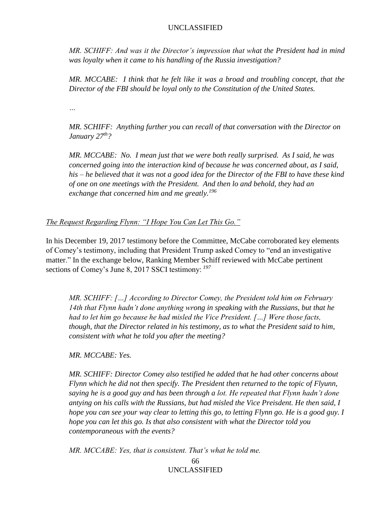*MR. SCHIFF: And was it the Director's impression that what the President had in mind was loyalty when it came to his handling of the Russia investigation?* 

*MR. MCCABE: I think that he felt like it was a broad and troubling concept, that the Director of the FBI should be loyal only to the Constitution of the United States.* 

*…*

*MR. SCHIFF: Anything further you can recall of that conversation with the Director on January 27th?* 

*MR. MCCABE: No. I mean just that we were both really surprised. As I said, he was concerned going into the interaction kind of because he was concerned about, as I said, his – he believed that it was not a good idea for the Director of the FBI to have these kind of one on one meetings with the President. And then lo and behold, they had an exchange that concerned him and me greatly.<sup>196</sup>* 

# *The Request Regarding Flynn: "I Hope You Can Let This Go."*

In his December 19, 2017 testimony before the Committee, McCabe corroborated key elements of Comey's testimony, including that President Trump asked Comey to "end an investigative matter." In the exchange below, Ranking Member Schiff reviewed with McCabe pertinent sections of Comey's June 8, 2017 SSCI testimony: *<sup>197</sup>*

*MR. SCHIFF: […] According to Director Comey, the President told him on February 14th that Flynn hadn't done anything wrong in speaking with the Russians, but that he had to let him go because he had misled the Vice President. […] Were those facts, though, that the Director related in his testimony, as to what the President said to him, consistent with what he told you after the meeting?* 

*MR. MCCABE: Yes.* 

*MR. SCHIFF: Director Comey also testified he added that he had other concerns about Flynn which he did not then specify. The President then returned to the topic of Flyunn, saying he is a good guy and has been through a lot. He repeated that Flynn hadn't done antying on his calls with the Russians, but had misled the Vice Preisdent. He then said, I hope you can see your way clear to letting this go, to letting Flynn go. He is a good guy. I hope you can let this go. Is that also consistent with what the Director told you contemporaneous with the events?*

*MR. MCCABE: Yes, that is consistent. That's what he told me.*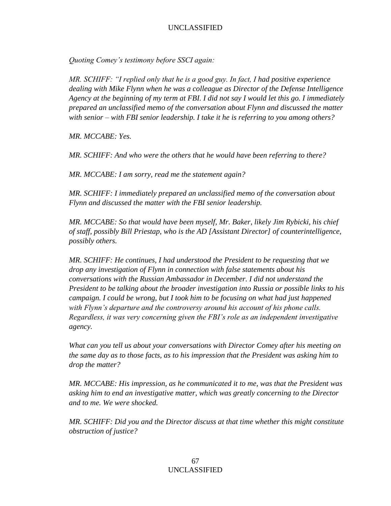*Quoting Comey's testimony before SSCI again:* 

*MR. SCHIFF: "I replied only that he is a good guy. In fact, I had positive experience dealing with Mike Flynn when he was a colleague as Director of the Defense Intelligence Agency at the beginning of my term at FBI. I did not say I would let this go. I immediately prepared an unclassified memo of the conversation about Flynn and discussed the matter with senior – with FBI senior leadership. I take it he is referring to you among others?*

*MR. MCCABE: Yes.* 

*MR. SCHIFF: And who were the others that he would have been referring to there?* 

*MR. MCCABE: I am sorry, read me the statement again?*

*MR. SCHIFF: I immediately prepared an unclassified memo of the conversation about Flynn and discussed the matter with the FBI senior leadership.* 

*MR. MCCABE: So that would have been myself, Mr. Baker, likely Jim Rybicki, his chief of staff, possibly Bill Priestap, who is the AD [Assistant Director] of counterintelligence, possibly others.* 

*MR. SCHIFF: He continues, I had understood the President to be requesting that we drop any investigation of Flynn in connection with false statements about his conversations with the Russian Ambassador in December. I did not understand the President to be talking about the broader investigation into Russia or possible links to his campaign. I could be wrong, but I took him to be focusing on what had just happened with Flynn's departure and the controversy around his account of his phone calls. Regardless, it was very concerning given the FBI's role as an independent investigative agency.* 

*What can you tell us about your conversations with Director Comey after his meeting on the same day as to those facts, as to his impression that the President was asking him to drop the matter?* 

*MR. MCCABE: His impression, as he communicated it to me, was that the President was asking him to end an investigative matter, which was greatly concerning to the Director and to me. We were shocked.* 

*MR. SCHIFF: Did you and the Director discuss at that time whether this might constitute obstruction of justice?*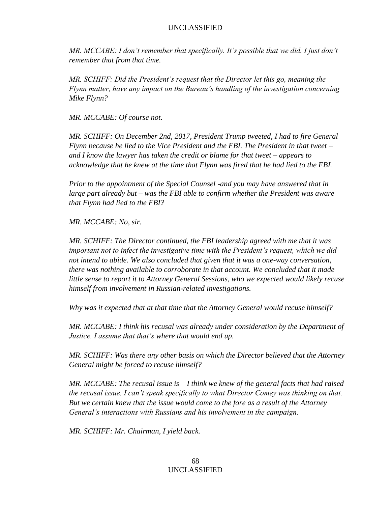*MR. MCCABE: I don't remember that specifically. It's possible that we did. I just don't remember that from that time.* 

*MR. SCHIFF: Did the President's request that the Director let this go, meaning the Flynn matter, have any impact on the Bureau's handling of the investigation concerning Mike Flynn?* 

*MR. MCCABE: Of course not.* 

*MR. SCHIFF: On December 2nd, 2017, President Trump tweeted, I had to fire General Flynn because he lied to the Vice President and the FBI. The President in that tweet – and I know the lawyer has taken the credit or blame for that tweet – appears to acknowledge that he knew at the time that Flynn was fired that he had lied to the FBI.* 

*Prior to the appointment of the Special Counsel -and you may have answered that in large part already but – was the FBI able to confirm whether the President was aware that Flynn had lied to the FBI?*

*MR. MCCABE: No, sir.* 

*MR. SCHIFF: The Director continued, the FBI leadership agreed with me that it was important not to infect the investigative time with the President's request, which we did not intend to abide. We also concluded that given that it was a one-way conversation, there was nothing available to corroborate in that account. We concluded that it made little sense to report it to Attorney General Sessions, who we expected would likely recuse himself from involvement in Russian-related investigations.* 

*Why was it expected that at that time that the Attorney General would recuse himself?*

*MR. MCCABE: I think his recusal was already under consideration by the Department of Justice. I assume that that's where that would end up.* 

*MR. SCHIFF: Was there any other basis on which the Director believed that the Attorney General might be forced to recuse himself?*

*MR. MCCABE: The recusal issue is – I think we knew of the general facts that had raised the recusal issue. I can't speak specifically to what Director Comey was thinking on that. But we certain knew that the issue would come to the fore as a result of the Attorney General's interactions with Russians and his involvement in the campaign.* 

*MR. SCHIFF: Mr. Chairman, I yield back.*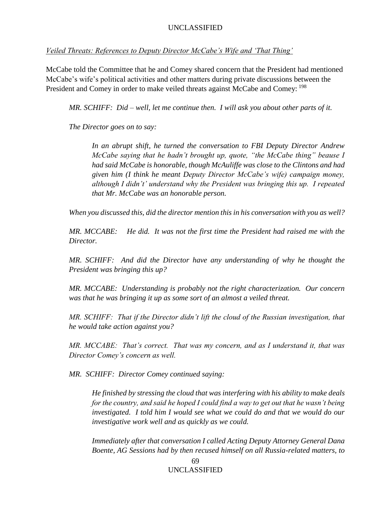*Veiled Threats: References to Deputy Director McCabe's Wife and 'That Thing'* 

McCabe told the Committee that he and Comey shared concern that the President had mentioned McCabe's wife's political activities and other matters during private discussions between the President and Comey in order to make veiled threats against McCabe and Comey: <sup>198</sup>

*MR. SCHIFF: Did – well, let me continue then. I will ask you about other parts of it.* 

*The Director goes on to say:*

*In an abrupt shift, he turned the conversation to FBI Deputy Director Andrew McCabe saying that he hadn't brought up, quote, "the McCabe thing" beause I had said McCabe is honorable, though McAuliffe was close to the Clintons and had given him (I think he meant Deputy Director McCabe's wife) campaign money, although I didn't' understand why the President was bringing this up. I repeated that Mr. McCabe was an honorable person.* 

*When you discussed this, did the director mention this in his conversation with you as well?* 

*MR. MCCABE: He did. It was not the first time the President had raised me with the Director.* 

*MR. SCHIFF:* And did the Director have any understanding of why he thought the *President was bringing this up?* 

*MR. MCCABE: Understanding is probably not the right characterization. Our concern was that he was bringing it up as some sort of an almost a veiled threat.* 

*MR. SCHIFF: That if the Director didn't lift the cloud of the Russian investigation, that he would take action against you?* 

*MR. MCCABE: That's correct. That was my concern, and as I understand it, that was Director Comey's concern as well.* 

*MR. SCHIFF: Director Comey continued saying:* 

*He finished by stressing the cloud that was interfering with his ability to make deals for the country, and said he hoped I could find a way to get out that he wasn't being investigated. I told him I would see what we could do and that we would do our investigative work well and as quickly as we could.* 

*Immediately after that conversation I called Acting Deputy Attorney General Dana Boente, AG Sessions had by then recused himself on all Russia-related matters, to*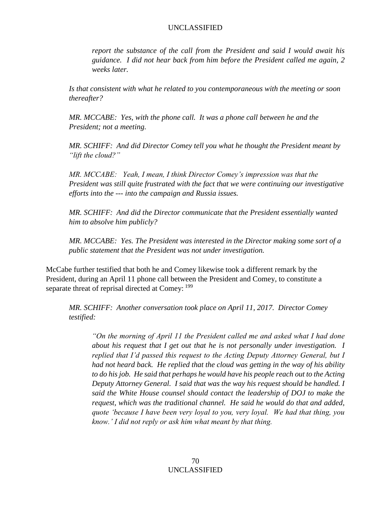*report the substance of the call from the President and said I would await his guidance. I did not hear back from him before the President called me again, 2 weeks later.* 

*Is that consistent with what he related to you contemporaneous with the meeting or soon thereafter?* 

*MR. MCCABE: Yes, with the phone call. It was a phone call between he and the President; not a meeting.* 

*MR. SCHIFF: And did Director Comey tell you what he thought the President meant by "lift the cloud?"* 

*MR. MCCABE: Yeah, I mean, I think Director Comey's impression was that the President was still quite frustrated with the fact that we were continuing our investigative efforts into the --- into the campaign and Russia issues.* 

*MR. SCHIFF: And did the Director communicate that the President essentially wanted him to absolve him publicly?* 

*MR. MCCABE: Yes. The President was interested in the Director making some sort of a public statement that the President was not under investigation.*

McCabe further testified that both he and Comey likewise took a different remark by the President, during an April 11 phone call between the President and Comey, to constitute a separate threat of reprisal directed at Comey:  $^{199}$ 

*MR. SCHIFF: Another conversation took place on April 11, 2017. Director Comey testified:* 

*"On the morning of April 11 the President called me and asked what I had done about his request that I get out that he is not personally under investigation. I replied that I'd passed this request to the Acting Deputy Attorney General, but I had not heard back. He replied that the cloud was getting in the way of his ability to do his job. He said that perhaps he would have his people reach out to the Acting Deputy Attorney General. I said that was the way his request should be handled. I said the White House counsel should contact the leadership of DOJ to make the request, which was the traditional channel. He said he would do that and added, quote 'because I have been very loyal to you, very loyal. We had that thing, you know.' I did not reply or ask him what meant by that thing.*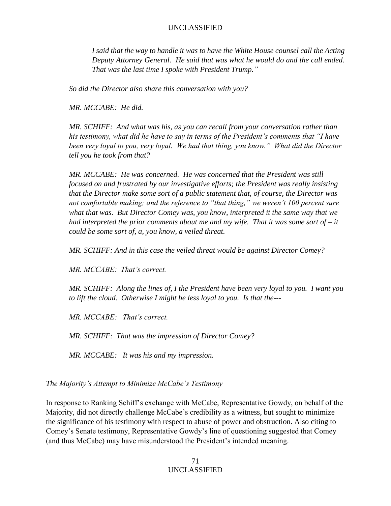*I said that the way to handle it was to have the White House counsel call the Acting Deputy Attorney General. He said that was what he would do and the call ended. That was the last time I spoke with President Trump."* 

*So did the Director also share this conversation with you?* 

*MR. MCCABE: He did.* 

*MR. SCHIFF: And what was his, as you can recall from your conversation rather than his testimony, what did he have to say in terms of the President's comments that "I have been very loyal to you, very loyal. We had that thing, you know." What did the Director tell you he took from that?* 

*MR. MCCABE: He was concerned. He was concerned that the President was still focused on and frustrated by our investigative efforts; the President was really insisting that the Director make some sort of a public statement that, of course, the Director was not comfortable making; and the reference to "that thing," we weren't 100 percent sure what that was. But Director Comey was, you know, interpreted it the same way that we had interpreted the prior comments about me and my wife. That it was some sort of – it could be some sort of, a, you know, a veiled threat.* 

*MR. SCHIFF: And in this case the veiled threat would be against Director Comey?* 

*MR. MCCABE: That's correct.* 

*MR. SCHIFF: Along the lines of, I the President have been very loyal to you. I want you to lift the cloud. Otherwise I might be less loyal to you. Is that the---*

*MR. MCCABE: That's correct.* 

*MR. SCHIFF: That was the impression of Director Comey?*

*MR. MCCABE: It was his and my impression.* 

## *The Majority's Attempt to Minimize McCabe's Testimony*

In response to Ranking Schiff's exchange with McCabe, Representative Gowdy, on behalf of the Majority, did not directly challenge McCabe's credibility as a witness, but sought to minimize the significance of his testimony with respect to abuse of power and obstruction. Also citing to Comey's Senate testimony, Representative Gowdy's line of questioning suggested that Comey (and thus McCabe) may have misunderstood the President's intended meaning.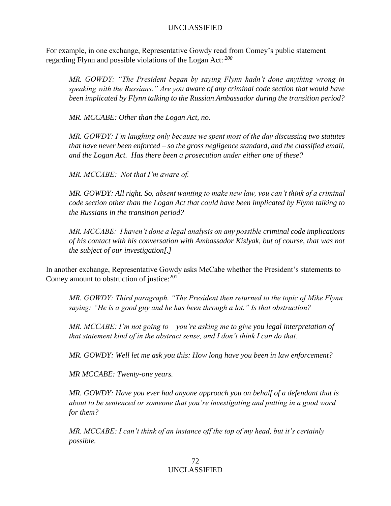For example, in one exchange, Representative Gowdy read from Comey's public statement regarding Flynn and possible violations of the Logan Act: *<sup>200</sup>*

*MR. GOWDY: "The President began by saying Flynn hadn't done anything wrong in speaking with the Russians." Are you aware of any criminal code section that would have been implicated by Flynn talking to the Russian Ambassador during the transition period?* 

*MR. MCCABE: Other than the Logan Act, no.* 

*MR. GOWDY: I'm laughing only because we spent most of the day discussing two statutes that have never been enforced – so the gross negligence standard, and the classified email, and the Logan Act. Has there been a prosecution under either one of these?* 

*MR. MCCABE: Not that I'm aware of.* 

*MR. GOWDY: All right. So, absent wanting to make new law, you can't think of a criminal code section other than the Logan Act that could have been implicated by Flynn talking to the Russians in the transition period?* 

*MR. MCCABE: I haven't done a legal analysis on any possible criminal code implications of his contact with his conversation with Ambassador Kislyak, but of course, that was not the subject of our investigation[.]* 

In another exchange, Representative Gowdy asks McCabe whether the President's statements to Comey amount to obstruction of justice:<sup>201</sup>

*MR. GOWDY: Third paragraph. "The President then returned to the topic of Mike Flynn saying: "He is a good guy and he has been through a lot." Is that obstruction?*

*MR. MCCABE: I'm not going to – you're asking me to give you legal interpretation of that statement kind of in the abstract sense, and I don't think I can do that.* 

*MR. GOWDY: Well let me ask you this: How long have you been in law enforcement?*

*MR MCCABE: Twenty-one years.*

*MR. GOWDY: Have you ever had anyone approach you on behalf of a defendant that is about to be sentenced or someone that you're investigating and putting in a good word for them?*

*MR. MCCABE: I can't think of an instance off the top of my head, but it's certainly possible.*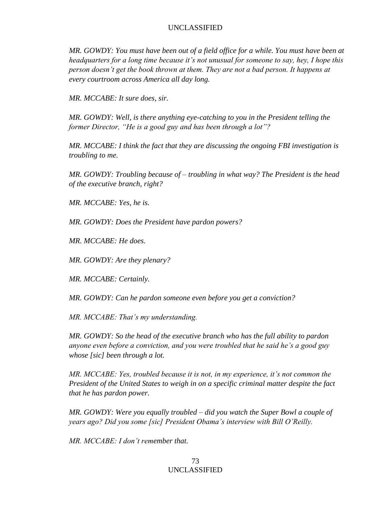*MR. GOWDY: You must have been out of a field office for a while. You must have been at headquarters for a long time because it's not unusual for someone to say, hey, I hope this person doesn't get the book thrown at them. They are not a bad person. It happens at every courtroom across America all day long.* 

*MR. MCCABE: It sure does, sir.*

*MR. GOWDY: Well, is there anything eye-catching to you in the President telling the former Director, "He is a good guy and has been through a lot"?*

*MR. MCCABE: I think the fact that they are discussing the ongoing FBI investigation is troubling to me.* 

*MR. GOWDY: Troubling because of – troubling in what way? The President is the head of the executive branch, right?*

*MR. MCCABE: Yes, he is.*

*MR. GOWDY: Does the President have pardon powers?*

*MR. MCCABE: He does.*

*MR. GOWDY: Are they plenary?*

*MR. MCCABE: Certainly.*

*MR. GOWDY: Can he pardon someone even before you get a conviction?*

*MR. MCCABE: That's my understanding.*

*MR. GOWDY: So the head of the executive branch who has the full ability to pardon anyone even before a conviction, and you were troubled that he said he's a good guy whose [sic] been through a lot.*

*MR. MCCABE: Yes, troubled because it is not, in my experience, it's not common the President of the United States to weigh in on a specific criminal matter despite the fact that he has pardon power.* 

*MR. GOWDY: Were you equally troubled – did you watch the Super Bowl a couple of years ago? Did you some [sic] President Obama's interview with Bill O'Reilly.*

*MR. MCCABE: I don't remember that.*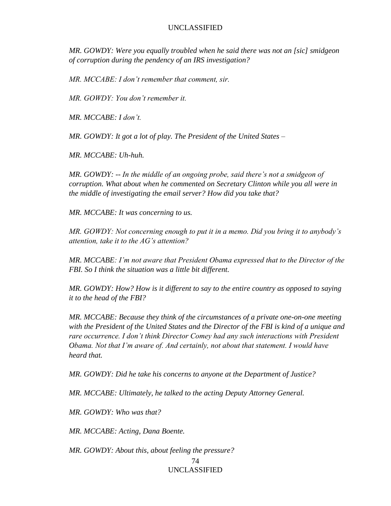*MR. GOWDY: Were you equally troubled when he said there was not an [sic] smidgeon of corruption during the pendency of an IRS investigation?*

*MR. MCCABE: I don't remember that comment, sir.* 

*MR. GOWDY: You don't remember it.* 

*MR. MCCABE: I don't.*

*MR. GOWDY: It got a lot of play. The President of the United States –*

*MR. MCCABE: Uh-huh.*

*MR. GOWDY: -- In the middle of an ongoing probe, said there's not a smidgeon of corruption. What about when he commented on Secretary Clinton while you all were in the middle of investigating the email server? How did you take that?* 

*MR. MCCABE: It was concerning to us.*

*MR. GOWDY: Not concerning enough to put it in a memo. Did you bring it to anybody's attention, take it to the AG's attention?* 

*MR. MCCABE: I'm not aware that President Obama expressed that to the Director of the FBI. So I think the situation was a little bit different.*

*MR. GOWDY: How? How is it different to say to the entire country as opposed to saying it to the head of the FBI?*

*MR. MCCABE: Because they think of the circumstances of a private one-on-one meeting with the President of the United States and the Director of the FBI is kind of a unique and rare occurrence. I don't think Director Comey had any such interactions with President Obama. Not that I'm aware of. And certainly, not about that statement. I would have heard that.*

*MR. GOWDY: Did he take his concerns to anyone at the Department of Justice?*

*MR. MCCABE: Ultimately, he talked to the acting Deputy Attorney General.*

*MR. GOWDY: Who was that?*

*MR. MCCABE: Acting, Dana Boente.* 

*MR. GOWDY: About this, about feeling the pressure?*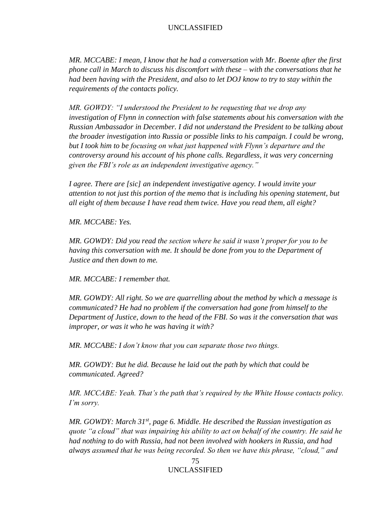*MR. MCCABE: I mean, I know that he had a conversation with Mr. Boente after the first phone call in March to discuss his discomfort with these – with the conversations that he had been having with the President, and also to let DOJ know to try to stay within the requirements of the contacts policy.* 

*MR. GOWDY: "I understood the President to be requesting that we drop any investigation of Flynn in connection with false statements about his conversation with the Russian Ambassador in December. I did not understand the President to be talking about the broader investigation into Russia or possible links to his campaign. I could be wrong, but I took him to be focusing on what just happened with Flynn's departure and the controversy around his account of his phone calls. Regardless, it was very concerning given the FBI's role as an independent investigative agency."*

*I agree. There are [sic] an independent investigative agency. I would invite your attention to not just this portion of the memo that is including his opening statement, but all eight of them because I have read them twice. Have you read them, all eight?*

*MR. MCCABE: Yes.*

*MR. GOWDY: Did you read the section where he said it wasn't proper for you to be having this conversation with me. It should be done from you to the Department of Justice and then down to me.*

*MR. MCCABE: I remember that.* 

*MR. GOWDY: All right. So we are quarrelling about the method by which a message is communicated? He had no problem if the conversation had gone from himself to the Department of Justice, down to the head of the FBI. So was it the conversation that was improper, or was it who he was having it with?*

*MR. MCCABE: I don't know that you can separate those two things.* 

*MR. GOWDY: But he did. Because he laid out the path by which that could be communicated. Agreed?*

*MR. MCCABE: Yeah. That's the path that's required by the White House contacts policy. I'm sorry.*

*MR. GOWDY: March 31st, page 6. Middle. He described the Russian investigation as quote "a cloud" that was impairing his ability to act on behalf of the country. He said he had nothing to do with Russia, had not been involved with hookers in Russia, and had always assumed that he was being recorded. So then we have this phrase, "cloud," and*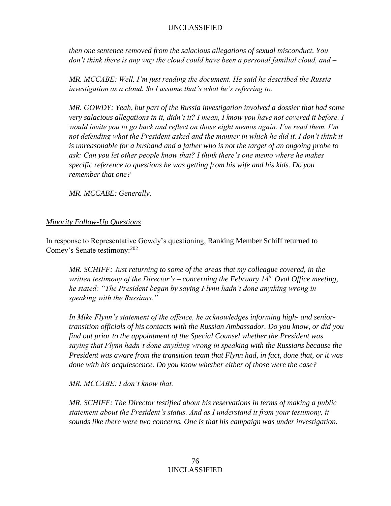*then one sentence removed from the salacious allegations of sexual misconduct. You don't think there is any way the cloud could have been a personal familial cloud, and –*

*MR. MCCABE: Well. I'm just reading the document. He said he described the Russia investigation as a cloud. So I assume that's what he's referring to.* 

*MR. GOWDY: Yeah, but part of the Russia investigation involved a dossier that had some very salacious allegations in it, didn't it? I mean, I know you have not covered it before. I would invite you to go back and reflect on those eight memos again. I've read them. I'm not defending what the President asked and the manner in which he did it. I don't think it is unreasonable for a husband and a father who is not the target of an ongoing probe to ask: Can you let other people know that? I think there's one memo where he makes specific reference to questions he was getting from his wife and his kids. Do you remember that one?*

*MR. MCCABE: Generally.*

# *Minority Follow-Up Questions*

In response to Representative Gowdy's questioning, Ranking Member Schiff returned to Comey's Senate testimony:<sup>202</sup>

*MR. SCHIFF: Just returning to some of the areas that my colleague covered, in the written testimony of the Director's – concerning the February 14th Oval Office meeting, he stated: "The President began by saying Flynn hadn't done anything wrong in speaking with the Russians."* 

*In Mike Flynn's statement of the offence, he acknowledges informing high- and seniortransition officials of his contacts with the Russian Ambassador. Do you know, or did you find out prior to the appointment of the Special Counsel whether the President was saying that Flynn hadn't done anything wrong in speaking with the Russians because the President was aware from the transition team that Flynn had, in fact, done that, or it was done with his acquiescence. Do you know whether either of those were the case?*

*MR. MCCABE: I don't know that.* 

*MR. SCHIFF: The Director testified about his reservations in terms of making a public statement about the President's status. And as I understand it from your testimony, it sounds like there were two concerns. One is that his campaign was under investigation.*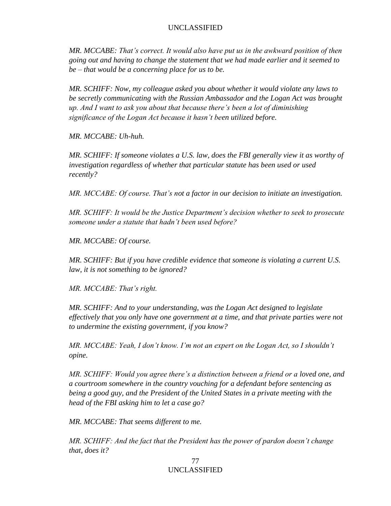*MR. MCCABE: That's correct. It would also have put us in the awkward position of then going out and having to change the statement that we had made earlier and it seemed to be – that would be a concerning place for us to be.* 

*MR. SCHIFF: Now, my colleague asked you about whether it would violate any laws to be secretly communicating with the Russian Ambassador and the Logan Act was brought up. And I want to ask you about that because there's been a lot of diminishing significance of the Logan Act because it hasn't been utilized before.* 

*MR. MCCABE: Uh-huh.* 

*MR. SCHIFF: If someone violates a U.S. law, does the FBI generally view it as worthy of investigation regardless of whether that particular statute has been used or used recently?*

*MR. MCCABE: Of course. That's not a factor in our decision to initiate an investigation.* 

*MR. SCHIFF: It would be the Justice Department's decision whether to seek to prosecute someone under a statute that hadn't been used before?*

*MR. MCCABE: Of course.* 

*MR. SCHIFF: But if you have credible evidence that someone is violating a current U.S. law, it is not something to be ignored?*

*MR. MCCABE: That's right.* 

*MR. SCHIFF: And to your understanding, was the Logan Act designed to legislate effectively that you only have one government at a time, and that private parties were not to undermine the existing government, if you know?*

*MR. MCCABE: Yeah, I don't know. I'm not an expert on the Logan Act, so I shouldn't opine.* 

*MR. SCHIFF: Would you agree there's a distinction between a friend or a loved one, and a courtroom somewhere in the country vouching for a defendant before sentencing as being a good guy, and the President of the United States in a private meeting with the head of the FBI asking him to let a case go?*

*MR. MCCABE: That seems different to me.* 

*MR. SCHIFF: And the fact that the President has the power of pardon doesn't change that, does it?*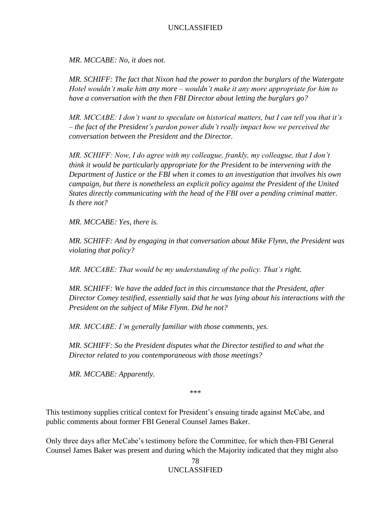*MR. MCCABE: No, it does not.* 

*MR. SCHIFF: The fact that Nixon had the power to pardon the burglars of the Watergate Hotel wouldn't make him any more – wouldn't make it any more appropriate for him to have a conversation with the then FBI Director about letting the burglars go?*

*MR. MCCABE: I don't want to speculate on historical matters, but I can tell you that it's – the fact of the President's pardon power didn't really impact how we perceived the conversation between the President and the Director.* 

*MR. SCHIFF: Now, I do agree with my colleague, frankly, my colleague, that I don't think it would be particularly appropriate for the President to be intervening with the Department of Justice or the FBI when it comes to an investigation that involves his own campaign, but there is nonetheless an explicit policy against the President of the United States directly communicating with the head of the FBI over a pending criminal matter. Is there not?*

*MR. MCCABE: Yes, there is.*

*MR. SCHIFF: And by engaging in that conversation about Mike Flynn, the President was violating that policy?*

*MR. MCCABE: That would be my understanding of the policy. That's right.* 

*MR. SCHIFF: We have the added fact in this circumstance that the President, after Director Comey testified, essentially said that he was lying about his interactions with the President on the subject of Mike Flynn. Did he not?*

*MR. MCCABE: I'm generally familiar with those comments, yes.* 

*MR. SCHIFF: So the President disputes what the Director testified to and what the Director related to you contemporaneous with those meetings?* 

*MR. MCCABE: Apparently.* 

\*\*\*

This testimony supplies critical context for President's ensuing tirade against McCabe, and public comments about former FBI General Counsel James Baker.

Only three days after McCabe's testimony before the Committee, for which then-FBI General Counsel James Baker was present and during which the Majority indicated that they might also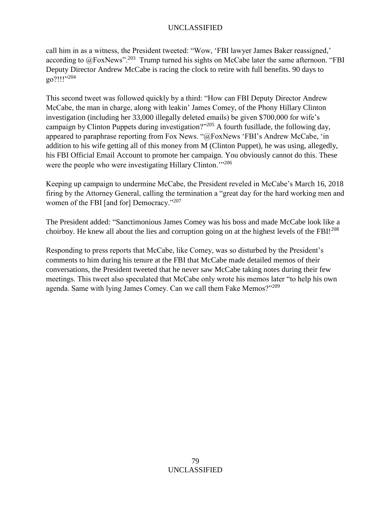call him in as a witness, the President tweeted: "Wow, 'FBI lawyer James Baker reassigned,' according to  $@FoxNews$ ".<sup>203</sup> Trump turned his sights on McCabe later the same afternoon. "FBI Deputy Director Andrew McCabe is racing the clock to retire with full benefits. 90 days to  $g_0$ ?!!!"<sup>204</sup>

This second tweet was followed quickly by a third: "How can FBI Deputy Director Andrew McCabe, the man in charge, along with leakin' James Comey, of the Phony Hillary Clinton investigation (including her 33,000 illegally deleted emails) be given \$700,000 for wife's campaign by Clinton Puppets during investigation?"<sup>205</sup> A fourth fusillade, the following day, appeared to paraphrase reporting from Fox News. "@FoxNews 'FBI's Andrew McCabe, 'in addition to his wife getting all of this money from M (Clinton Puppet), he was using, allegedly, his FBI Official Email Account to promote her campaign. You obviously cannot do this. These were the people who were investigating Hillary Clinton.<sup>'"206</sup>

Keeping up campaign to undermine McCabe, the President reveled in McCabe's March 16, 2018 firing by the Attorney General, calling the termination a "great day for the hard working men and women of the FBI [and for] Democracy."<sup>207</sup>

The President added: "Sanctimonious James Comey was his boss and made McCabe look like a choirboy. He knew all about the lies and corruption going on at the highest levels of the FBI!<sup>208</sup>

Responding to press reports that McCabe, like Comey, was so disturbed by the President's comments to him during his tenure at the FBI that McCabe made detailed memos of their conversations, the President tweeted that he never saw McCabe taking notes during their few meetings. This tweet also speculated that McCabe only wrote his memos later "to help his own agenda. Same with lying James Comey. Can we call them Fake Memos?"<sup>209</sup>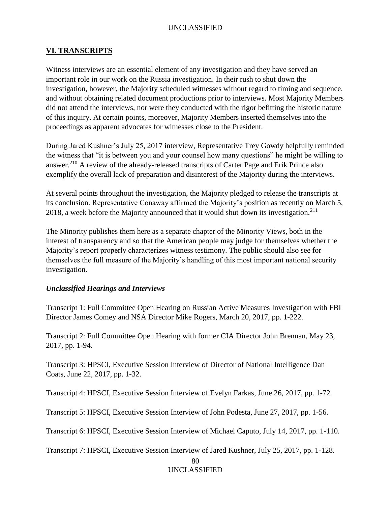## **VI. TRANSCRIPTS**

Witness interviews are an essential element of any investigation and they have served an important role in our work on the Russia investigation. In their rush to shut down the investigation, however, the Majority scheduled witnesses without regard to timing and sequence, and without obtaining related document productions prior to interviews. Most Majority Members did not attend the interviews, nor were they conducted with the rigor befitting the historic nature of this inquiry. At certain points, moreover, Majority Members inserted themselves into the proceedings as apparent advocates for witnesses close to the President.

During Jared Kushner's July 25, 2017 interview, Representative Trey Gowdy helpfully reminded the witness that "it is between you and your counsel how many questions" he might be willing to answer.<sup>210</sup> A review of the already-released transcripts of Carter Page and Erik Prince also exemplify the overall lack of preparation and disinterest of the Majority during the interviews.

At several points throughout the investigation, the Majority pledged to release the transcripts at its conclusion. Representative Conaway affirmed the Majority's position as recently on March 5, 2018, a week before the Majority announced that it would shut down its investigation.<sup>211</sup>

The Minority publishes them here as a separate chapter of the Minority Views, both in the interest of transparency and so that the American people may judge for themselves whether the Majority's report properly characterizes witness testimony. The public should also see for themselves the full measure of the Majority's handling of this most important national security investigation.

# *Unclassified Hearings and Interviews*

Transcript 1: Full Committee Open Hearing on Russian Active Measures Investigation with FBI Director James Comey and NSA Director Mike Rogers, March 20, 2017, pp. 1-222.

Transcript 2: Full Committee Open Hearing with former CIA Director John Brennan, May 23, 2017, pp. 1-94.

Transcript 3: HPSCI, Executive Session Interview of Director of National Intelligence Dan Coats, June 22, 2017, pp. 1-32.

Transcript 4: HPSCI, Executive Session Interview of Evelyn Farkas, June 26, 2017, pp. 1-72.

Transcript 5: HPSCI, Executive Session Interview of John Podesta, June 27, 2017, pp. 1-56.

Transcript 6: HPSCI, Executive Session Interview of Michael Caputo, July 14, 2017, pp. 1-110.

Transcript 7: HPSCI, Executive Session Interview of Jared Kushner, July 25, 2017, pp. 1-128.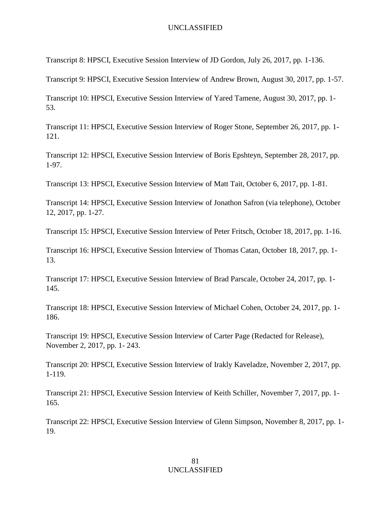Transcript 8: HPSCI, Executive Session Interview of JD Gordon, July 26, 2017, pp. 1-136.

Transcript 9: HPSCI, Executive Session Interview of Andrew Brown, August 30, 2017, pp. 1-57.

Transcript 10: HPSCI, Executive Session Interview of Yared Tamene, August 30, 2017, pp. 1- 53.

Transcript 11: HPSCI, Executive Session Interview of Roger Stone, September 26, 2017, pp. 1- 121.

Transcript 12: HPSCI, Executive Session Interview of Boris Epshteyn, September 28, 2017, pp. 1-97.

Transcript 13: HPSCI, Executive Session Interview of Matt Tait, October 6, 2017, pp. 1-81.

Transcript 14: HPSCI, Executive Session Interview of Jonathon Safron (via telephone), October 12, 2017, pp. 1-27.

Transcript 15: HPSCI, Executive Session Interview of Peter Fritsch, October 18, 2017, pp. 1-16.

Transcript 16: HPSCI, Executive Session Interview of Thomas Catan, October 18, 2017, pp. 1- 13.

Transcript 17: HPSCI, Executive Session Interview of Brad Parscale, October 24, 2017, pp. 1- 145.

Transcript 18: HPSCI, Executive Session Interview of Michael Cohen, October 24, 2017, pp. 1- 186.

Transcript 19: HPSCI, Executive Session Interview of Carter Page (Redacted for Release), November 2, 2017, pp. 1- 243.

Transcript 20: HPSCI, Executive Session Interview of Irakly Kaveladze, November 2, 2017, pp. 1-119.

Transcript 21: HPSCI, Executive Session Interview of Keith Schiller, November 7, 2017, pp. 1- 165.

Transcript 22: HPSCI, Executive Session Interview of Glenn Simpson, November 8, 2017, pp. 1- 19.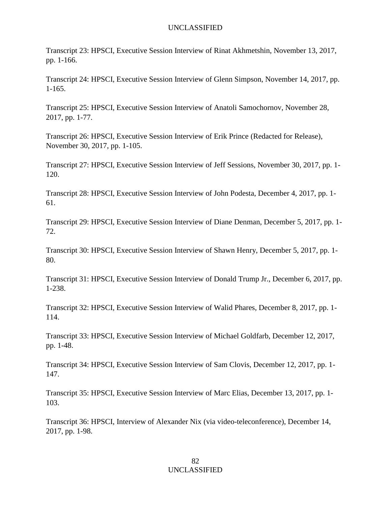Transcript 23: HPSCI, Executive Session Interview of Rinat Akhmetshin, November 13, 2017, pp. 1-166.

Transcript 24: HPSCI, Executive Session Interview of Glenn Simpson, November 14, 2017, pp. 1-165.

Transcript 25: HPSCI, Executive Session Interview of Anatoli Samochornov, November 28, 2017, pp. 1-77.

Transcript 26: HPSCI, Executive Session Interview of Erik Prince (Redacted for Release), November 30, 2017, pp. 1-105.

Transcript 27: HPSCI, Executive Session Interview of Jeff Sessions, November 30, 2017, pp. 1- 120.

Transcript 28: HPSCI, Executive Session Interview of John Podesta, December 4, 2017, pp. 1- 61.

Transcript 29: HPSCI, Executive Session Interview of Diane Denman, December 5, 2017, pp. 1- 72.

Transcript 30: HPSCI, Executive Session Interview of Shawn Henry, December 5, 2017, pp. 1- 80.

Transcript 31: HPSCI, Executive Session Interview of Donald Trump Jr., December 6, 2017, pp. 1-238.

Transcript 32: HPSCI, Executive Session Interview of Walid Phares, December 8, 2017, pp. 1- 114.

Transcript 33: HPSCI, Executive Session Interview of Michael Goldfarb, December 12, 2017, pp. 1-48.

Transcript 34: HPSCI, Executive Session Interview of Sam Clovis, December 12, 2017, pp. 1- 147.

Transcript 35: HPSCI, Executive Session Interview of Marc Elias, December 13, 2017, pp. 1- 103.

Transcript 36: HPSCI, Interview of Alexander Nix (via video-teleconference), December 14, 2017, pp. 1-98.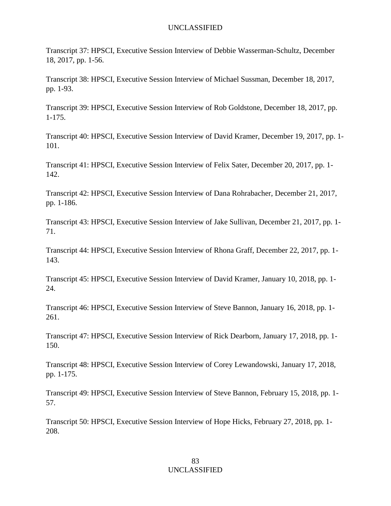Transcript 37: HPSCI, Executive Session Interview of Debbie Wasserman-Schultz, December 18, 2017, pp. 1-56.

Transcript 38: HPSCI, Executive Session Interview of Michael Sussman, December 18, 2017, pp. 1-93.

Transcript 39: HPSCI, Executive Session Interview of Rob Goldstone, December 18, 2017, pp. 1-175.

Transcript 40: HPSCI, Executive Session Interview of David Kramer, December 19, 2017, pp. 1- 101.

Transcript 41: HPSCI, Executive Session Interview of Felix Sater, December 20, 2017, pp. 1- 142.

Transcript 42: HPSCI, Executive Session Interview of Dana Rohrabacher, December 21, 2017, pp. 1-186.

Transcript 43: HPSCI, Executive Session Interview of Jake Sullivan, December 21, 2017, pp. 1- 71.

Transcript 44: HPSCI, Executive Session Interview of Rhona Graff, December 22, 2017, pp. 1- 143.

Transcript 45: HPSCI, Executive Session Interview of David Kramer, January 10, 2018, pp. 1- 24.

Transcript 46: HPSCI, Executive Session Interview of Steve Bannon, January 16, 2018, pp. 1- 261.

Transcript 47: HPSCI, Executive Session Interview of Rick Dearborn, January 17, 2018, pp. 1- 150.

Transcript 48: HPSCI, Executive Session Interview of Corey Lewandowski, January 17, 2018, pp. 1-175.

Transcript 49: HPSCI, Executive Session Interview of Steve Bannon, February 15, 2018, pp. 1- 57.

Transcript 50: HPSCI, Executive Session Interview of Hope Hicks, February 27, 2018, pp. 1- 208.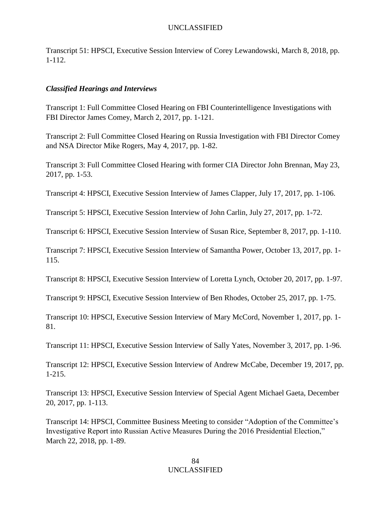Transcript 51: HPSCI, Executive Session Interview of Corey Lewandowski, March 8, 2018, pp. 1-112.

# *Classified Hearings and Interviews*

Transcript 1: Full Committee Closed Hearing on FBI Counterintelligence Investigations with FBI Director James Comey, March 2, 2017, pp. 1-121.

Transcript 2: Full Committee Closed Hearing on Russia Investigation with FBI Director Comey and NSA Director Mike Rogers, May 4, 2017, pp. 1-82.

Transcript 3: Full Committee Closed Hearing with former CIA Director John Brennan, May 23, 2017, pp. 1-53.

Transcript 4: HPSCI, Executive Session Interview of James Clapper, July 17, 2017, pp. 1-106.

Transcript 5: HPSCI, Executive Session Interview of John Carlin, July 27, 2017, pp. 1-72.

Transcript 6: HPSCI, Executive Session Interview of Susan Rice, September 8, 2017, pp. 1-110.

Transcript 7: HPSCI, Executive Session Interview of Samantha Power, October 13, 2017, pp. 1- 115.

Transcript 8: HPSCI, Executive Session Interview of Loretta Lynch, October 20, 2017, pp. 1-97.

Transcript 9: HPSCI, Executive Session Interview of Ben Rhodes, October 25, 2017, pp. 1-75.

Transcript 10: HPSCI, Executive Session Interview of Mary McCord, November 1, 2017, pp. 1- 81.

Transcript 11: HPSCI, Executive Session Interview of Sally Yates, November 3, 2017, pp. 1-96.

Transcript 12: HPSCI, Executive Session Interview of Andrew McCabe, December 19, 2017, pp. 1-215.

Transcript 13: HPSCI, Executive Session Interview of Special Agent Michael Gaeta, December 20, 2017, pp. 1-113.

Transcript 14: HPSCI, Committee Business Meeting to consider "Adoption of the Committee's Investigative Report into Russian Active Measures During the 2016 Presidential Election," March 22, 2018, pp. 1-89.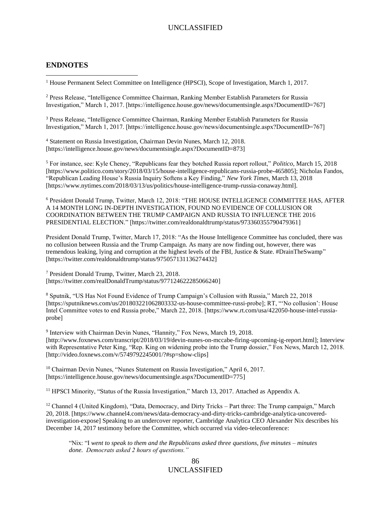#### **ENDNOTES**

 $\overline{a}$ 

<sup>1</sup> House Permanent Select Committee on Intelligence (HPSCI), Scope of Investigation, March 1, 2017.

<sup>2</sup> Press Release, "Intelligence Committee Chairman, Ranking Member Establish Parameters for Russia Investigation," March 1, 2017. [https://intelligence.house.gov/news/documentsingle.aspx?DocumentID=767]

<sup>3</sup> Press Release, "Intelligence Committee Chairman, Ranking Member Establish Parameters for Russia Investigation," March 1, 2017. [https://intelligence.house.gov/news/documentsingle.aspx?DocumentID=767]

<sup>4</sup> Statement on Russia Investigation, Chairman Devin Nunes, March 12, 2018. [https://intelligence.house.gov/news/documentsingle.aspx?DocumentID=873]

<sup>5</sup> For instance, see: Kyle Cheney, "Republicans fear they botched Russia report rollout," *Politico*, March 15, 2018 [https://www.politico.com/story/2018/03/15/house-intelligence-republicans-russia-probe-465805]; Nicholas Fandos, "Republican Leading House's Russia Inquiry Softens a Key Finding," *New York Times*, March 13, 2018 [https://www.nytimes.com/2018/03/13/us/politics/house-intelligence-trump-russia-conaway.html].

<sup>6</sup> President Donald Trump, Twitter, March 12, 2018: "THE HOUSE INTELLIGENCE COMMITTEE HAS, AFTER A 14 MONTH LONG IN-DEPTH INVESTIGATION, FOUND NO EVIDENCE OF COLLUSION OR COORDINATION BETWEEN THE TRUMP CAMPAIGN AND RUSSIA TO INFLUENCE THE 2016 PRESIDENTIAL ELECTION." [https://twitter.com/realdonaldtrump/status/973360355790479361]

President Donald Trump, Twitter, March 17, 2018: "As the House Intelligence Committee has concluded, there was no collusion between Russia and the Trump Campaign. As many are now finding out, however, there was tremendous leaking, lying and corruption at the highest levels of the FBI, Justice & State. #DrainTheSwamp" [https://twitter.com/realdonaldtrump/status/975057131136274432]

<sup>7</sup> President Donald Trump, Twitter, March 23, 2018. [https://twitter.com/realDonaldTrump/status/977124622285066240]

<sup>8</sup> Sputnik, "US Has Not Found Evidence of Trump Campaign's Collusion with Russia," March 22, 2018 [https://sputniknews.com/us/201803221062803332-us-house-committee-russi-probe]; RT, "'No collusion': House Intel Committee votes to end Russia probe," March 22, 2018. [https://www.rt.com/usa/422050-house-intel-russiaprobe]

<sup>9</sup> Interview with Chairman Devin Nunes, "Hannity," Fox News, March 19, 2018. [http://www.foxnews.com/transcript/2018/03/19/devin-nunes-on-mccabe-firing-upcoming-ig-report.html]; Interview with Representative Peter King, "Rep. King on widening probe into the Trump dossier," Fox News, March 12, 2018. [http://video.foxnews.com/v/5749792245001/?#sp=show-clips]

<sup>10</sup> Chairman Devin Nunes, "Nunes Statement on Russia Investigation," April 6, 2017. [https://intelligence.house.gov/news/documentsingle.aspx?DocumentID=775]

<sup>11</sup> HPSCI Minority, "Status of the Russia Investigation," March 13, 2017. Attached as Appendix A.

<sup>12</sup> Channel 4 (United Kingdom), "Data, Democracy, and Dirty Tricks – Part three: The Trump campaign," March 20, 2018. [https://www.channel4.com/news/data-democracy-and-dirty-tricks-cambridge-analytica-uncoveredinvestigation-expose] Speaking to an undercover reporter, Cambridge Analytica CEO Alexander Nix describes his December 14, 2017 testimony before the Committee, which occurred via video-teleconference:

"Nix: "I *went to speak to them and the Republicans asked three questions, five minutes – minutes done. Democrats asked 2 hours of questions."*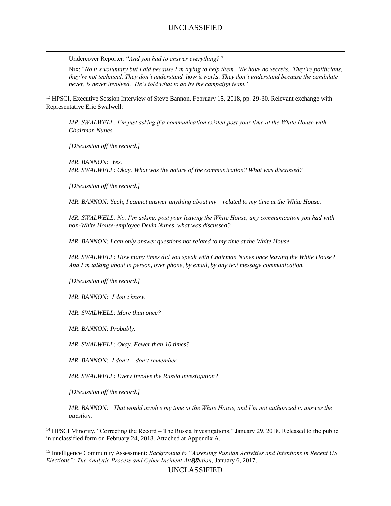Undercover Reporter: "*And you had to answer everything?"*

Nix: "*No it's voluntary but I did because I'm trying to help them. We have no secrets. They're politicians, they're not technical. They don't understand how it works. They don't understand because the candidate never, is never involved. He's told what to do by the campaign team."*

<sup>13</sup> HPSCI, Executive Session Interview of Steve Bannon, February 15, 2018, pp. 29-30. Relevant exchange with Representative Eric Swalwell:

*MR. SWALWELL: I'm just asking if a communication existed post your time at the White House with Chairman Nunes.* 

*[Discussion off the record.]*

 $\overline{a}$ 

*MR. BANNON: Yes. MR. SWALWELL: Okay. What was the nature of the communication? What was discussed?*

*[Discussion off the record.]*

*MR. BANNON: Yeah, I cannot answer anything about my – related to my time at the White House.* 

*MR. SWALWELL: No. I'm asking, post your leaving the White House, any communication you had with non-White House-employee Devin Nunes, what was discussed?*

*MR. BANNON: I can only answer questions not related to my time at the White House.*

*MR. SWALWELL: How many times did you speak with Chairman Nunes once leaving the White House? And I'm talking about in person, over phone, by email, by any text message communication.* 

*[Discussion off the record.]*

*MR. BANNON: I don't know.* 

*MR. SWALWELL: More than once?*

*MR. BANNON: Probably.*

*MR. SWALWELL: Okay. Fewer than 10 times?* 

*MR. BANNON: I don't – don't remember.* 

*MR. SWALWELL: Every involve the Russia investigation?* 

*[Discussion off the record.]*

*MR. BANNON: That would involve my time at the White House, and I'm not authorized to answer the question.* 

<sup>14</sup> HPSCI Minority, "Correcting the Record – The Russia Investigations," January 29, 2018. Released to the public in unclassified form on February 24, 2018. Attached at Appendix A.

Elections": The Analytic Process and Cyber Incident Att**<sub>ri</sub>fution**, January 6, 2017. <sup>15</sup> Intelligence Community Assessment: *Background to "Assessing Russian Activities and Intentions in Recent US*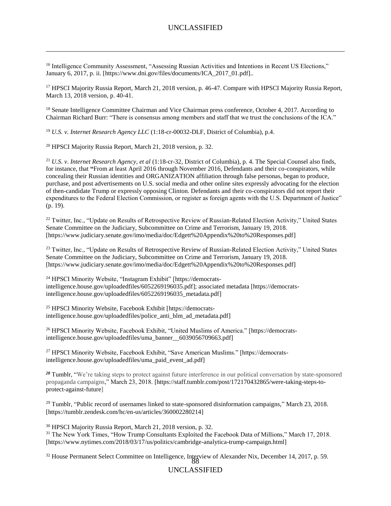<sup>16</sup> Intelligence Community Assessment, "Assessing Russian Activities and Intentions in Recent US Elections," January 6, 2017, p. ii. [https://www.dni.gov/files/documents/ICA\_2017\_01.pdf]..

<sup>17</sup> HPSCI Majority Russia Report, March 21, 2018 version, p. 46-47. Compare with HPSCI Majority Russia Report, March 13, 2018 version, p. 40-41.

<sup>18</sup> Senate Intelligence Committee Chairman and Vice Chairman press conference, October 4, 2017. According to Chairman Richard Burr: "There is consensus among members and staff that we trust the conclusions of the ICA."

<sup>19</sup> *U.S. v. Internet Research Agency LLC* (1:18-cr-00032-DLF, District of Columbia), p.4.

<sup>20</sup> HPSCI Majority Russia Report, March 21, 2018 version, p. 32.

 $\overline{a}$ 

<sup>21</sup> *U.S. v. Internet Research Agency, et al* (1:18-cr-32, District of Columbia), p. 4. The Special Counsel also finds, for instance, that **"**From at least April 2016 through November 2016, Defendants and their co-conspirators, while concealing their Russian identities and ORGANIZATION affiliation through false personas, began to produce, purchase, and post advertisements on U.S. social media and other online sites expressly advocating for the election of then-candidate Trump or expressly opposing Clinton. Defendants and their co-conspirators did not report their expenditures to the Federal Election Commission, or register as foreign agents with the U.S. Department of Justice" (p. 19).

<sup>22</sup> Twitter, Inc., "Update on Results of Retrospective Review of Russian-Related Election Activity," United States Senate Committee on the Judiciary, Subcommittee on Crime and Terrorism, January 19, 2018. [https://www.judiciary.senate.gov/imo/media/doc/Edgett%20Appendix%20to%20Responses.pdf]

<sup>23</sup> Twitter, Inc., "Update on Results of Retrospective Review of Russian-Related Election Activity," United States Senate Committee on the Judiciary, Subcommittee on Crime and Terrorism, January 19, 2018. [https://www.judiciary.senate.gov/imo/media/doc/Edgett%20Appendix%20to%20Responses.pdf]

<sup>24</sup> HPSCI Minority Website, "Instagram Exhibit" [https://democratsintelligence.house.gov/uploadedfiles/6052269196035.pdf]; associated metadata [https://democratsintelligence.house.gov/uploadedfiles/6052269196035\_metadata.pdf]

<sup>25</sup> HPSCI Minority Website, Facebook Exhibit [https://democratsintelligence.house.gov/uploadedfiles/police\_anti\_blm\_ad\_metadata.pdf]

<sup>26</sup> HPSCI Minority Website, Facebook Exhibit, "United Muslims of America." [https://democratsintelligence.house.gov/uploadedfiles/uma\_banner\_\_6039056709663.pdf]

<sup>27</sup> HPSCI Minority Website, Facebook Exhibit, "Save American Muslims." [https://democratsintelligence.house.gov/uploadedfiles/uma\_paid\_event\_ad.pdf]

*<sup>28</sup>* Tumblr, "We're taking steps to protect against future interference in our political conversation by state-sponsored propaganda campaigns," March 23, 2018. [https://staff.tumblr.com/post/172170432865/were-taking-steps-toprotect-against-future]

<sup>29</sup> Tumblr, "Public record of usernames linked to state-sponsored disinformation campaigns," March 23, 2018. [\[https://tumblr.zendesk.com/hc/en-us/articles/360002280214\]](https://tumblr.zendesk.com/hc/en-us/articles/360002280214)

<sup>30</sup> HPSCI Majority Russia Report, March 21, 2018 version, p. 32. <sup>31</sup> The New York Times, "How Trump Consultants Exploited the Facebook Data of Millions," March 17, 2018. [https://www.nytimes.com/2018/03/17/us/politics/cambridge-analytica-trump-campaign.html]

<sup>32</sup> House Permanent Select Committee on Intelligence, Interview of Alexander Nix, December 14, 2017, p. 59.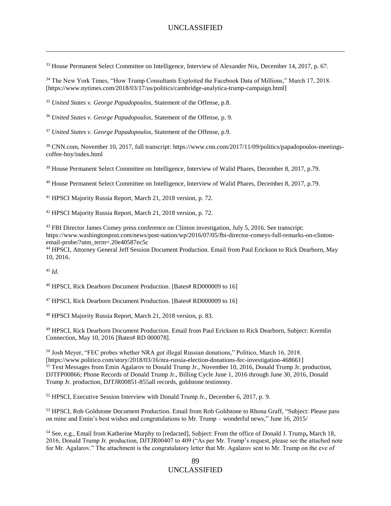<sup>33</sup> House Permanent Select Committee on Intelligence, Interview of Alexander Nix, December 14, 2017, p. 67.

<sup>34</sup> The New York Times, "How Trump Consultants Exploited the Facebook Data of Millions," March 17, 2018. [https://www.nytimes.com/2018/03/17/us/politics/cambridge-analytica-trump-campaign.html]

<sup>35</sup> *United States v. George Papadopoulos*, Statement of the Offense, p.8.

<sup>36</sup> *United States v. George Papadopoulos*, Statement of the Offense, p. 9.

<sup>37</sup> *United States v. George Papadopoulos*, Statement of the Offense, p.9.

<sup>38</sup> CNN.com, November 10, 2017, full transcript: https://www.cnn.com/2017/11/09/politics/papadopoulos-meetingscoffee-boy/index.html

<sup>39</sup> House Permanent Select Committee on Intelligence, Interview of Walid Phares, December 8, 2017, p.79.

<sup>40</sup> House Permanent Select Committee on Intelligence, Interview of Walid Phares, December 8, 2017, p.79.

<sup>41</sup> HPSCI Majority Russia Report, March 21, 2018 version, p. 72.

<sup>42</sup> HPSCI Majority Russia Report, March 21, 2018 version, p. 72.

<sup>43</sup> FBI Director James Comey press conference on Clinton investigation, July 5, 2016. See transcript: https://www.washingtonpost.com/news/post-nation/wp/2016/07/05/fbi-director-comeys-full-remarks-on-clintonemail-probe/?utm\_term=.20e40587ec5c

<sup>44</sup> HPSCI, Attorney General Jeff Session Document Production. Email from Paul Erickson to Rick Dearborn, May 10, 2016.

<sup>45</sup> *Id*.

 $\overline{a}$ 

<sup>46</sup> HPSCI, Rick Dearborn Document Production. [Bates# RD000009 to 16]

<sup>47</sup> HPSCI, Rick Dearborn Document Production. [Bates# RD000009 to 16]

<sup>48</sup> HPSCI Majority Russia Report, March 21, 2018 version, p. 83.

<sup>49</sup> HPSCI, Rick Dearborn Document Production. Email from Paul Erickson to Rick Dearborn, Subject: Kremlin Connection, May 10, 2016 [Bates# RD 000078].

<sup>50</sup> Josh Meyer, "FEC probes whether NRA got illegal Russian donations," Politico, March 16, 2018. [https://www.politico.com/story/2018/03/16/nra-russia-election-donations-fec-investigation-468661] <sup>51</sup> Text Messages from Emin Agalarov to Donald Trump Jr., November 10, 2016, Donald Trump Jr. production, DJTFP00866; Phone Records of Donald Trump Jr., Billing Cycle June 1, 2016 through June 30, 2016, Donald Trump Jr. production, DJTJR00851-855all records, goldstone testimony.

<sup>52</sup> HPSCI, Executive Session Interview with Donald Trump Jr., December 6, 2017, p. 9.

<sup>53</sup> HPSCI, Rob Goldstone Document Production. Email from Rob Goldstone to Rhona Graff, "Subject: Please pass on mine and Emin's best wishes and congratulations to Mr. Trump – wonderful news," June 16, 2015/

<sup>54</sup> See, e.g., Email from Katherine Murphy to [redacted], Subject: From the office of Donald J. Trump**,** March 18, 2016, Donald Trump Jr. production, DJTJR00407 to 409 ("As per Mr. Trump's request, please see the attached note for Mr. Agalarov." The attachment is the congratulatory letter that Mr. Agalarov sent to Mr. Trump on the eve of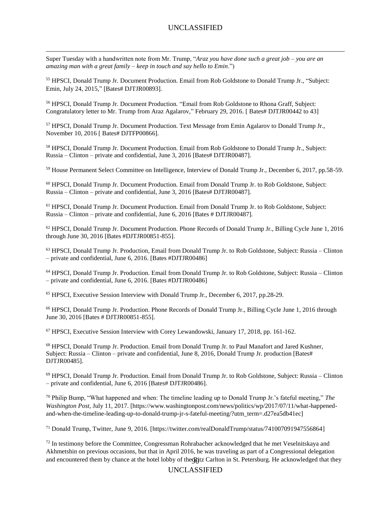Super Tuesday with a handwritten note from Mr. Trump, "*Araz you have done such a great job* – *you are an amazing man with a great family – keep in touch and say hello to Emin*.")

 $\overline{a}$ 

<sup>55</sup> HPSCI, Donald Trump Jr. Document Production. Email from Rob Goldstone to Donald Trump Jr., "Subject: Emin, July 24, 2015," [Bates# DJTJR00893].

<sup>56</sup> HPSCI, Donald Trump Jr. Document Production. "Email from Rob Goldstone to Rhona Graff, Subject: Congratulatory letter to Mr. Trump from Araz Agalarov," February 29, 2016. [ Bates# DJTJR00442 to 43]

<sup>57</sup> HPSCI, Donald Trump Jr. Document Production. Text Message from Emin Agalarov to Donald Trump Jr., November 10, 2016 [ Bates# DJTFP00866].

<sup>58</sup> HPSCI, Donald Trump Jr. Document Production. Email from Rob Goldstone to Donald Trump Jr., Subject: Russia – Clinton – private and confidential, June 3, 2016 [Bates# DJTJR00487].

<sup>59</sup> House Permanent Select Committee on Intelligence, Interview of Donald Trump Jr., December 6, 2017, pp.58-59.

<sup>60</sup> HPSCI, Donald Trump Jr. Document Production. Email from Donald Trump Jr. to Rob Goldstone, Subject: Russia – Clinton – private and confidential, June 3, 2016 [Bates# DJTJR00487].

<sup>61</sup> HPSCI, Donald Trump Jr. Document Production. Email from Donald Trump Jr. to Rob Goldstone, Subject: Russia – Clinton – private and confidential, June 6, 2016 [Bates # DJTJR00487].

<sup>62</sup> HPSCI, Donald Trump Jr. Document Production. Phone Records of Donald Trump Jr., Billing Cycle June 1, 2016 through June 30, 2016 [Bates #DJTJR00851-855].

<sup>63</sup> HPSCI, Donald Trump Jr. Production, Email from Donald Trump Jr. to Rob Goldstone, Subject: Russia – Clinton – private and confidential, June 6, 2016. [Bates #DJTJR00486]

<sup>64</sup> HPSCI, Donald Trump Jr. Production. Email from Donald Trump Jr. to Rob Goldstone, Subject: Russia – Clinton – private and confidential, June 6, 2016. [Bates #DJTJR00486]

<sup>65</sup> HPSCI, Executive Session Interview with Donald Trump Jr., December 6, 2017, pp.28-29.

<sup>66</sup> HPSCI, Donald Trump Jr. Production. Phone Records of Donald Trump Jr., Billing Cycle June 1, 2016 through June 30, 2016 [Bates # DJTJR00851-855].

<sup>67</sup> HPSCI, Executive Session Interview with Corey Lewandowski, January 17, 2018, pp. 161-162.

<sup>68</sup> HPSCI, Donald Trump Jr. Production. Email from Donald Trump Jr. to Paul Manafort and Jared Kushner, Subject: Russia – Clinton – private and confidential, June 8, 2016, Donald Trump Jr. production [Bates# DJTJR00485].

<sup>69</sup> HPSCI, Donald Trump Jr. Production. Email from Donald Trump Jr. to Rob Goldstone, Subject: Russia – Clinton – private and confidential, June 6, 2016 [Bates# DJTJR00486].

<sup>70</sup> Philip Bump, "What happened and when: The timeline leading up to Donald Trump Jr.'s fateful meeting," *The Washington Post,* July 11, 2017. [https://www.washingtonpost.com/news/politics/wp/2017/07/11/what-happenedand-when-the-timeline-leading-up-to-donald-trump-jr-s-fateful-meeting/?utm\_term=.d27ea5db41ec]

<sup>71</sup> Donald Trump, Twitter, June 9, 2016. [https://twitter.com/realDonaldTrump/status/741007091947556864]

and encountered them by chance at the hotel lobby of the Ritz Carlton in St. Petersburg. He acknowledged that they  $72$  In testimony before the Committee, Congressman Rohrabacher acknowledged that he met Veselnitskaya and Akhmetshin on previous occasions, but that in April 2016, he was traveling as part of a Congressional delegation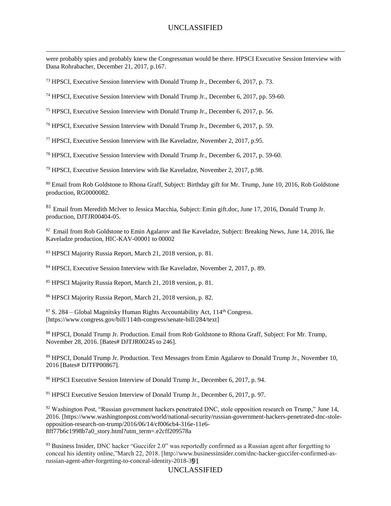were probably spies and probably knew the Congressman would be there. HPSCI Executive Session Interview with Dana Rohrabacher, December 21, 2017, p.167.

<sup>73</sup> HPSCI, Executive Session Interview with Donald Trump Jr., December 6, 2017, p. 73.

 $\overline{a}$ 

<sup>74</sup> HPSCI, Executive Session Interview with Donald Trump Jr., December 6, 2017, pp. 59-60.

<sup>75</sup> HPSCI, Executive Session Interview with Donald Trump Jr., December 6, 2017, p. 56.

<sup>76</sup> HPSCI, Executive Session Interview with Donald Trump Jr., December 6, 2017, p. 59.

<sup>77</sup> HPSCI, Executive Session Interview with Ike Kaveladze, November 2, 2017, p.95.

<sup>78</sup> HPSCI, Executive Session Interview with Donald Trump Jr., December 6, 2017, p. 59-60.

<sup>79</sup> HPSCI, Executive Session Interview with Ike Kaveladze, November 2, 2017, p.98.

<sup>80</sup> Email from Rob Goldstone to Rhona Graff, Subject: Birthday gift for Mr. Trump, June 10, 2016, Rob Goldstone production, RG0000082.

 $81$  Email from Meredith Mclver to Jessica Macchia, Subject: Emin gift.doc, June 17, 2016, Donald Trump Jr. production, DJTJR00404-05.

<sup>82</sup> Email from Rob Goldstone to Emin Agalarov and Ike Kaveladze, Subject: Breaking News, June 14, 2016, Ike Kaveladze production, HIC-KAV-00001 to 00002

<sup>83</sup> HPSCI Majority Russia Report, March 21, 2018 version, p. 81.

<sup>84</sup> HPSCI, Executive Session Interview with Ike Kaveladze, November 2, 2017, p. 89.

<sup>85</sup> HPSCI Majority Russia Report, March 21, 2018 version, p. 81.

<sup>86</sup> HPSCI Majority Russia Report, March 21, 2018 version, p. 82.

 $87$  S. 284 – Global Magnitsky Human Rights Accountability Act,  $114<sup>th</sup>$  Congress. [https://www.congress.gov/bill/114th-congress/senate-bill/284/text]

<sup>88</sup> HPSCI, Donald Trump Jr. Production. Email from Rob Goldstone to Rhona Graff, Subject: For Mr. Trump, November 28, 2016. [Bates# DJTJR00245 to 246].

<sup>89</sup> HPSCI, Donald Trump Jr. Production. Text Messages from Emin Agalarov to Donald Trump Jr., November 10, 2016 [Bates# DJTFP00867].

<sup>90</sup> HPSCI Executive Session Interview of Donald Trump Jr., December 6, 2017, p. 94.

 $91$  HPSCI Executive Session Interview of Donald Trump Jr., December 6, 2017, p. 97.

<sup>92</sup> Washington Post, "Russian government hackers penetrated DNC, stole opposition research on Trump," June 14, 2016. [https://www.washingtonpost.com/world/national-security/russian-government-hackers-penetrated-dnc-stoleopposition-research-on-trump/2016/06/14/cf006cb4-316e-11e6- 8ff77b6c1998b7a0\_story.html?utm\_term=.e2cff209578a

russian-agent-after-forgetting-to-conceal-identity-2018-391 <sup>93</sup> Business Insider, DNC hacker "Guccifer 2.0" was reportedly confirmed as a Russian agent after forgetting to conceal his identity online,"March 22, 2018. [http://www.businessinsider.com/dnc-hacker-guccifer-confirmed-as-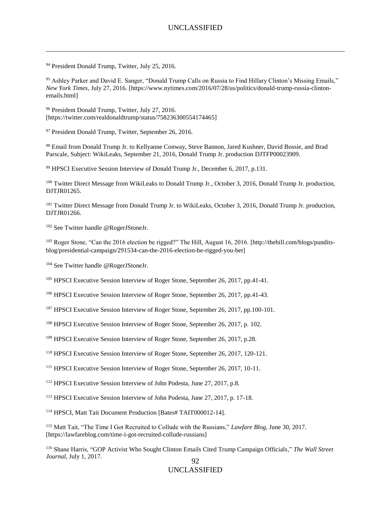<sup>94</sup> President Donald Trump, Twitter, July 25, 2016.

 $\overline{a}$ 

<sup>95</sup> Ashley Parker and David E. Sanger, "Donald Trump Calls on Russia to Find Hillary Clinton's Missing Emails," *New York Times*, July 27, 2016. [https://www.nytimes.com/2016/07/28/us/politics/donald-trump-russia-clintonemails.html]

<sup>96</sup> President Donald Trump, Twitter, July 27, 2016. [https://twitter.com/realdonaldtrump/status/758236300554174465]

<sup>97</sup> President Donald Trump, Twitter, September 26, 2016.

98 Email from Donald Trump Jr. to Kellyanne Conway, Steve Bannon, Jared Kushner, David Bossie, and Brad Parscale, Subject: WikiLeaks, September 21, 2016, Donald Trump Jr. production DJTFP00023909.

<sup>99</sup> HPSCI Executive Session Interview of Donald Trump Jr., December 6, 2017, p.131.

<sup>100</sup> Twitter Direct Message from WikiLeaks to Donald Trump Jr., October 3, 2016, Donald Trump Jr. production, DJTJR01265.

<sup>101</sup> Twitter Direct Message from Donald Trump Jr. to WikiLeaks, October 3, 2016, Donald Trump Jr. production, DJTJR01266.

<sup>102</sup> See Twitter handle @RogerJStoneJr.

<sup>103</sup> Roger Stone, "Can the 2016 election be rigged?" The Hill, August 16, 2016. [http://thehill.com/blogs/punditsblog/presidential-campaign/291534-can-the-2016-election-be-rigged-you-bet]

<sup>104</sup> See Twitter handle @RogerJStoneJr.

<sup>105</sup> HPSCI Executive Session Interview of Roger Stone, September 26, 2017, pp.41-41.

<sup>106</sup> HPSCI Executive Session Interview of Roger Stone, September 26, 2017, pp.41-43.

<sup>107</sup> HPSCI Executive Session Interview of Roger Stone, September 26, 2017, pp.100-101.

<sup>108</sup> HPSCI Executive Session Interview of Roger Stone, September 26, 2017, p. 102.

<sup>109</sup> HPSCI Executive Session Interview of Roger Stone, September 26, 2017, p.28.

<sup>110</sup> HPSCI Executive Session Interview of Roger Stone, September 26, 2017, 120-121.

<sup>111</sup> HPSCI Executive Session Interview of Roger Stone, September 26, 2017, 10-11.

<sup>112</sup> HPSCI Executive Session Interview of John Podesta, June 27, 2017, p.8.

<sup>113</sup> HPSCI Executive Session Interview of John Podesta, June 27, 2017, p. 17-18.

<sup>114</sup> HPSCI, Matt Tait Document Production [Bates# TAIT000012-14].

<sup>115</sup> Matt Tait, "The Time I Got Recruited to Collude with the Russians," *Lawfare Blog*, June 30, 2017. [https://lawfareblog.com/time-i-got-recruited-collude-russians]

92 <sup>116</sup> Shane Harris, "GOP Activist Who Sought Clinton Emails Cited Trump Campaign Officials," *The Wall Street Journal,* July 1, 2017.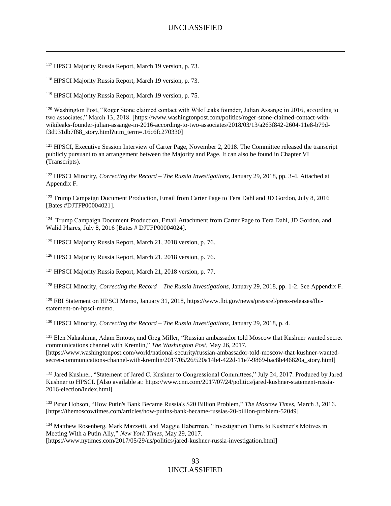<sup>117</sup> HPSCI Majority Russia Report, March 19 version, p. 73.

 $\overline{a}$ 

<sup>118</sup> HPSCI Majority Russia Report, March 19 version, p. 73.

<sup>119</sup> HPSCI Majority Russia Report, March 19 version, p. 75.

<sup>120</sup> Washington Post, "Roger Stone claimed contact with WikiLeaks founder. Julian Assange in 2016, according to two associates," March 13, 2018. [https://www.washingtonpost.com/politics/roger-stone-claimed-contact-withwikileaks-founder-julian-assange-in-2016-according-to-two-associates/2018/03/13/a263f842-2604-11e8-b79df3d931db7f68\_story.html?utm\_term=.16c6fc270330]

<sup>121</sup> HPSCI, Executive Session Interview of Carter Page, November 2, 2018. The Committee released the transcript publicly pursuant to an arrangement between the Majority and Page. It can also be found in Chapter VI (Transcripts).

<sup>122</sup> HPSCI Minority, *Correcting the Record – The Russia Investigations*, January 29, 2018, pp. 3-4. Attached at Appendix F.

<sup>123</sup> Trump Campaign Document Production, Email from Carter Page to Tera Dahl and JD Gordon, July 8, 2016 [Bates #DJTFP00004021].

<sup>124</sup> Trump Campaign Document Production, Email Attachment from Carter Page to Tera Dahl, JD Gordon, and Walid Phares, July 8, 2016 [Bates # DJTFP00004024].

<sup>125</sup> HPSCI Majority Russia Report, March 21, 2018 version, p. 76.

<sup>126</sup> HPSCI Majority Russia Report, March 21, 2018 version, p. 76.

<sup>127</sup> HPSCI Majority Russia Report, March 21, 2018 version, p. 77.

<sup>128</sup> HPSCI Minority, *Correcting the Record – The Russia Investigations*, January 29, 2018, pp. 1-2. See Appendix F.

<sup>129</sup> FBI Statement on HPSCI Memo, January 31, 2018, https://www.fbi.gov/news/pressrel/press-releases/fbistatement-on-hpsci-memo.

<sup>130</sup> HPSCI Minority, *Correcting the Record – The Russia Investigations*, January 29, 2018, p. 4.

<sup>131</sup> Elen Nakashima, Adam Entous, and Greg Miller, "Russian ambassador told Moscow that Kushner wanted secret communications channel with Kremlin," *The Washington Post*, May 26, 2017. [https://www.washingtonpost.com/world/national-security/russian-ambassador-told-moscow-that-kushner-wantedsecret-communications-channel-with-kremlin/2017/05/26/520a14b4-422d-11e7-9869-bac8b446820a\_story.html]

<sup>132</sup> Jared Kushner, "Statement of Jared C. Kushner to Congressional Committees," July 24, 2017. Produced by Jared Kushner to HPSCI. [Also available at: https://www.cnn.com/2017/07/24/politics/jared-kushner-statement-russia-2016-election/index.html]

<sup>133</sup> Peter Hobson, "How Putin's Bank Became Russia's \$20 Billion Problem," *The Moscow Times*, March 3, 2016. [https://themoscowtimes.com/articles/how-putins-bank-became-russias-20-billion-problem-52049]

<sup>134</sup> Matthew Rosenberg, Mark Mazzetti, and Maggie Haberman, "Investigation Turns to Kushner's Motives in Meeting With a Putin Ally," *New York Times*, May 29, 2017. [https://www.nytimes.com/2017/05/29/us/politics/jared-kushner-russia-investigation.html]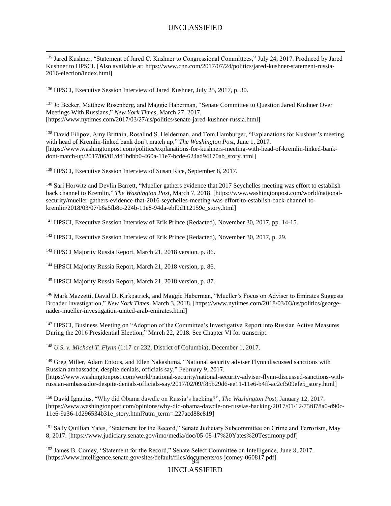<sup>135</sup> Jared Kushner, "Statement of Jared C. Kushner to Congressional Committees," July 24, 2017. Produced by Jared Kushner to HPSCI. [Also available at: https://www.cnn.com/2017/07/24/politics/jared-kushner-statement-russia-2016-election/index.html]

<sup>136</sup> HPSCI, Executive Session Interview of Jared Kushner, July 25, 2017, p. 30.

 $\overline{a}$ 

<sup>137</sup> Jo Becker, Matthew Rosenberg, and Maggie Haberman, "Senate Committee to Question Jared Kushner Over Meetings With Russians," *New York Times*, March 27, 2017. [https://www.nytimes.com/2017/03/27/us/politics/senate-jared-kushner-russia.html]

<sup>138</sup> David Filipov, Amy Brittain, Rosalind S. Helderman, and Tom Hamburger, "Explanations for Kushner's meeting with head of Kremlin-linked bank don't match up," *The Washington Post*, June 1, 2017. [https://www.washingtonpost.com/politics/explanations-for-kushners-meeting-with-head-of-kremlin-linked-bankdont-match-up/2017/06/01/dd1bdbb0-460a-11e7-bcde-624ad94170ab\_story.html]

<sup>139</sup> HPSCI, Executive Session Interview of Susan Rice, September 8, 2017.

<sup>140</sup> Sari Horwitz and Devlin Barrett, "Mueller gathers evidence that 2017 Seychelles meeting was effort to establish back channel to Kremlin," *The Washington Post*, March 7, 2018. [https://www.washingtonpost.com/world/nationalsecurity/mueller-gathers-evidence-that-2016-seychelles-meeting-was-effort-to-establish-back-channel-tokremlin/2018/03/07/b6a5fb8c-224b-11e8-94da-ebf9d112159c\_story.html]

<sup>141</sup> HPSCI, Executive Session Interview of Erik Prince (Redacted), November 30, 2017, pp. 14-15.

<sup>142</sup> HPSCI, Executive Session Interview of Erik Prince (Redacted), November 30, 2017, p. 29.

<sup>143</sup> HPSCI Majority Russia Report, March 21, 2018 version, p. 86.

<sup>144</sup> HPSCI Majority Russia Report, March 21, 2018 version, p. 86.

<sup>145</sup> HPSCI Majority Russia Report, March 21, 2018 version, p. 87.

<sup>146</sup> Mark Mazzetti, David D. Kirkpatrick, and Maggie Haberman, "Mueller's Focus on Adviser to Emirates Suggests Broader Investigation," *New York Times*, March 3, 2018. [https://www.nytimes.com/2018/03/03/us/politics/georgenader-mueller-investigation-united-arab-emirates.html]

<sup>147</sup> HPSCI, Business Meeting on "Adoption of the Committee's Investigative Report into Russian Active Measures During the 2016 Presidential Election," March 22, 2018. See Chapter VI for transcript.

<sup>148</sup> *U.S. v. Michael T. Flynn* (1:17-cr-232, District of Columbia), December 1, 2017.

<sup>149</sup> Greg Miller, Adam Entous, and Ellen Nakashima, "National security adviser Flynn discussed sanctions with Russian ambassador, despite denials, officials say," February 9, 2017. [https://www.washingtonpost.com/world/national-security/national-security-adviser-flynn-discussed-sanctions-withrussian-ambassador-despite-denials-officials-say/2017/02/09/f85b29d6-ee11-11e6-b4ff-ac2cf509efe5\_story.html]

<sup>150</sup> David Ignatius, "Why did Obama dawdle on Russia's hacking?", *The Washington Post*, January 12, 2017. [https://www.washingtonpost.com/opinions/why-did-obama-dawdle-on-russias-hacking/2017/01/12/75f878a0-d90c-11e6-9a36-1d296534b31e\_story.html?utm\_term=.227acd88e819]

<sup>151</sup> Sally Quillian Yates, "Statement for the Record," Senate Judiciary Subcommittee on Crime and Terrorism, May 8, 2017. [https://www.judiciary.senate.gov/imo/media/doc/05-08-17%20Yates%20Testimony.pdf]

94 [https://www.intelligence.senate.gov/sites/default/files/documents/os-jcomey-060817.pdf]<sup>152</sup> James B. Comey, "Statement for the Record," Senate Select Committee on Intelligence, June 8, 2017.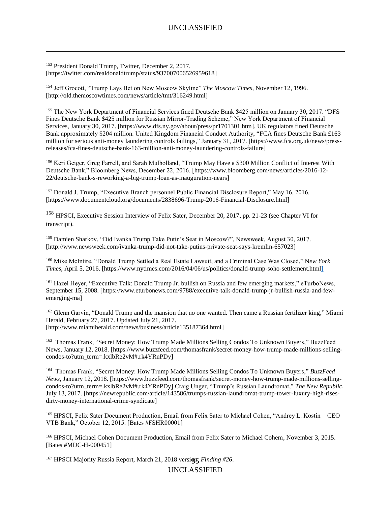<sup>153</sup> President Donald Trump, Twitter, December 2, 2017. [https://twitter.com/realdonaldtrump/status/937007006526959618]

 $\overline{a}$ 

<sup>154</sup> Jeff Grocott, "Trump Lays Bet on New Moscow Skyline" *The Moscow Times*, November 12, 1996. [http://old.themoscowtimes.com/news/article/tmt/316249.html]

<sup>155</sup> The New York Department of Financial Services fined Deutsche Bank \$425 million on January 30, 2017. "DFS Fines Deutsche Bank \$425 million for Russian Mirror-Trading Scheme," New York Department of Financial Services, January 30, 2017. [https://www.dfs.ny.gov/about/press/pr1701301.htm]. UK regulators fined Deutsche Bank approximately \$204 million. United Kingdom Financial Conduct Authority, "FCA fines Deutsche Bank £163 million for serious anti-money laundering controls failings," January 31, 2017. [https://www.fca.org.uk/news/pressreleases/fca-fines-deutsche-bank-163-million-anti-money-laundering-controls-failure]

<sup>156</sup> Keri Geiger, Greg Farrell, and Sarah Mulholland, "Trump May Have a \$300 Million Conflict of Interest With Deutsche Bank," Bloomberg News, December 22, 2016. [https://www.bloomberg.com/news/articles/2016-12- 22/deutsche-bank-s-reworking-a-big-trump-loan-as-inauguration-nears]

<sup>157</sup> Donald J. Trump, "Executive Branch personnel Public Financial Disclosure Report," May 16, 2016. [https://www.documentcloud.org/documents/2838696-Trump-2016-Financial-Disclosure.html]

<sup>158</sup> HPSCI, Executive Session Interview of Felix Sater, December 20, 2017, pp. 21-23 (see Chapter VI for transcript).

<sup>159</sup> Damien Sharkov, "Did Ivanka Trump Take Putin's Seat in Moscow?", Newsweek, August 30, 2017. [http://www.newsweek.com/ivanka-trump-did-not-take-putins-private-seat-says-kremlin-657023]

<sup>160</sup> Mike McIntire, "Donald Trump Settled a Real Estate Lawsuit, and a Criminal Case Was Closed," N*ew York Times*, April 5, 2016. [https://www.nytimes.com/2016/04/06/us/politics/donald-trump-soho-settlement.html]

<sup>161</sup> Hazel Heyer, "Executive Talk: Donald Trump Jr. bullish on Russia and few emerging markets," eTurboNews, September 15, 2008. [https://www.eturbonews.com/9788/executive-talk-donald-trump-jr-bullish-russia-and-fewemerging-ma]

<sup>162</sup> Glenn Garvin, "Donald Trump and the mansion that no one wanted. Then came a Russian fertilizer king," Miami Herald, February 27, 2017. Updated July 21, 2017. [http://www.miamiherald.com/news/business/article135187364.html]

<sup>163</sup> Thomas Frank, "Secret Money: How Trump Made Millions Selling Condos To Unknown Buyers," BuzzFeed News, January 12, 2018. [https://www.buzzfeed.com/thomasfrank/secret-money-how-trump-made-millions-sellingcondos-to?utm\_term=.kxlbRe2vM#.rk4YRnPDy]

164 Thomas Frank, "Secret Money: How Trump Made Millions Selling Condos To Unknown Buyers," *BuzzFeed News*, January 12, 2018. [https://www.buzzfeed.com/thomasfrank/secret-money-how-trump-made-millions-sellingcondos-to?utm\_term=.kxlbRe2vM#.rk4YRnPDy] Craig Unger, "Trump's Russian Laundromat," *The New Republic*, July 13, 2017. [https://newrepublic.com/article/143586/trumps-russian-laundromat-trump-tower-luxury-high-risesdirty-money-international-crime-syndicate]

<sup>165</sup> HPSCI, Felix Sater Document Production, Email from Felix Sater to Michael Cohen, "Andrey L. Kostin – CEO VTB Bank," October 12, 2015. [Bates #FSHR00001]

<sup>166</sup> HPSCI, Michael Cohen Document Production, Email from Felix Sater to Michael Cohem, November 3, 2015. [Bates #MDC-H-000451]

<sup>167</sup> HPSCI Majority Russia Report, March 21, 2018 versi**on,** *Finding #26*.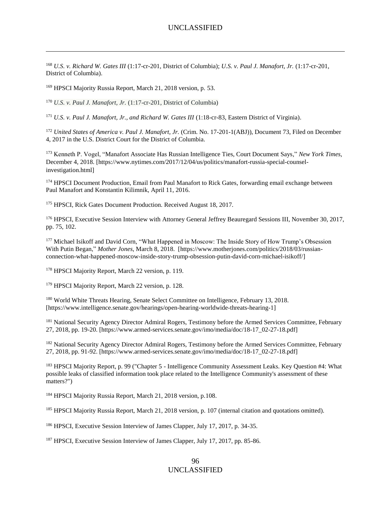<sup>168</sup> *U.S. v. Richard W. Gates III* (1:17-cr-201, District of Columbia); *U.S. v. Paul J. Manafort, Jr.* (1:17-cr-201, District of Columbia).

<sup>169</sup> HPSCI Majority Russia Report, March 21, 2018 version, p. 53.

 $\overline{a}$ 

<sup>170</sup> *U.S. v. Paul J. Manafort, Jr.* (1:17-cr-201, District of Columbia)

<sup>171</sup> *U.S. v. Paul J. Manafort, Jr., and Richard W. Gates III* (1:18-cr-83, Eastern District of Virginia).

<sup>172</sup> *United States of America v. Paul J. Manafort, Jr.* (Crim. No. 17-201-1(ABJ)), Document 73, Filed on December 4, 2017 in the U.S. District Court for the District of Columbia.

<sup>173</sup> Kenneth P. Vogel, "Manafort Associate Has Russian Intelligence Ties, Court Document Says," *New York Times*, December 4, 2018. [https://www.nytimes.com/2017/12/04/us/politics/manafort-russia-special-counselinvestigation.html]

<sup>174</sup> HPSCI Document Production, Email from Paul Manafort to Rick Gates, forwarding email exchange between Paul Manafort and Konstantin Kilimnik, April 11, 2016.

<sup>175</sup> HPSCI, Rick Gates Document Production. Received August 18, 2017.

<sup>176</sup> HPSCI, Executive Session Interview with Attorney General Jeffrey Beauregard Sessions III, November 30, 2017, pp. 75, 102.

<sup>177</sup> Michael Isikoff and David Corn, "What Happened in Moscow: The Inside Story of How Trump's Obsession With Putin Began," *Mother Jones*, March 8, 2018. [https://www.motherjones.com/politics/2018/03/russianconnection-what-happened-moscow-inside-story-trump-obsession-putin-david-corn-michael-isikoff/]

<sup>178</sup> HPSCI Majority Report, March 22 version, p. 119.

<sup>179</sup> HPSCI Majority Report, March 22 version, p. 128.

<sup>180</sup> World White Threats Hearing, Senate Select Committee on Intelligence, February 13, 2018. [https://www.intelligence.senate.gov/hearings/open-hearing-worldwide-threats-hearing-1]

<sup>181</sup> National Security Agency Director Admiral Rogers, Testimony before the Armed Services Committee, February 27, 2018, pp. 19-20. [https://www.armed-services.senate.gov/imo/media/doc/18-17\_02-27-18.pdf]

<sup>182</sup> National Security Agency Director Admiral Rogers, Testimony before the Armed Services Committee, February 27, 2018, pp. 91-92. [https://www.armed-services.senate.gov/imo/media/doc/18-17\_02-27-18.pdf]

<sup>183</sup> HPSCI Majority Report, p. 99 ("Chapter 5 - Intelligence Community Assessment Leaks. Key Question #4: What possible leaks of classified information took place related to the Intelligence Community's assessment of these matters?")

<sup>184</sup> HPSCI Majority Russia Report, March 21, 2018 version, p.108.

<sup>185</sup> HPSCI Majority Russia Report, March 21, 2018 version, p. 107 (internal citation and quotations omitted).

<sup>186</sup> HPSCI, Executive Session Interview of James Clapper, July 17, 2017, p. 34-35.

<sup>187</sup> HPSCI, Executive Session Interview of James Clapper, July 17, 2017, pp. 85-86.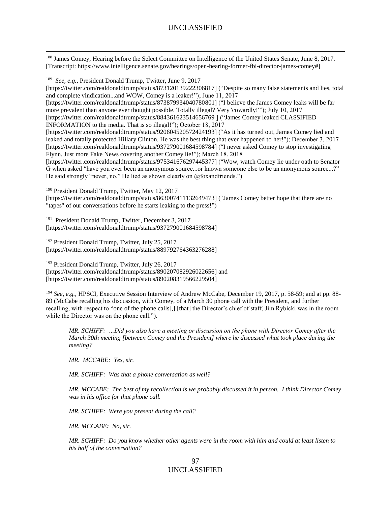<sup>188</sup> James Comey, Hearing before the Select Committee on Intelligence of the United States Senate, June 8, 2017. [Transcript: https://www.intelligence.senate.gov/hearings/open-hearing-former-fbi-director-james-comey#]

<sup>189</sup> *See, e.g.,* President Donald Trump, Twitter, June 9, 2017

 $\overline{a}$ 

[https://twitter.com/realdonaldtrump/status/873120139222306817] ("Despite so many false statements and lies, total and complete vindication...and WOW, Comey is a leaker!"); June 11, 2017 [https://twitter.com/realdonaldtrump/status/873879934040780801] ("I believe the James Comey leaks will be far more prevalent than anyone ever thought possible. Totally illegal? Very 'cowardly!'"); July 10, 2017 [https://twitter.com/realdonaldtrump/status/884361623514656769 ] ("James Comey leaked CLASSIFIED INFORMATION to the media. That is so illegal!"); October 18, 2017 [https://twitter.com/realdonaldtrump/status/920604520572424193] ("As it has turned out, James Comey lied and leaked and totally protected Hillary Clinton. He was the best thing that ever happened to her!"); December 3, 2017 [https://twitter.com/realdonaldtrump/status/937279001684598784] ("I never asked Comey to stop investigating Flynn. Just more Fake News covering another Comey lie!"); March 18. 2018 [https://twitter.com/realdonaldtrump/status/975341676297445377] ("Wow, watch Comey lie under oath to Senator G when asked "have you ever been an anonymous source...or known someone else to be an anonymous source...?" He said strongly "never, no." He lied as shown clearly on @foxandfriends.")

<sup>190</sup> President Donald Trump, Twitter, May 12, 2017

[https://twitter.com/realdonaldtrump/status/863007411132649473] ("James Comey better hope that there are no "tapes" of our conversations before he starts leaking to the press!")

191 President Donald Trump, Twitter, December 3, 2017 [https://twitter.com/realdonaldtrump/status/937279001684598784]

<sup>192</sup> President Donald Trump, Twitter, July 25, 2017 [https://twitter.com/realdonaldtrump/status/889792764363276288]

<sup>193</sup> President Donald Trump, Twitter, July 26, 2017 [https://twitter.com/realdonaldtrump/status/890207082926022656] and [https://twitter.com/realdonaldtrump/status/890208319566229504]

<sup>194</sup> *See, e.g.,* HPSCI, Executive Session Interview of Andrew McCabe, December 19, 2017, p. 58-59; and at pp. 88- 89 (McCabe recalling his discussion, with Comey, of a March 30 phone call with the President, and further recalling, with respect to "one of the phone calls[,] [that] the Director's chief of staff, Jim Rybicki was in the room while the Director was on the phone call.").

*MR. SCHIFF: …Did you also have a meeting or discussion on the phone with Director Comey after the March 30th meeting [between Comey and the President] where he discussed what took place during the meeting?* 

*MR. MCCABE: Yes, sir.* 

*MR. SCHIFF: Was that a phone conversation as well?* 

*MR. MCCABE: The best of my recollection is we probably discussed it in person. I think Director Comey was in his office for that phone call.* 

*MR. SCHIFF: Were you present during the call?* 

*MR. MCCABE: No, sir.* 

*MR. SCHIFF: Do you know whether other agents were in the room with him and could at least listen to his half of the conversation?*